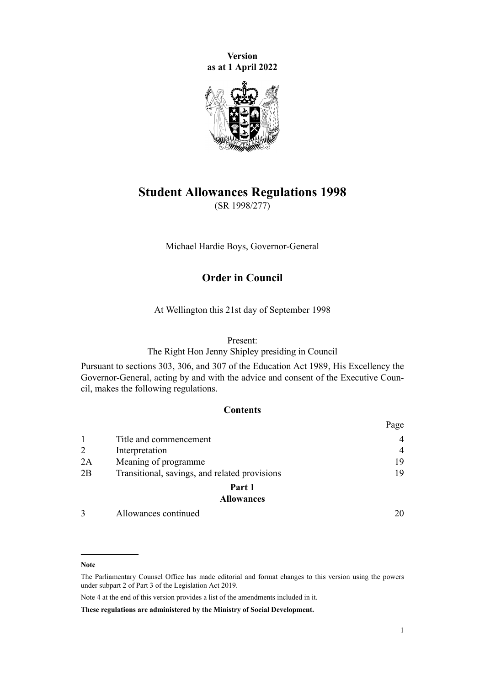**Version as at 1 April 2022**



### **Student Allowances Regulations 1998**

(SR 1998/277)

Michael Hardie Boys, Governor-General

### **Order in Council**

At Wellington this 21st day of September 1998

### Present:

The Right Hon Jenny Shipley presiding in Council

Pursuant to [sections 303,](http://legislation.govt.nz/pdflink.aspx?id=DLM186860) [306](http://legislation.govt.nz/pdflink.aspx?id=DLM186877), and [307](http://legislation.govt.nz/pdflink.aspx?id=DLM186882) of the [Education Act 1989,](http://legislation.govt.nz/pdflink.aspx?id=DLM175958) His Excellency the Governor-General, acting by and with the advice and consent of the Executive Council, makes the following regulations.

### **Contents**

|    |                                               | Page           |
|----|-----------------------------------------------|----------------|
|    | Title and commencement                        |                |
| 2  | Interpretation                                | $\overline{4}$ |
| 2A | Meaning of programme                          | 19             |
| 2B | Transitional, savings, and related provisions | 19             |
|    | Part 1                                        |                |
|    | <b>Allowances</b>                             |                |
|    | Allowances continued                          |                |

#### **Note**

The Parliamentary Counsel Office has made editorial and format changes to this version using the powers under [subpart 2](http://legislation.govt.nz/pdflink.aspx?id=DLM7298371) of Part 3 of the Legislation Act 2019.

Note 4 at the end of this version provides a list of the amendments included in it.

**These regulations are administered by the Ministry of Social Development.**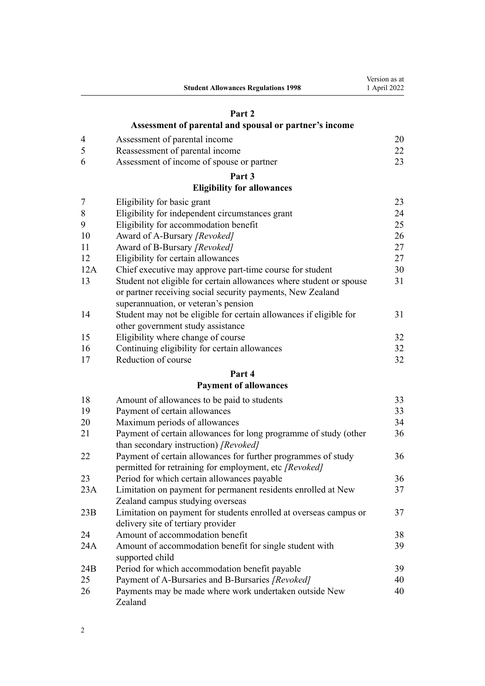|     | <b>Student Allowances Regulations 1998</b>                          | Version as at<br>1 April 2022 |
|-----|---------------------------------------------------------------------|-------------------------------|
|     | Part 2                                                              |                               |
|     | Assessment of parental and spousal or partner's income              |                               |
| 4   | Assessment of parental income                                       | 20                            |
| 5   | Reassessment of parental income                                     | 22                            |
| 6   | Assessment of income of spouse or partner                           | 23                            |
|     | Part 3                                                              |                               |
|     | <b>Eligibility for allowances</b>                                   |                               |
| 7   | Eligibility for basic grant                                         | 23                            |
| 8   | Eligibility for independent circumstances grant                     | 24                            |
| 9   | Eligibility for accommodation benefit                               | 25                            |
| 10  | Award of A-Bursary [Revoked]                                        | 26                            |
| 11  | Award of B-Bursary [Revoked]                                        | 27                            |
| 12  | Eligibility for certain allowances                                  | 27                            |
| 12A | Chief executive may approve part-time course for student            | 30                            |
| 13  | Student not eligible for certain allowances where student or spouse | 31                            |
|     | or partner receiving social security payments, New Zealand          |                               |
|     | superannuation, or veteran's pension                                |                               |
| 14  | Student may not be eligible for certain allowances if eligible for  | 31                            |
|     | other government study assistance                                   |                               |
| 15  | Eligibility where change of course                                  | 32                            |
| 16  | Continuing eligibility for certain allowances                       | 32                            |
| 17  | Reduction of course                                                 | 32                            |
|     | Part 4                                                              |                               |
|     | <b>Payment of allowances</b>                                        |                               |
| 18  | Amount of allowances to be paid to students                         | 33                            |
| 19  | Payment of certain allowances                                       | 33                            |
| 20  | Maximum periods of allowances                                       | 34                            |
| 21  | Payment of certain allowances for long programme of study (other    | 36                            |
|     | than secondary instruction) [Revoked]                               |                               |
| 22  | Payment of certain allowances for further programmes of study       | 36                            |
|     | permitted for retraining for employment, etc [Revoked]              |                               |
| 23  | Period for which certain allowances payable                         | 36                            |
| 23A | Limitation on payment for permanent residents enrolled at New       | 37                            |
|     | Zealand campus studying overseas                                    |                               |
| 23B | Limitation on payment for students enrolled at overseas campus or   | 37                            |
|     | delivery site of tertiary provider                                  |                               |
| 24  | Amount of accommodation benefit                                     | 38                            |
| 24A | Amount of accommodation benefit for single student with             | 39                            |
|     | supported child                                                     |                               |
| 24B | Period for which accommodation benefit payable                      | 39                            |
| 25  | Payment of A-Bursaries and B-Bursaries [Revoked]                    | 40                            |
| 26  | Payments may be made where work undertaken outside New              | 40                            |
|     | Zealand                                                             |                               |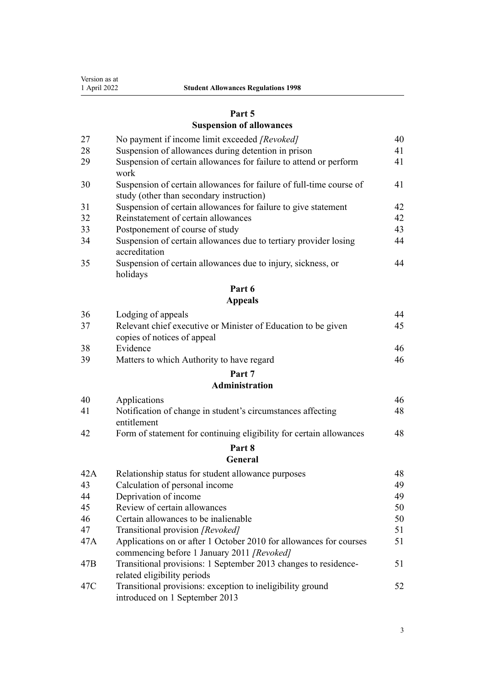| Version as at |  |
|---------------|--|
| 1 April 2022  |  |

### **[Part 5](#page-39-0)**

# **[Suspension of allowances](#page-39-0)**

| 27  | No payment if income limit exceeded [Revoked]                                                  | 40 |
|-----|------------------------------------------------------------------------------------------------|----|
| 28  | Suspension of allowances during detention in prison                                            | 41 |
| 29  | Suspension of certain allowances for failure to attend or perform<br>work                      | 41 |
| 30  | Suspension of certain allowances for failure of full-time course of                            | 41 |
|     | study (other than secondary instruction)                                                       |    |
| 31  | Suspension of certain allowances for failure to give statement                                 | 42 |
| 32  | Reinstatement of certain allowances                                                            | 42 |
| 33  | Postponement of course of study                                                                | 43 |
| 34  | Suspension of certain allowances due to tertiary provider losing<br>accreditation              | 44 |
| 35  | Suspension of certain allowances due to injury, sickness, or<br>holidays                       | 44 |
|     | Part 6                                                                                         |    |
|     | <b>Appeals</b>                                                                                 |    |
| 36  | Lodging of appeals                                                                             | 44 |
| 37  | Relevant chief executive or Minister of Education to be given                                  | 45 |
|     | copies of notices of appeal                                                                    |    |
| 38  | Evidence                                                                                       | 46 |
| 39  | Matters to which Authority to have regard                                                      | 46 |
|     | Part 7                                                                                         |    |
|     | <b>Administration</b>                                                                          |    |
| 40  | Applications                                                                                   | 46 |
| 41  | Notification of change in student's circumstances affecting                                    | 48 |
|     | entitlement                                                                                    |    |
| 42  | Form of statement for continuing eligibility for certain allowances                            | 48 |
|     | Part 8                                                                                         |    |
|     | General                                                                                        |    |
| 42A | Relationship status for student allowance purposes                                             | 48 |
| 43  | Calculation of personal income                                                                 | 49 |
| 44  | Deprivation of income                                                                          | 49 |
| 45  | Review of certain allowances                                                                   | 50 |
| 46  | Certain allowances to be inalienable                                                           | 50 |
| 47  | Transitional provision [Revoked]                                                               | 51 |
| 47A | Applications on or after 1 October 2010 for allowances for courses                             | 51 |
|     | commencing before 1 January 2011 [Revoked]                                                     | 51 |
| 47B | Transitional provisions: 1 September 2013 changes to residence-<br>related eligibility periods |    |
| 47C | Transitional provisions: exception to ineligibility ground                                     | 52 |
|     | introduced on 1 September 2013                                                                 |    |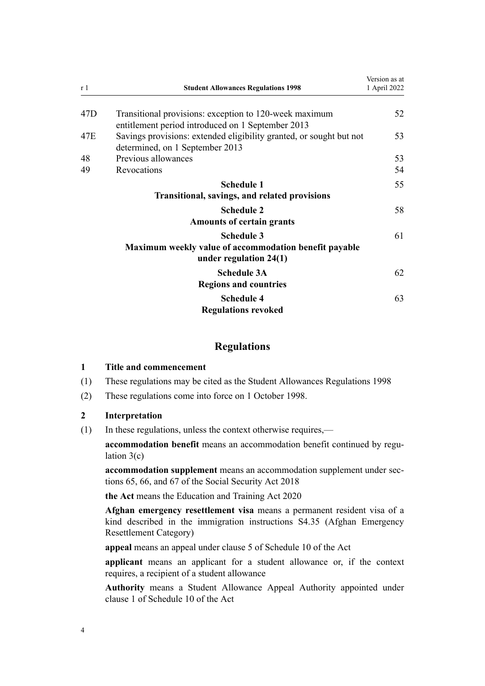<span id="page-3-0"></span>

| r 1 | <b>Student Allowances Regulations 1998</b>                                                                  | Version as at<br>1 April 2022 |
|-----|-------------------------------------------------------------------------------------------------------------|-------------------------------|
| 47D | Transitional provisions: exception to 120-week maximum<br>entitlement period introduced on 1 September 2013 | 52                            |
| 47E | Savings provisions: extended eligibility granted, or sought but not<br>determined, on 1 September 2013      | 53                            |
| 48  | Previous allowances                                                                                         | 53                            |
| 49  | Revocations                                                                                                 | 54                            |
|     | <b>Schedule 1</b><br><b>Transitional, savings, and related provisions</b>                                   | 55                            |
|     | <b>Schedule 2</b><br><b>Amounts of certain grants</b>                                                       | 58                            |
|     | <b>Schedule 3</b><br>Maximum weekly value of accommodation benefit payable<br>under regulation $24(1)$      | 61                            |
|     | <b>Schedule 3A</b><br><b>Regions and countries</b>                                                          | 62                            |
|     | <b>Schedule 4</b><br><b>Regulations revoked</b>                                                             | 63                            |

### **Regulations**

### **1 Title and commencement**

- (1) These regulations may be cited as the Student Allowances Regulations 1998
- (2) These regulations come into force on 1 October 1998.

### **2 Interpretation**

(1) In these regulations, unless the context otherwise requires,—

accommodation benefit means an accommodation benefit continued by regu[lation 3\(c\)](#page-19-0)

**accommodation supplement** means an accommodation supplement under [sec‐](http://legislation.govt.nz/pdflink.aspx?id=DLM6783242) [tions 65,](http://legislation.govt.nz/pdflink.aspx?id=DLM6783242) [66](http://legislation.govt.nz/pdflink.aspx?id=DLM6783244), and [67](http://legislation.govt.nz/pdflink.aspx?id=DLM6783256) of the Social Security Act 2018

**the Act** means the [Education and Training Act 2020](http://legislation.govt.nz/pdflink.aspx?id=LMS170674)

**Afghan emergency resettlement visa** means a permanent resident visa of a kind described in the immigration instructions S4.35 (Afghan Emergency Resettlement Category)

**appeal** means an appeal under [clause 5](http://legislation.govt.nz/pdflink.aspx?id=LMS202235) of Schedule 10 of the Act

**applicant** means an applicant for a student allowance or, if the context requires, a recipient of a student allowance

**Authority** means a Student Allowance Appeal Authority appointed under [clause 1](http://legislation.govt.nz/pdflink.aspx?id=LMS202231) of Schedule 10 of the Act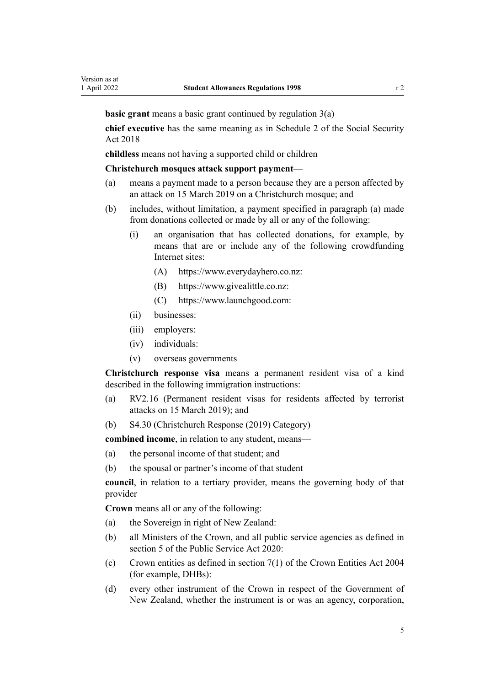**basic grant** means a basic grant continued by [regulation 3\(a\)](#page-19-0)

**chief executive** has the same meaning as in [Schedule 2](http://legislation.govt.nz/pdflink.aspx?id=DLM6784375) of the Social Security Act 2018

**childless** means not having a supported child or children

#### **Christchurch mosques attack support payment**—

- (a) means a payment made to a person because they are a person affected by an attack on 15 March 2019 on a Christchurch mosque; and
- (b) includes, without limitation, a payment specified in paragraph (a) made from donations collected or made by all or any of the following:
	- (i) an organisation that has collected donations, for example, by means that are or include any of the following crowdfunding Internet sites:
		- (A) <https://www.everydayhero.co.nz>:
		- (B) [https://www.givealittle.co.nz:](https://www.givealittle.co.nz)
		- (C) [https://www.launchgood.com:](https://www.launchgood.com)
	- (ii) businesses:
	- (iii) employers:
	- (iv) individuals:
	- (v) overseas governments

**Christchurch response visa** means a permanent resident visa of a kind described in the following immigration instructions:

- (a) RV2.16 (Permanent resident visas for residents affected by terrorist attacks on 15 March 2019); and
- (b) S4.30 (Christchurch Response (2019) Category)

**combined income**, in relation to any student, means—

- (a) the personal income of that student; and
- (b) the spousal or partner's income of that student

**council**, in relation to a tertiary provider, means the governing body of that provider

**Crown** means all or any of the following:

- (a) the Sovereign in right of New Zealand:
- (b) all Ministers of the Crown, and all public service agencies as defined in [section 5](http://legislation.govt.nz/pdflink.aspx?id=LMS356868) of the Public Service Act 2020:
- (c) Crown entities as defined in [section 7\(1\)](http://legislation.govt.nz/pdflink.aspx?id=DLM329641) of the Crown Entities Act 2004 (for example, DHBs):
- (d) every other instrument of the Crown in respect of the Government of New Zealand, whether the instrument is or was an agency, corporation,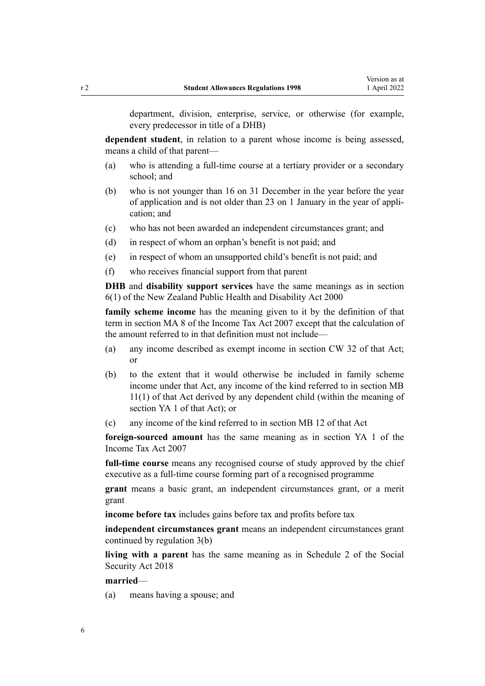department, division, enterprise, service, or otherwise (for example, every predecessor in title of a DHB)

**dependent student**, in relation to a parent whose income is being assessed, means a child of that parent—

- (a) who is attending a full-time course at a tertiary provider or a secondary school; and
- (b) who is not younger than 16 on 31 December in the year before the year of application and is not older than 23 on 1 January in the year of appli‐ cation; and
- (c) who has not been awarded an independent circumstances grant; and
- (d) in respect of whom an orphan's benefit is not paid; and
- (e) in respect of whom an unsupported child's benefit is not paid; and
- (f) who receives financial support from that parent

**DHB** and **disability support services** have the same meanings as in [section](http://legislation.govt.nz/pdflink.aspx?id=DLM80064) [6\(1\)](http://legislation.govt.nz/pdflink.aspx?id=DLM80064) of the New Zealand Public Health and Disability Act 2000

**family scheme income** has the meaning given to it by the definition of that term in [section MA 8](http://legislation.govt.nz/pdflink.aspx?id=DLM1518423) of the Income Tax Act 2007 except that the calculation of the amount referred to in that definition must not include—

- (a) any income described as exempt income in [section CW 32](http://legislation.govt.nz/pdflink.aspx?id=DLM1513238) of that Act; or
- (b) to the extent that it would otherwise be included in family scheme income under that Act, any income of the kind referred to in [section MB](http://legislation.govt.nz/pdflink.aspx?id=DLM3661995) [11\(1\)](http://legislation.govt.nz/pdflink.aspx?id=DLM3661995) of that Act derived by any dependent child (within the meaning of [section YA 1](http://legislation.govt.nz/pdflink.aspx?id=DLM1520575) of that Act); or
- (c) any income of the kind referred to in [section MB 12](http://legislation.govt.nz/pdflink.aspx?id=DLM3661997) of that Act

**foreign-sourced amount** has the same meaning as in [section YA 1](http://legislation.govt.nz/pdflink.aspx?id=DLM1520575) of the Income Tax Act 2007

**full-time course** means any recognised course of study approved by the chief executive as a full-time course forming part of a recognised programme

**grant** means a basic grant, an independent circumstances grant, or a merit grant

**income before tax** includes gains before tax and profits before tax

**independent circumstances grant** means an independent circumstances grant continued by [regulation 3\(b\)](#page-19-0)

**living with a parent** has the same meaning as in [Schedule 2](http://legislation.govt.nz/pdflink.aspx?id=DLM6784375) of the Social Security Act 2018

### **married**—

(a) means having a spouse; and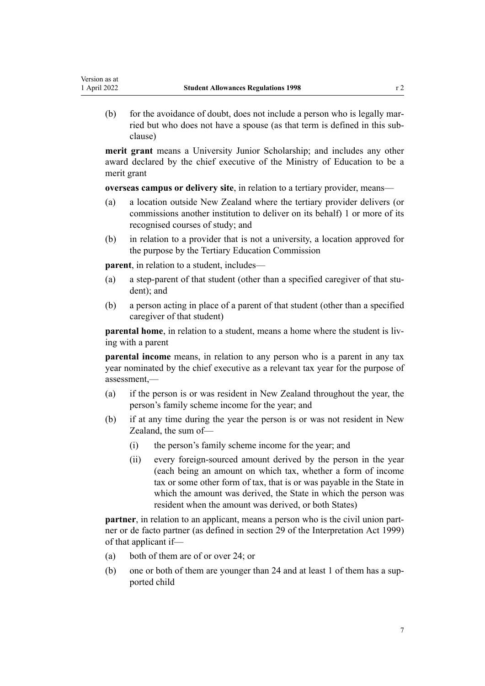Version as at

(b) for the avoidance of doubt, does not include a person who is legally mar‐ ried but who does not have a spouse (as that term is defined in this sub‐ clause)

**merit grant** means a University Junior Scholarship; and includes any other award declared by the chief executive of the Ministry of Education to be a merit grant

**overseas campus or delivery site**, in relation to a tertiary provider, means—

- (a) a location outside New Zealand where the tertiary provider delivers (or commissions another institution to deliver on its behalf) 1 or more of its recognised courses of study; and
- (b) in relation to a provider that is not a university, a location approved for the purpose by the Tertiary Education Commission

**parent**, in relation to a student, includes—

- (a) a step-parent of that student (other than a specified caregiver of that stu‐ dent); and
- (b) a person acting in place of a parent of that student (other than a specified caregiver of that student)

**parental home**, in relation to a student, means a home where the student is living with a parent

**parental income** means, in relation to any person who is a parent in any tax year nominated by the chief executive as a relevant tax year for the purpose of assessment,—

- (a) if the person is or was resident in New Zealand throughout the year, the person's family scheme income for the year; and
- (b) if at any time during the year the person is or was not resident in New Zealand, the sum of—
	- (i) the person's family scheme income for the year; and
	- (ii) every foreign-sourced amount derived by the person in the year (each being an amount on which tax, whether a form of income tax or some other form of tax, that is or was payable in the State in which the amount was derived, the State in which the person was resident when the amount was derived, or both States)

**partner**, in relation to an applicant, means a person who is the civil union partner or de facto partner (as defined in [section 29](http://legislation.govt.nz/pdflink.aspx?id=DLM31803) of the Interpretation Act 1999) of that applicant if—

- (a) both of them are of or over 24; or
- (b) one or both of them are younger than 24 and at least 1 of them has a supported child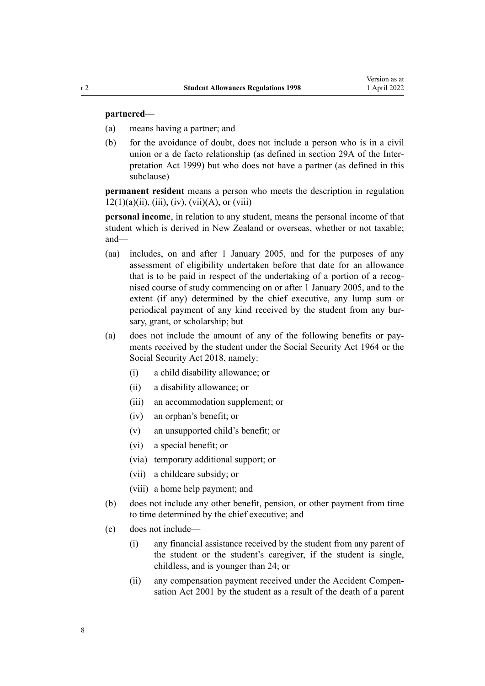#### **partnered**—

- (a) means having a partner; and
- (b) for the avoidance of doubt, does not include a person who is in a civil union or a de facto relationship (as defined in [section 29A](http://legislation.govt.nz/pdflink.aspx?id=DLM31861) of the Interpretation Act 1999) but who does not have a partner (as defined in this subclause)

**permanent resident** means a person who meets the description in [regulation](#page-26-0)  $12(1)(a)(ii)$ , (iii), (iv), (vii)(A), or (viii)

**personal income**, in relation to any student, means the personal income of that student which is derived in New Zealand or overseas, whether or not taxable; and—

- (aa) includes, on and after 1 January 2005, and for the purposes of any assessment of eligibility undertaken before that date for an allowance that is to be paid in respect of the undertaking of a portion of a recognised course of study commencing on or after 1 January 2005, and to the extent (if any) determined by the chief executive, any lump sum or periodical payment of any kind received by the student from any bursary, grant, or scholarship; but
- (a) does not include the amount of any of the following benefits or pay‐ ments received by the student under the [Social Security Act 1964](http://legislation.govt.nz/pdflink.aspx?id=DLM359106) or the [Social Security Act 2018,](http://legislation.govt.nz/pdflink.aspx?id=DLM6783102) namely:
	- (i) a child disability allowance; or
	- (ii) a disability allowance; or
	- (iii) an accommodation supplement; or
	- (iv) an orphan's benefit; or
	- (v) an unsupported child's benefit; or
	- (vi) a special benefit; or
	- (via) temporary additional support; or
	- (vii) a childcare subsidy; or
	- (viii) a home help payment; and
- (b) does not include any other benefit, pension, or other payment from time to time determined by the chief executive; and
- (c) does not include—
	- (i) any financial assistance received by the student from any parent of the student or the student's caregiver, if the student is single, childless, and is younger than 24; or
	- (ii) any compensation payment received under the Accident [Compen‐](http://legislation.govt.nz/pdflink.aspx?id=DLM99493) [sation Act 2001](http://legislation.govt.nz/pdflink.aspx?id=DLM99493) by the student as a result of the death of a parent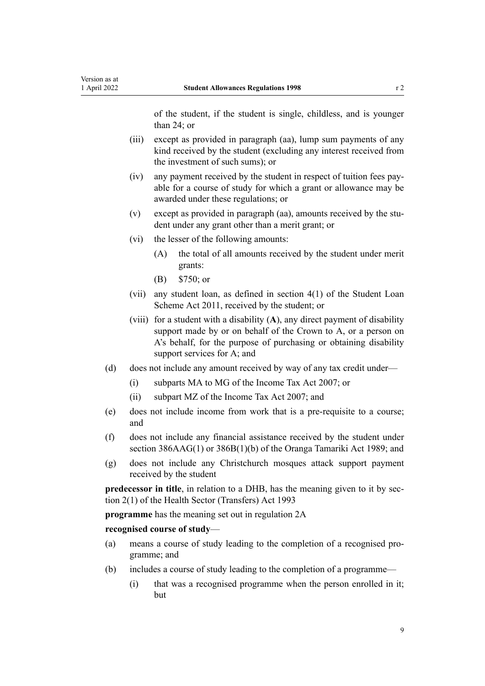of the student, if the student is single, childless, and is younger than 24; or

- (iii) except as provided in paragraph (aa), lump sum payments of any kind received by the student (excluding any interest received from the investment of such sums); or
- (iv) any payment received by the student in respect of tuition fees pay‐ able for a course of study for which a grant or allowance may be awarded under these regulations; or
- (v) except as provided in paragraph (aa), amounts received by the stu‐ dent under any grant other than a merit grant; or
- (vi) the lesser of the following amounts:
	- (A) the total of all amounts received by the student under merit grants:
	- (B) \$750; or
- (vii) any student loan, as defined in [section 4\(1\)](http://legislation.govt.nz/pdflink.aspx?id=DLM3179936) of the Student Loan Scheme Act 2011, received by the student; or
- (viii) for a student with a disability (**A**), any direct payment of disability support made by or on behalf of the Crown to A, or a person on A's behalf, for the purpose of purchasing or obtaining disability support services for A; and
- (d) does not include any amount received by way of any tax credit under—
	- (i) [subparts MA to MG](http://legislation.govt.nz/pdflink.aspx?id=DLM1518406) of the Income Tax Act 2007; or
	- (ii) [subpart MZ](http://legislation.govt.nz/pdflink.aspx?id=DLM1518621) of the Income Tax Act 2007; and
- (e) does not include income from work that is a pre-requisite to a course; and
- (f) does not include any financial assistance received by the student under [section 386AAG\(1\)](http://legislation.govt.nz/pdflink.aspx?id=LMS223421) or [386B\(1\)\(b\)](http://legislation.govt.nz/pdflink.aspx?id=LMS223757) of the Oranga Tamariki Act 1989; and
- (g) does not include any Christchurch mosques attack support payment received by the student

**predecessor in title**, in relation to a DHB, has the meaning given to it by sec[tion 2\(1\)](http://legislation.govt.nz/pdflink.aspx?id=DLM294922) of the Health Sector (Transfers) Act 1993

**programme** has the meaning set out in [regulation 2A](#page-18-0)

#### **recognised course of study**—

- (a) means a course of study leading to the completion of a recognised pro‐ gramme; and
- (b) includes a course of study leading to the completion of a programme—
	- (i) that was a recognised programme when the person enrolled in it; but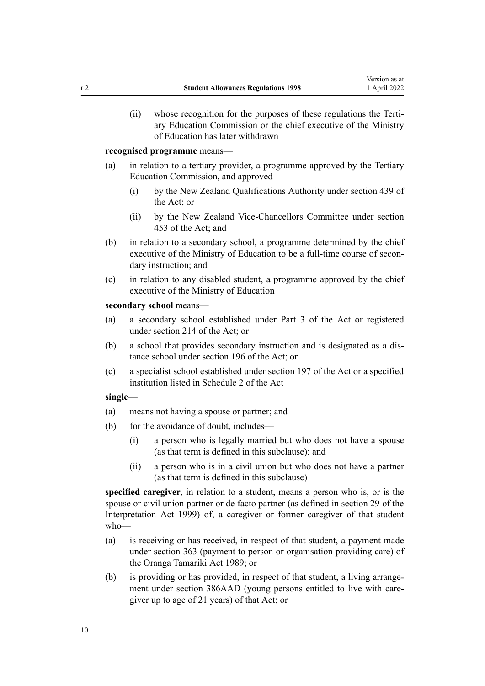(ii) whose recognition for the purposes of these regulations the Terti‐ ary Education Commission or the chief executive of the Ministry of Education has later withdrawn

**recognised programme** means—

- (a) in relation to a tertiary provider, a programme approved by the Tertiary Education Commission, and approved—
	- (i) by the New Zealand Qualifications Authority under [section 439](http://legislation.govt.nz/pdflink.aspx?id=LMS172280) of the Act; or
	- (ii) by the New Zealand Vice-Chancellors Committee under [section](http://legislation.govt.nz/pdflink.aspx?id=LMS172303) [453](http://legislation.govt.nz/pdflink.aspx?id=LMS172303) of the Act; and
- (b) in relation to a secondary school, a programme determined by the chief executive of the Ministry of Education to be a full-time course of secondary instruction; and
- (c) in relation to any disabled student, a programme approved by the chief executive of the Ministry of Education

**secondary school** means—

- (a) a secondary school established under [Part 3](http://legislation.govt.nz/pdflink.aspx?id=LMS171878) of the Act or registered under [section 214](http://legislation.govt.nz/pdflink.aspx?id=LMS202073) of the Act; or
- (b) a school that provides secondary instruction and is designated as a dis‐ tance school under [section 196](http://legislation.govt.nz/pdflink.aspx?id=LMS177833) of the Act; or
- (c) a specialist school established under [section 197](http://legislation.govt.nz/pdflink.aspx?id=LMS180401) of the Act or a specified institution listed in [Schedule 2](http://legislation.govt.nz/pdflink.aspx?id=LMS172610) of the Act

### **single**—

- (a) means not having a spouse or partner; and
- (b) for the avoidance of doubt, includes—
	- (i) a person who is legally married but who does not have a spouse (as that term is defined in this subclause); and
	- (ii) a person who is in a civil union but who does not have a partner (as that term is defined in this subclause)

**specified caregiver**, in relation to a student, means a person who is, or is the spouse or civil union partner or de facto partner (as defined in [section 29](http://legislation.govt.nz/pdflink.aspx?id=DLM31803) of the Interpretation Act 1999) of, a caregiver or former caregiver of that student who—

- (a) is receiving or has received, in respect of that student, a payment made under [section 363](http://legislation.govt.nz/pdflink.aspx?id=DLM154316) (payment to person or organisation providing care) of the Oranga Tamariki Act 1989; or
- (b) is providing or has provided, in respect of that student, a living arrangement under [section 386AAD](http://legislation.govt.nz/pdflink.aspx?id=LMS223417) (young persons entitled to live with caregiver up to age of 21 years) of that Act; or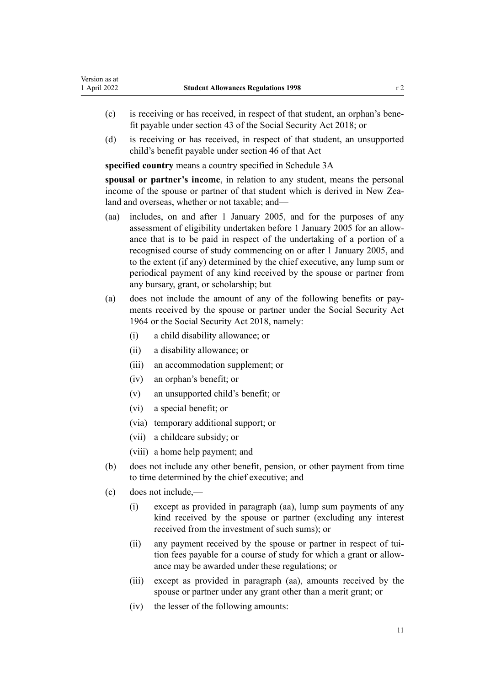- (c) is receiving or has received, in respect of that student, an orphan's bene‐ fit payable under [section 43](http://legislation.govt.nz/pdflink.aspx?id=LMS5959) of the Social Security Act 2018; or
- (d) is receiving or has received, in respect of that student, an unsupported child's benefit payable under [section 46](http://legislation.govt.nz/pdflink.aspx?id=LMS5963) of that Act

**specified country** means a country specified in [Schedule 3A](#page-61-0)

**spousal or partner's income**, in relation to any student, means the personal income of the spouse or partner of that student which is derived in New Zealand and overseas, whether or not taxable; and—

- (aa) includes, on and after 1 January 2005, and for the purposes of any assessment of eligibility undertaken before 1 January 2005 for an allow‐ ance that is to be paid in respect of the undertaking of a portion of a recognised course of study commencing on or after 1 January 2005, and to the extent (if any) determined by the chief executive, any lump sum or periodical payment of any kind received by the spouse or partner from any bursary, grant, or scholarship; but
- (a) does not include the amount of any of the following benefits or pay‐ ments received by the spouse or partner under the [Social Security Act](http://legislation.govt.nz/pdflink.aspx?id=DLM359106) [1964](http://legislation.govt.nz/pdflink.aspx?id=DLM359106) or the [Social Security Act 2018,](http://legislation.govt.nz/pdflink.aspx?id=DLM6783102) namely:
	- (i) a child disability allowance; or
	- (ii) a disability allowance; or
	- (iii) an accommodation supplement; or
	- (iv) an orphan's benefit; or
	- (v) an unsupported child's benefit; or
	- (vi) a special benefit; or
	- (via) temporary additional support; or
	- (vii) a childcare subsidy; or
	- (viii) a home help payment; and
- (b) does not include any other benefit, pension, or other payment from time to time determined by the chief executive; and
- (c) does not include,—
	- (i) except as provided in paragraph (aa), lump sum payments of any kind received by the spouse or partner (excluding any interest received from the investment of such sums); or
	- (ii) any payment received by the spouse or partner in respect of tui‐ tion fees payable for a course of study for which a grant or allow‐ ance may be awarded under these regulations; or
	- (iii) except as provided in paragraph (aa), amounts received by the spouse or partner under any grant other than a merit grant; or
	- (iv) the lesser of the following amounts: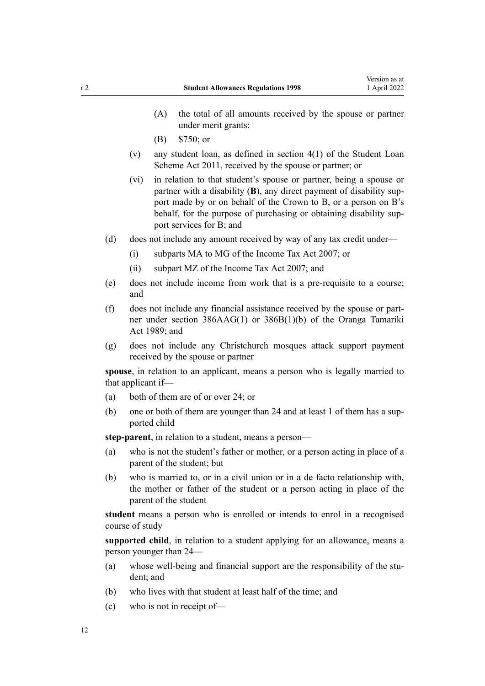- (A) the total of all amounts received by the spouse or partner under merit grants:
- (B) \$750; or
- (v) any student loan, as defined in [section 4\(1\)](http://legislation.govt.nz/pdflink.aspx?id=DLM3179936) of the Student Loan Scheme Act 2011, received by the spouse or partner; or
- (vi) in relation to that student's spouse or partner, being a spouse or partner with a disability (**B**), any direct payment of disability support made by or on behalf of the Crown to B, or a person on B's behalf, for the purpose of purchasing or obtaining disability sup‐ port services for B; and
- (d) does not include any amount received by way of any tax credit under—
	- (i) [subparts MA to MG](http://legislation.govt.nz/pdflink.aspx?id=DLM1518406) of the Income Tax Act 2007; or
	- (ii) [subpart MZ](http://legislation.govt.nz/pdflink.aspx?id=DLM1518621) of the Income Tax Act 2007; and
- (e) does not include income from work that is a pre-requisite to a course; and
- (f) does not include any financial assistance received by the spouse or part‐ ner under [section 386AAG\(1\)](http://legislation.govt.nz/pdflink.aspx?id=LMS223421) or [386B\(1\)\(b\)](http://legislation.govt.nz/pdflink.aspx?id=LMS223757) of the Oranga Tamariki Act 1989; and
- (g) does not include any Christchurch mosques attack support payment received by the spouse or partner

**spouse**, in relation to an applicant, means a person who is legally married to that applicant if—

- (a) both of them are of or over 24; or
- (b) one or both of them are younger than 24 and at least 1 of them has a supported child

**step-parent**, in relation to a student, means a person—

- (a) who is not the student's father or mother, or a person acting in place of a parent of the student; but
- (b) who is married to, or in a civil union or in a de facto relationship with, the mother or father of the student or a person acting in place of the parent of the student

**student** means a person who is enrolled or intends to enrol in a recognised course of study

**supported child**, in relation to a student applying for an allowance, means a person younger than 24—

- (a) whose well-being and financial support are the responsibility of the student; and
- (b) who lives with that student at least half of the time; and
- (c) who is not in receipt of—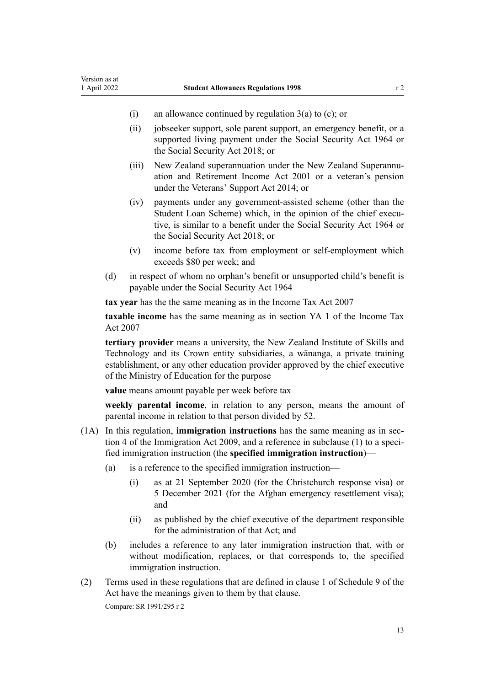- (i) an allowance continued by [regulation 3\(a\) to \(c\)](#page-19-0); or
- (ii) jobseeker support, sole parent support, an emergency benefit, or a supported living payment under the [Social Security Act 1964](http://legislation.govt.nz/pdflink.aspx?id=DLM359106) or the [Social Security Act 2018](http://legislation.govt.nz/pdflink.aspx?id=DLM6783102); or
- (iii) New Zealand superannuation under the New Zealand Superannu[ation and Retirement Income Act 2001](http://legislation.govt.nz/pdflink.aspx?id=DLM113923) or a veteran's pension under the [Veterans' Support Act 2014](http://legislation.govt.nz/pdflink.aspx?id=DLM5537772); or
- (iv) payments under any government-assisted scheme (other than the Student Loan Scheme) which, in the opinion of the chief executive, is similar to a benefit under the [Social Security Act 1964](http://legislation.govt.nz/pdflink.aspx?id=DLM359106) or the [Social Security Act 2018](http://legislation.govt.nz/pdflink.aspx?id=DLM6783102); or
- (v) income before tax from employment or self-employment which exceeds \$80 per week; and
- (d) in respect of whom no orphan's benefit or unsupported child's benefit is payable under the [Social Security Act 1964](http://legislation.govt.nz/pdflink.aspx?id=DLM359106)

**tax year** has the the same meaning as in the [Income Tax Act 2007](http://legislation.govt.nz/pdflink.aspx?id=DLM1512300)

**taxable income** has the same meaning as in [section YA 1](http://legislation.govt.nz/pdflink.aspx?id=DLM1520575) of the Income Tax Act 2007

**tertiary provider** means a university, the New Zealand Institute of Skills and Technology and its Crown entity subsidiaries, a wānanga, a private training establishment, or any other education provider approved by the chief executive of the Ministry of Education for the purpose

**value** means amount payable per week before tax

**weekly parental income**, in relation to any person, means the amount of parental income in relation to that person divided by 52.

- (1A) In this regulation, **immigration instructions** has the same meaning as in [sec‐](http://legislation.govt.nz/pdflink.aspx?id=DLM1440311) [tion 4](http://legislation.govt.nz/pdflink.aspx?id=DLM1440311) of the Immigration Act 2009, and a reference in subclause (1) to a specified immigration instruction (the **specified immigration instruction**)—
	- (a) is a reference to the specified immigration instruction—
		- (i) as at 21 September 2020 (for the Christchurch response visa) or 5 December 2021 (for the Afghan emergency resettlement visa); and
		- (ii) as published by the chief executive of the department responsible for the administration of that Act; and
	- (b) includes a reference to any later immigration instruction that, with or without modification, replaces, or that corresponds to, the specified immigration instruction.
- (2) Terms used in these regulations that are defined in [clause 1](http://legislation.govt.nz/pdflink.aspx?id=LMS276092) of Schedule 9 of the Act have the meanings given to them by that clause.

Compare: SR 1991/295 r 2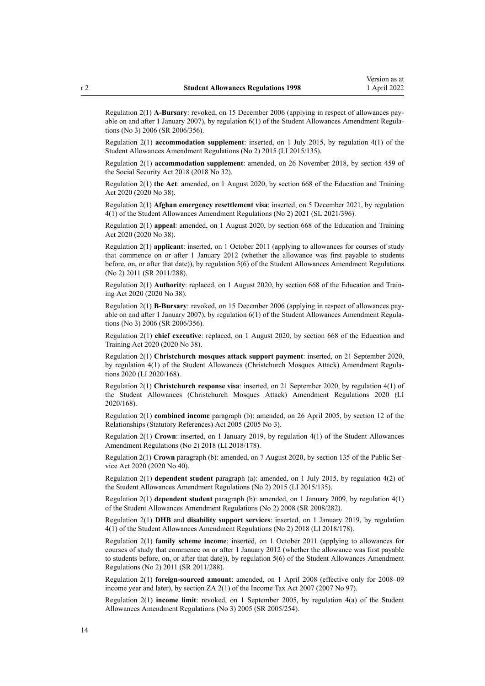Regulation 2(1) **A-Bursary**: revoked, on 15 December 2006 (applying in respect of allowances pay‐ able on and after 1 January 2007), by regulation  $6(1)$  of the Student Allowances Amendment Regulations (No 3) 2006 (SR 2006/356).

Regulation 2(1) **accommodation supplement**: inserted, on 1 July 2015, by [regulation 4\(1\)](http://legislation.govt.nz/pdflink.aspx?id=DLM6486033) of the Student Allowances Amendment Regulations (No 2) 2015 (LI 2015/135).

Regulation 2(1) **accommodation supplement**: amended, on 26 November 2018, by [section 459](http://legislation.govt.nz/pdflink.aspx?id=DLM6784038) of the Social Security Act 2018 (2018 No 32).

Regulation 2(1) **the Act**: amended, on 1 August 2020, by [section 668](http://legislation.govt.nz/pdflink.aspx?id=LMS367713) of the Education and Training Act 2020 (2020 No 38).

Regulation 2(1) **Afghan emergency resettlement visa**: inserted, on 5 December 2021, by [regulation](http://legislation.govt.nz/pdflink.aspx?id=LMS598826) [4\(1\)](http://legislation.govt.nz/pdflink.aspx?id=LMS598826) of the Student Allowances Amendment Regulations (No 2) 2021 (SL 2021/396).

Regulation 2(1) **appeal**: amended, on 1 August 2020, by [section 668](http://legislation.govt.nz/pdflink.aspx?id=LMS367713) of the Education and Training Act 2020 (2020 No 38).

Regulation 2(1) **applicant**: inserted, on 1 October 2011 (applying to allowances for courses of study that commence on or after 1 January 2012 (whether the allowance was first payable to students before, on, or after that date)), by [regulation 5\(6\)](http://legislation.govt.nz/pdflink.aspx?id=DLM3946724) of the Student Allowances Amendment Regulations (No 2) 2011 (SR 2011/288).

Regulation 2(1) **Authority**: replaced, on 1 August 2020, by [section 668](http://legislation.govt.nz/pdflink.aspx?id=LMS367713) of the Education and Train‐ ing Act 2020 (2020 No 38).

Regulation 2(1) **B-Bursary**: revoked, on 15 December 2006 (applying in respect of allowances pay‐ able on and after 1 January 2007), by regulation  $6(1)$  of the Student Allowances Amendment Regulations (No 3) 2006 (SR 2006/356).

Regulation 2(1) **chief executive**: replaced, on 1 August 2020, by [section 668](http://legislation.govt.nz/pdflink.aspx?id=LMS367713) of the Education and Training Act 2020 (2020 No 38).

Regulation 2(1) **Christchurch mosques attack support payment**: inserted, on 21 September 2020, by [regulation 4\(1\)](http://legislation.govt.nz/pdflink.aspx?id=LMS370868) of the Student Allowances (Christchurch Mosques Attack) Amendment Regulations 2020 (LI 2020/168).

Regulation 2(1) **Christchurch response visa**: inserted, on 21 September 2020, by [regulation 4\(1\)](http://legislation.govt.nz/pdflink.aspx?id=LMS370868) of the Student Allowances (Christchurch Mosques Attack) Amendment Regulations 2020 (LI 2020/168).

Regulation 2(1) **combined income** paragraph (b): amended, on 26 April 2005, by [section 12](http://legislation.govt.nz/pdflink.aspx?id=DLM334004) of the Relationships (Statutory References) Act 2005 (2005 No 3).

Regulation 2(1) **Crown**: inserted, on 1 January 2019, by [regulation 4\(1\)](http://legislation.govt.nz/pdflink.aspx?id=LMS83859) of the Student Allowances Amendment Regulations (No 2) 2018 (LI 2018/178).

Regulation 2(1) **Crown** paragraph (b): amended, on 7 August 2020, by [section 135](http://legislation.govt.nz/pdflink.aspx?id=LMS176959) of the Public Ser‐ vice Act 2020 (2020 No 40).

Regulation 2(1) **dependent student** paragraph (a): amended, on 1 July 2015, by [regulation 4\(2\)](http://legislation.govt.nz/pdflink.aspx?id=DLM6486033) of the Student Allowances Amendment Regulations (No 2) 2015 (LI 2015/135).

Regulation 2(1) **dependent student** paragraph (b): amended, on 1 January 2009, by [regulation 4\(1\)](http://legislation.govt.nz/pdflink.aspx?id=DLM1486407) of the Student Allowances Amendment Regulations (No 2) 2008 (SR 2008/282).

Regulation 2(1) **DHB** and **disability support services**: inserted, on 1 January 2019, by [regulation](http://legislation.govt.nz/pdflink.aspx?id=LMS83859) [4\(1\)](http://legislation.govt.nz/pdflink.aspx?id=LMS83859) of the Student Allowances Amendment Regulations (No 2) 2018 (LI 2018/178).

Regulation 2(1) **family scheme income**: inserted, on 1 October 2011 (applying to allowances for courses of study that commence on or after 1 January 2012 (whether the allowance was first payable to students before, on, or after that date)), by [regulation 5\(6\) o](http://legislation.govt.nz/pdflink.aspx?id=DLM3946724)f the Student Allowances Amendment Regulations (No 2) 2011 (SR 2011/288).

Regulation 2(1) **foreign-sourced amount**: amended, on 1 April 2008 (effective only for 2008–09 income year and later), by [section ZA 2\(1\)](http://legislation.govt.nz/pdflink.aspx?id=DLM1523176) of the Income Tax Act 2007 (2007 No 97).

Regulation 2(1) **income limit**: revoked, on 1 September 2005, by [regulation 4\(a\)](http://legislation.govt.nz/pdflink.aspx?id=DLM347848) of the Student Allowances Amendment Regulations (No 3) 2005 (SR 2005/254).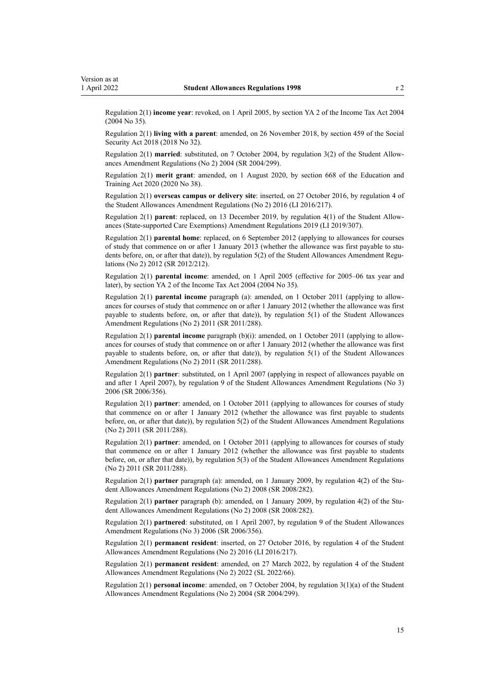Regulation 2(1) **income year**: revoked, on 1 April 2005, by [section YA 2](http://legislation.govt.nz/pdflink.aspx?id=DLM277147) of the Income Tax Act 2004 (2004 No 35).

Regulation 2(1) **living with a parent**: amended, on 26 November 2018, by [section 459](http://legislation.govt.nz/pdflink.aspx?id=DLM6784038) of the Social Security Act 2018 (2018 No 32).

Regulation 2(1) **married**: substituted, on 7 October 2004, by [regulation 3\(2\)](http://legislation.govt.nz/pdflink.aspx?id=DLM286420) of the Student Allow‐ ances Amendment Regulations (No 2) 2004 (SR 2004/299).

Regulation 2(1) **merit grant**: amended, on 1 August 2020, by [section 668](http://legislation.govt.nz/pdflink.aspx?id=LMS367713) of the Education and Training Act 2020 (2020 No 38).

Regulation 2(1) **overseas campus or delivery site**: inserted, on 27 October 2016, by [regulation 4](http://legislation.govt.nz/pdflink.aspx?id=DLM6966229) of the Student Allowances Amendment Regulations (No 2) 2016 (LI 2016/217).

Regulation 2(1) **parent**: replaced, on 13 December 2019, by [regulation 4\(1\)](http://legislation.govt.nz/pdflink.aspx?id=LMS285562) of the Student Allow‐ ances (State-supported Care Exemptions) Amendment Regulations 2019 (LI 2019/307).

Regulation 2(1) **parental home**: replaced, on 6 September 2012 (applying to allowances for courses of study that commence on or after 1 January 2013 (whether the allowance was first payable to students before, on, or after that date)), by [regulation 5\(2\)](http://legislation.govt.nz/pdflink.aspx?id=DLM4633909) of the Student Allowances Amendment Regulations (No 2) 2012 (SR 2012/212).

Regulation 2(1) **parental income**: amended, on 1 April 2005 (effective for 2005–06 tax year and later), by [section YA 2](http://legislation.govt.nz/pdflink.aspx?id=DLM277147) of the Income Tax Act 2004 (2004 No 35).

Regulation 2(1) **parental income** paragraph (a): amended, on 1 October 2011 (applying to allow‐ ances for courses of study that commence on or after 1 January 2012 (whether the allowance was first payable to students before, on, or after that date)), by [regulation 5\(1\)](http://legislation.govt.nz/pdflink.aspx?id=DLM3946724) of the Student Allowances Amendment Regulations (No 2) 2011 (SR 2011/288).

Regulation 2(1) **parental income** paragraph (b)(i): amended, on 1 October 2011 (applying to allow‐ ances for courses of study that commence on or after 1 January 2012 (whether the allowance was first payable to students before, on, or after that date)), by [regulation 5\(1\)](http://legislation.govt.nz/pdflink.aspx?id=DLM3946724) of the Student Allowances Amendment Regulations (No 2) 2011 (SR 2011/288).

Regulation 2(1) **partner**: substituted, on 1 April 2007 (applying in respect of allowances payable on and after 1 April 2007), by [regulation 9](http://legislation.govt.nz/pdflink.aspx?id=DLM418349) of the Student Allowances Amendment Regulations (No 3) 2006 (SR 2006/356).

Regulation 2(1) **partner**: amended, on 1 October 2011 (applying to allowances for courses of study that commence on or after 1 January 2012 (whether the allowance was first payable to students before, on, or after that date)), by [regulation 5\(2\)](http://legislation.govt.nz/pdflink.aspx?id=DLM3946724) of the Student Allowances Amendment Regulations (No 2) 2011 (SR 2011/288).

Regulation 2(1) **partner**: amended, on 1 October 2011 (applying to allowances for courses of study that commence on or after 1 January 2012 (whether the allowance was first payable to students before, on, or after that date)), by [regulation 5\(3\)](http://legislation.govt.nz/pdflink.aspx?id=DLM3946724) of the Student Allowances Amendment Regulations (No 2) 2011 (SR 2011/288).

Regulation 2(1) partner paragraph (a): amended, on 1 January 2009, by [regulation 4\(2\)](http://legislation.govt.nz/pdflink.aspx?id=DLM1486407) of the Student Allowances Amendment Regulations (No 2) 2008 (SR 2008/282).

Regulation 2(1) **partner** paragraph (b): amended, on 1 January 2009, by [regulation 4\(2\)](http://legislation.govt.nz/pdflink.aspx?id=DLM1486407) of the Student Allowances Amendment Regulations (No 2) 2008 (SR 2008/282).

Regulation 2(1) **partnered**: substituted, on 1 April 2007, by [regulation 9](http://legislation.govt.nz/pdflink.aspx?id=DLM418349) of the Student Allowances Amendment Regulations (No 3) 2006 (SR 2006/356).

Regulation 2(1) **permanent resident**: inserted, on 27 October 2016, by [regulation 4](http://legislation.govt.nz/pdflink.aspx?id=DLM6966229) of the Student Allowances Amendment Regulations (No 2) 2016 (LI 2016/217).

Regulation 2(1) **permanent resident**: amended, on 27 March 2022, by [regulation 4](http://legislation.govt.nz/pdflink.aspx?id=LMS655594) of the Student Allowances Amendment Regulations (No 2) 2022 (SL 2022/66).

Regulation 2(1) **personal income**: amended, on 7 October 2004, by [regulation 3\(1\)\(a\)](http://legislation.govt.nz/pdflink.aspx?id=DLM286420) of the Student Allowances Amendment Regulations (No 2) 2004 (SR 2004/299).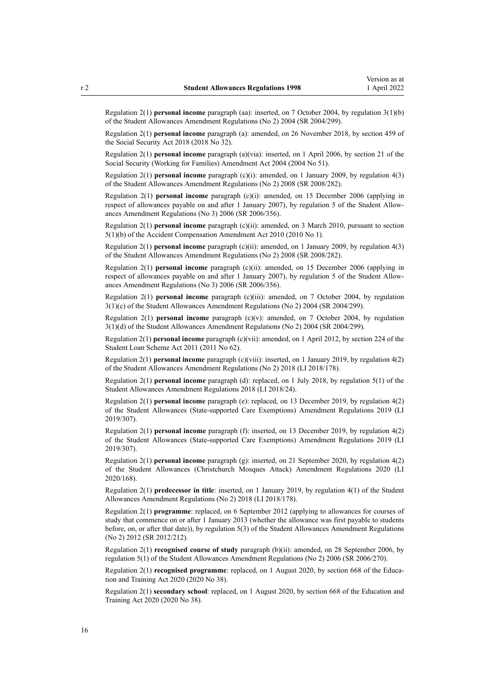Regulation 2(1) **personal income** paragraph (aa): inserted, on 7 October 2004, by [regulation 3\(1\)\(b\)](http://legislation.govt.nz/pdflink.aspx?id=DLM286420) of the Student Allowances Amendment Regulations (No 2) 2004 (SR 2004/299).

Regulation 2(1) **personal income** paragraph (a): amended, on 26 November 2018, by [section 459](http://legislation.govt.nz/pdflink.aspx?id=DLM6784038) of the Social Security Act 2018 (2018 No 32).

Regulation 2(1) **personal income** paragraph (a)(via): inserted, on 1 April 2006, by [section 21](http://legislation.govt.nz/pdflink.aspx?id=DLM298068) of the Social Security (Working for Families) Amendment Act 2004 (2004 No 51).

Regulation 2(1) **personal income** paragraph (c)(i): amended, on 1 January 2009, by [regulation 4\(3\)](http://legislation.govt.nz/pdflink.aspx?id=DLM1486407) of the Student Allowances Amendment Regulations (No 2) 2008 (SR 2008/282).

Regulation 2(1) **personal income** paragraph (c)(i): amended, on 15 December 2006 (applying in respect of allowances payable on and after 1 January 2007), by [regulation 5](http://legislation.govt.nz/pdflink.aspx?id=DLM418343) of the Student Allowances Amendment Regulations (No 3) 2006 (SR 2006/356).

Regulation 2(1) **personal income** paragraph (c)(ii): amended, on 3 March 2010, pursuant to [section](http://legislation.govt.nz/pdflink.aspx?id=DLM2773701) [5\(1\)\(b\)](http://legislation.govt.nz/pdflink.aspx?id=DLM2773701) of the Accident Compensation Amendment Act 2010 (2010 No 1).

Regulation 2(1) **personal income** paragraph (c)(ii): amended, on 1 January 2009, by [regulation 4\(3\)](http://legislation.govt.nz/pdflink.aspx?id=DLM1486407) of the Student Allowances Amendment Regulations (No 2) 2008 (SR 2008/282).

Regulation 2(1) **personal income** paragraph (c)(ii): amended, on 15 December 2006 (applying in respect of allowances payable on and after 1 January 2007), by [regulation 5](http://legislation.govt.nz/pdflink.aspx?id=DLM418343) of the Student Allowances Amendment Regulations (No 3) 2006 (SR 2006/356).

Regulation 2(1) **personal income** paragraph (c)(iii): amended, on 7 October 2004, by [regulation](http://legislation.govt.nz/pdflink.aspx?id=DLM286420) [3\(1\)\(c\)](http://legislation.govt.nz/pdflink.aspx?id=DLM286420) of the Student Allowances Amendment Regulations (No 2) 2004 (SR 2004/299).

Regulation 2(1) **personal income** paragraph (c)(v): amended, on 7 October 2004, by [regulation](http://legislation.govt.nz/pdflink.aspx?id=DLM286420) [3\(1\)\(d\)](http://legislation.govt.nz/pdflink.aspx?id=DLM286420) of the Student Allowances Amendment Regulations (No 2) 2004 (SR 2004/299).

Regulation 2(1) **personal income** paragraph (c)(vii): amended, on 1 April 2012, by [section 224](http://legislation.govt.nz/pdflink.aspx?id=DLM3180447) of the Student Loan Scheme Act 2011 (2011 No 62).

Regulation 2(1) **personal income** paragraph (c)(viii): inserted, on 1 January 2019, by [regulation 4\(2\)](http://legislation.govt.nz/pdflink.aspx?id=LMS83859) of the Student Allowances Amendment Regulations (No 2) 2018 (LI 2018/178).

Regulation 2(1) **personal income** paragraph (d): replaced, on 1 July 2018, by [regulation 5\(1\)](http://legislation.govt.nz/pdflink.aspx?id=LMS12626) of the Student Allowances Amendment Regulations 2018 (LI 2018/24).

Regulation 2(1) **personal income** paragraph (e): replaced, on 13 December 2019, by [regulation 4\(2\)](http://legislation.govt.nz/pdflink.aspx?id=LMS285562) of the Student Allowances (State-supported Care Exemptions) Amendment Regulations 2019 (LI 2019/307).

Regulation 2(1) **personal income** paragraph (f): inserted, on 13 December 2019, by [regulation 4\(2\)](http://legislation.govt.nz/pdflink.aspx?id=LMS285562) of the Student Allowances (State-supported Care Exemptions) Amendment Regulations 2019 (LI 2019/307).

Regulation 2(1) **personal income** paragraph (g): inserted, on 21 September 2020, by [regulation 4\(2\)](http://legislation.govt.nz/pdflink.aspx?id=LMS370868) of the Student Allowances (Christchurch Mosques Attack) Amendment Regulations 2020 (LI 2020/168).

Regulation 2(1) **predecessor in title**: inserted, on 1 January 2019, by [regulation 4\(1\)](http://legislation.govt.nz/pdflink.aspx?id=LMS83859) of the Student Allowances Amendment Regulations (No 2) 2018 (LI 2018/178).

Regulation 2(1) **programme**: replaced, on 6 September 2012 (applying to allowances for courses of study that commence on or after 1 January 2013 (whether the allowance was first payable to students before, on, or after that date)), by [regulation 5\(3\)](http://legislation.govt.nz/pdflink.aspx?id=DLM4633909) of the Student Allowances Amendment Regulations (No 2) 2012 (SR 2012/212).

Regulation 2(1) **recognised course of study** paragraph (b)(ii): amended, on 28 September 2006, by [regulation 5\(1\)](http://legislation.govt.nz/pdflink.aspx?id=DLM407802) of the Student Allowances Amendment Regulations (No 2) 2006 (SR 2006/270).

Regulation 2(1) **recognised programme**: replaced, on 1 August 2020, by [section 668](http://legislation.govt.nz/pdflink.aspx?id=LMS367713) of the Education and Training Act 2020 (2020 No 38).

Regulation 2(1) **secondary school**: replaced, on 1 August 2020, by [section 668](http://legislation.govt.nz/pdflink.aspx?id=LMS367713) of the Education and Training Act 2020 (2020 No 38).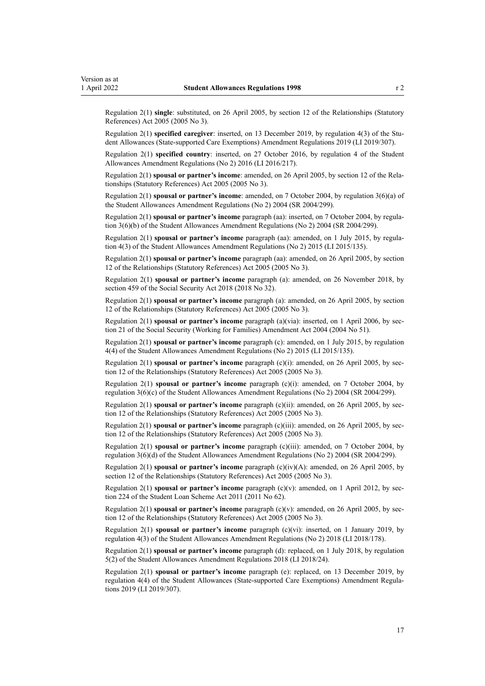Regulation 2(1) **single**: substituted, on 26 April 2005, by [section 12](http://legislation.govt.nz/pdflink.aspx?id=DLM334004) of the Relationships (Statutory References) Act 2005 (2005 No 3).

Regulation 2(1) **specified caregiver**: inserted, on 13 December 2019, by [regulation 4\(3\)](http://legislation.govt.nz/pdflink.aspx?id=LMS285562) of the Student Allowances (State-supported Care Exemptions) Amendment Regulations 2019 (LI 2019/307).

Regulation 2(1) **specified country**: inserted, on 27 October 2016, by [regulation 4](http://legislation.govt.nz/pdflink.aspx?id=DLM6966229) of the Student Allowances Amendment Regulations (No 2) 2016 (LI 2016/217).

Regulation 2(1) **spousal or partner's income**: amended, on 26 April 2005, by [section 12](http://legislation.govt.nz/pdflink.aspx?id=DLM334004) of the Rela‐ tionships (Statutory References) Act 2005 (2005 No 3).

Regulation 2(1) **spousal or partner's income**: amended, on 7 October 2004, by [regulation 3\(6\)\(a\)](http://legislation.govt.nz/pdflink.aspx?id=DLM286420) of the Student Allowances Amendment Regulations (No 2) 2004 (SR 2004/299).

Regulation 2(1) **spousal or partner's income** paragraph (aa): inserted, on 7 October 2004, by [regula‐](http://legislation.govt.nz/pdflink.aspx?id=DLM286420) [tion 3\(6\)\(b\)](http://legislation.govt.nz/pdflink.aspx?id=DLM286420) of the Student Allowances Amendment Regulations (No 2) 2004 (SR 2004/299).

Regulation 2(1) **spousal or partner's income** paragraph (aa): amended, on 1 July 2015, by [regula‐](http://legislation.govt.nz/pdflink.aspx?id=DLM6486033) [tion 4\(3\)](http://legislation.govt.nz/pdflink.aspx?id=DLM6486033) of the Student Allowances Amendment Regulations (No 2) 2015 (LI 2015/135).

Regulation 2(1) **spousal or partner's income** paragraph (aa): amended, on 26 April 2005, by [section](http://legislation.govt.nz/pdflink.aspx?id=DLM334004) [12](http://legislation.govt.nz/pdflink.aspx?id=DLM334004) of the Relationships (Statutory References) Act 2005 (2005 No 3).

Regulation 2(1) **spousal or partner's income** paragraph (a): amended, on 26 November 2018, by [section 459](http://legislation.govt.nz/pdflink.aspx?id=DLM6784038) of the Social Security Act 2018 (2018 No 32).

Regulation 2(1) **spousal or partner's income** paragraph (a): amended, on 26 April 2005, by [section](http://legislation.govt.nz/pdflink.aspx?id=DLM334004) [12](http://legislation.govt.nz/pdflink.aspx?id=DLM334004) of the Relationships (Statutory References) Act 2005 (2005 No 3).

Regulation 2(1) **spousal or partner's income** paragraph (a)(via): inserted, on 1 April 2006, by [sec‐](http://legislation.govt.nz/pdflink.aspx?id=DLM298068) [tion 21](http://legislation.govt.nz/pdflink.aspx?id=DLM298068) of the Social Security (Working for Families) Amendment Act 2004 (2004 No 51).

Regulation 2(1) **spousal or partner's income** paragraph (c): amended, on 1 July 2015, by [regulation](http://legislation.govt.nz/pdflink.aspx?id=DLM6486033) [4\(4\)](http://legislation.govt.nz/pdflink.aspx?id=DLM6486033) of the Student Allowances Amendment Regulations (No 2) 2015 (LI 2015/135).

Regulation 2(1) **spousal or partner's income** paragraph (c)(i): amended, on 26 April 2005, by [sec‐](http://legislation.govt.nz/pdflink.aspx?id=DLM334004) [tion 12](http://legislation.govt.nz/pdflink.aspx?id=DLM334004) of the Relationships (Statutory References) Act 2005 (2005 No 3).

Regulation 2(1) **spousal or partner's income** paragraph (c)(i): amended, on 7 October 2004, by [regulation 3\(6\)\(c\)](http://legislation.govt.nz/pdflink.aspx?id=DLM286420) of the Student Allowances Amendment Regulations (No 2) 2004 (SR 2004/299).

Regulation 2(1) **spousal or partner's income** paragraph (c)(ii): amended, on 26 April 2005, by [sec‐](http://legislation.govt.nz/pdflink.aspx?id=DLM334004) [tion 12](http://legislation.govt.nz/pdflink.aspx?id=DLM334004) of the Relationships (Statutory References) Act 2005 (2005 No 3).

Regulation 2(1) **spousal or partner's income** paragraph (c)(iii): amended, on 26 April 2005, by [sec‐](http://legislation.govt.nz/pdflink.aspx?id=DLM334004) [tion 12](http://legislation.govt.nz/pdflink.aspx?id=DLM334004) of the Relationships (Statutory References) Act 2005 (2005 No 3).

Regulation 2(1) **spousal or partner's income** paragraph (c)(iii): amended, on 7 October 2004, by [regulation 3\(6\)\(d\)](http://legislation.govt.nz/pdflink.aspx?id=DLM286420) of the Student Allowances Amendment Regulations (No 2) 2004 (SR 2004/299).

Regulation 2(1) **spousal or partner's income** paragraph (c)(iv)(A): amended, on 26 April 2005, by [section 12](http://legislation.govt.nz/pdflink.aspx?id=DLM334004) of the Relationships (Statutory References) Act 2005 (2005 No 3).

Regulation 2(1) **spousal or partner's income** paragraph (c)(v): amended, on 1 April 2012, by sec[tion 224](http://legislation.govt.nz/pdflink.aspx?id=DLM3180447) of the Student Loan Scheme Act 2011 (2011 No 62).

Regulation 2(1) **spousal or partner's income** paragraph (c)(v): amended, on 26 April 2005, by [sec‐](http://legislation.govt.nz/pdflink.aspx?id=DLM334004) [tion 12](http://legislation.govt.nz/pdflink.aspx?id=DLM334004) of the Relationships (Statutory References) Act 2005 (2005 No 3).

Regulation 2(1) **spousal or partner's income** paragraph (c)(vi): inserted, on 1 January 2019, by [regulation 4\(3\)](http://legislation.govt.nz/pdflink.aspx?id=LMS83859) of the Student Allowances Amendment Regulations (No 2) 2018 (LI 2018/178).

Regulation 2(1) **spousal or partner's income** paragraph (d): replaced, on 1 July 2018, by [regulation](http://legislation.govt.nz/pdflink.aspx?id=LMS12626) [5\(2\)](http://legislation.govt.nz/pdflink.aspx?id=LMS12626) of the Student Allowances Amendment Regulations 2018 (LI 2018/24).

Regulation 2(1) **spousal or partner's income** paragraph (e): replaced, on 13 December 2019, by [regulation 4\(4\)](http://legislation.govt.nz/pdflink.aspx?id=LMS285562) of the Student Allowances (State-supported Care Exemptions) Amendment Regula‐ tions 2019 (LI 2019/307).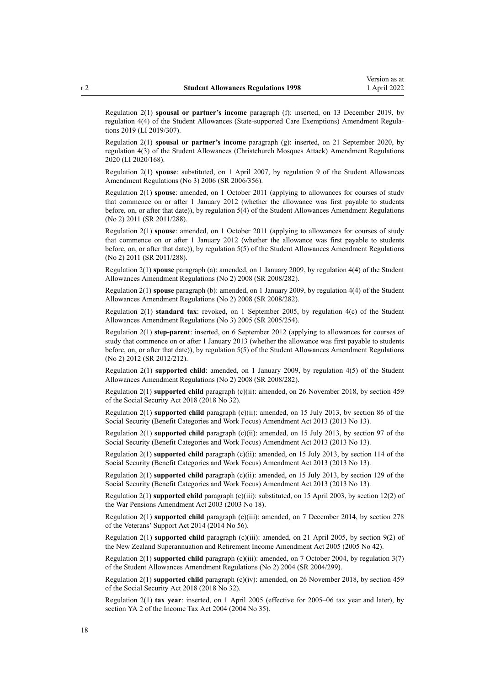Regulation 2(1) **spousal or partner's income** paragraph (f): inserted, on 13 December 2019, by [regulation 4\(4\)](http://legislation.govt.nz/pdflink.aspx?id=LMS285562) of the Student Allowances (State-supported Care Exemptions) Amendment Regulations 2019 (LI 2019/307).

Regulation 2(1) **spousal or partner's income** paragraph (g): inserted, on 21 September 2020, by [regulation 4\(3\)](http://legislation.govt.nz/pdflink.aspx?id=LMS370868) of the Student Allowances (Christchurch Mosques Attack) Amendment Regulations 2020 (LI 2020/168).

Regulation 2(1) **spouse**: substituted, on 1 April 2007, by [regulation 9](http://legislation.govt.nz/pdflink.aspx?id=DLM418349) of the Student Allowances Amendment Regulations (No 3) 2006 (SR 2006/356).

Regulation 2(1) **spouse**: amended, on 1 October 2011 (applying to allowances for courses of study that commence on or after 1 January 2012 (whether the allowance was first payable to students before, on, or after that date)), by [regulation 5\(4\)](http://legislation.govt.nz/pdflink.aspx?id=DLM3946724) of the Student Allowances Amendment Regulations (No 2) 2011 (SR 2011/288).

Regulation 2(1) **spouse**: amended, on 1 October 2011 (applying to allowances for courses of study that commence on or after 1 January 2012 (whether the allowance was first payable to students before, on, or after that date)), by [regulation 5\(5\)](http://legislation.govt.nz/pdflink.aspx?id=DLM3946724) of the Student Allowances Amendment Regulations (No 2) 2011 (SR 2011/288).

Regulation 2(1) **spouse** paragraph (a): amended, on 1 January 2009, by [regulation 4\(4\)](http://legislation.govt.nz/pdflink.aspx?id=DLM1486407) of the Student Allowances Amendment Regulations (No 2) 2008 (SR 2008/282).

Regulation 2(1) **spouse** paragraph (b): amended, on 1 January 2009, by [regulation 4\(4\)](http://legislation.govt.nz/pdflink.aspx?id=DLM1486407) of the Student Allowances Amendment Regulations (No 2) 2008 (SR 2008/282).

Regulation 2(1) **standard tax**: revoked, on 1 September 2005, by [regulation 4\(c\)](http://legislation.govt.nz/pdflink.aspx?id=DLM347848) of the Student Allowances Amendment Regulations (No 3) 2005 (SR 2005/254).

Regulation 2(1) **step-parent**: inserted, on 6 September 2012 (applying to allowances for courses of study that commence on or after 1 January 2013 (whether the allowance was first payable to students before, on, or after that date)), by [regulation 5\(5\)](http://legislation.govt.nz/pdflink.aspx?id=DLM4633909) of the Student Allowances Amendment Regulations (No 2) 2012 (SR 2012/212).

Regulation 2(1) **supported child**: amended, on 1 January 2009, by [regulation 4\(5\)](http://legislation.govt.nz/pdflink.aspx?id=DLM1486407) of the Student Allowances Amendment Regulations (No 2) 2008 (SR 2008/282).

Regulation 2(1) **supported child** paragraph (c)(ii): amended, on 26 November 2018, by [section 459](http://legislation.govt.nz/pdflink.aspx?id=DLM6784038) of the Social Security Act 2018 (2018 No 32).

Regulation 2(1) **supported child** paragraph (c)(ii): amended, on 15 July 2013, by [section 86](http://legislation.govt.nz/pdflink.aspx?id=DLM4542405) of the Social Security (Benefit Categories and Work Focus) Amendment Act 2013 (2013 No 13).

Regulation 2(1) **supported child** paragraph (c)(ii): amended, on 15 July 2013, by [section 97](http://legislation.govt.nz/pdflink.aspx?id=DLM4542434) of the Social Security (Benefit Categories and Work Focus) Amendment Act 2013 (2013 No 13).

Regulation 2(1) **supported child** paragraph (c)(ii): amended, on 15 July 2013, by [section 114](http://legislation.govt.nz/pdflink.aspx?id=DLM4542466) of the Social Security (Benefit Categories and Work Focus) Amendment Act 2013 (2013 No 13).

Regulation 2(1) **supported child** paragraph (c)(ii): amended, on 15 July 2013, by [section 129](http://legislation.govt.nz/pdflink.aspx?id=DLM4542494) of the Social Security (Benefit Categories and Work Focus) Amendment Act 2013 (2013 No 13).

Regulation 2(1) **supported child** paragraph (c)(iii): substituted, on 15 April 2003, by [section 12\(2\)](http://legislation.govt.nz/pdflink.aspx?id=DLM191905) of the War Pensions Amendment Act 2003 (2003 No 18).

Regulation 2(1) **supported child** paragraph (c)(iii): amended, on 7 December 2014, by [section 278](http://legislation.govt.nz/pdflink.aspx?id=DLM5546587) of the Veterans' Support Act 2014 (2014 No 56).

Regulation 2(1) **supported child** paragraph (c)(iii): amended, on 21 April 2005, by [section 9\(2\)](http://legislation.govt.nz/pdflink.aspx?id=DLM346494) of the New Zealand Superannuation and Retirement Income Amendment Act 2005 (2005 No 42).

Regulation 2(1) **supported child** paragraph (c)(iii): amended, on 7 October 2004, by [regulation 3\(7\)](http://legislation.govt.nz/pdflink.aspx?id=DLM286420) of the Student Allowances Amendment Regulations (No 2) 2004 (SR 2004/299).

Regulation 2(1) **supported child** paragraph (c)(iv): amended, on 26 November 2018, by [section 459](http://legislation.govt.nz/pdflink.aspx?id=DLM6784038) of the Social Security Act 2018 (2018 No 32).

Regulation 2(1) **tax year**: inserted, on 1 April 2005 (effective for 2005–06 tax year and later), by [section YA 2](http://legislation.govt.nz/pdflink.aspx?id=DLM277147) of the Income Tax Act 2004 (2004 No 35).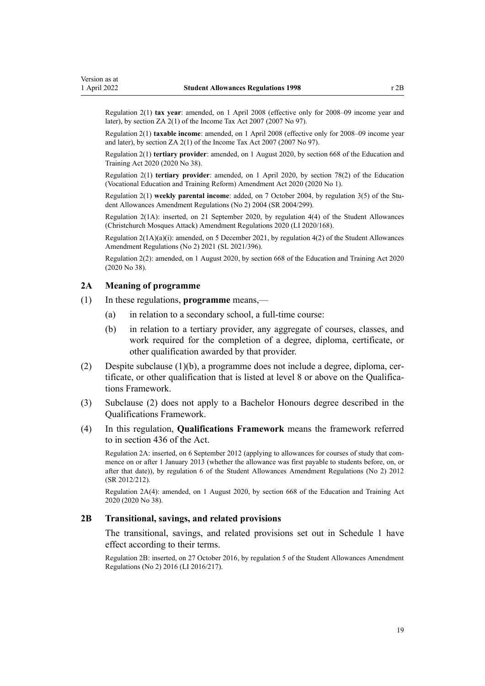<span id="page-18-0"></span>Regulation 2(1) **tax year**: amended, on 1 April 2008 (effective only for 2008–09 income year and later), by [section ZA 2\(1\)](http://legislation.govt.nz/pdflink.aspx?id=DLM1523176) of the Income Tax Act 2007 (2007 No 97).

Regulation 2(1) **taxable income**: amended, on 1 April 2008 (effective only for 2008–09 income year and later), by [section ZA 2\(1\)](http://legislation.govt.nz/pdflink.aspx?id=DLM1523176) of the Income Tax Act 2007 (2007 No 97).

Regulation 2(1) **tertiary provider**: amended, on 1 August 2020, by [section 668](http://legislation.govt.nz/pdflink.aspx?id=LMS367713) of the Education and Training Act 2020 (2020 No 38).

Regulation 2(1) **tertiary provider**: amended, on 1 April 2020, by [section 78\(2\)](http://legislation.govt.nz/pdflink.aspx?id=LMS245981) of the Education (Vocational Education and Training Reform) Amendment Act 2020 (2020 No 1).

Regulation 2(1) **weekly parental income**: added, on 7 October 2004, by [regulation 3\(5\)](http://legislation.govt.nz/pdflink.aspx?id=DLM286420) of the Student Allowances Amendment Regulations (No 2) 2004 (SR 2004/299).

Regulation 2(1A): inserted, on 21 September 2020, by [regulation 4\(4\)](http://legislation.govt.nz/pdflink.aspx?id=LMS370868) of the Student Allowances (Christchurch Mosques Attack) Amendment Regulations 2020 (LI 2020/168).

Regulation  $2(1A)(a)(i)$ : amended, on 5 December 2021, by [regulation 4\(2\)](http://legislation.govt.nz/pdflink.aspx?id=LMS598826) of the Student Allowances Amendment Regulations (No 2) 2021 (SL 2021/396).

Regulation 2(2): amended, on 1 August 2020, by [section 668](http://legislation.govt.nz/pdflink.aspx?id=LMS367713) of the Education and Training Act 2020 (2020 No 38).

### **2A Meaning of programme**

- (1) In these regulations, **programme** means,—
	- (a) in relation to a secondary school, a full-time course:
	- (b) in relation to a tertiary provider, any aggregate of courses, classes, and work required for the completion of a degree, diploma, certificate, or other qualification awarded by that provider.
- (2) Despite subclause  $(1)(b)$ , a programme does not include a degree, diploma, certificate, or other qualification that is listed at level 8 or above on the Qualifica‐ tions Framework.
- (3) Subclause (2) does not apply to a Bachelor Honours degree described in the Qualifications Framework.
- (4) In this regulation, **Qualifications Framework** means the framework referred to in [section 436](http://legislation.govt.nz/pdflink.aspx?id=LMS172274) of the Act.

Regulation 2A: inserted, on 6 September 2012 (applying to allowances for courses of study that com‐ mence on or after 1 January 2013 (whether the allowance was first payable to students before, on, or after that date)), by [regulation 6](http://legislation.govt.nz/pdflink.aspx?id=DLM4633918) of the Student Allowances Amendment Regulations (No 2) 2012 (SR 2012/212).

Regulation 2A(4): amended, on 1 August 2020, by [section 668](http://legislation.govt.nz/pdflink.aspx?id=LMS367713) of the Education and Training Act 2020 (2020 No 38).

#### **2B Transitional, savings, and related provisions**

The transitional, savings, and related provisions set out in [Schedule 1](#page-54-0) have effect according to their terms.

Regulation 2B: inserted, on 27 October 2016, by [regulation 5](http://legislation.govt.nz/pdflink.aspx?id=DLM6966236) of the Student Allowances Amendment Regulations (No 2) 2016 (LI 2016/217).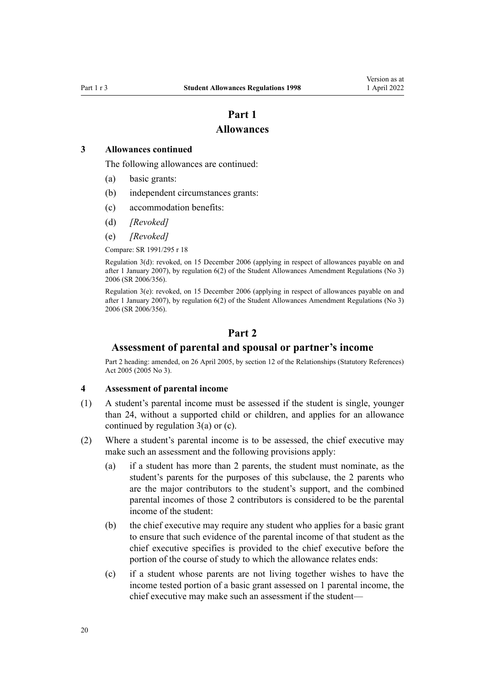### **Part 1**

### **Allowances**

### <span id="page-19-0"></span>**3 Allowances continued**

The following allowances are continued:

- (a) basic grants:
- (b) independent circumstances grants:
- (c) accommodation benefits:
- (d) *[Revoked]*
- (e) *[Revoked]*

Compare: SR 1991/295 r 18

Regulation 3(d): revoked, on 15 December 2006 (applying in respect of allowances payable on and after 1 January 2007), by [regulation 6\(2\)](http://legislation.govt.nz/pdflink.aspx?id=DLM418344) of the Student Allowances Amendment Regulations (No 3) 2006 (SR 2006/356).

Regulation 3(e): revoked, on 15 December 2006 (applying in respect of allowances payable on and after 1 January 2007), by [regulation 6\(2\)](http://legislation.govt.nz/pdflink.aspx?id=DLM418344) of the Student Allowances Amendment Regulations (No 3) 2006 (SR 2006/356).

### **Part 2**

### **Assessment of parental and spousal or partner's income**

Part 2 heading: amended, on 26 April 2005, by [section 12](http://legislation.govt.nz/pdflink.aspx?id=DLM334004) of the Relationships (Statutory References) Act 2005 (2005 No 3).

### **4 Assessment of parental income**

- (1) A student's parental income must be assessed if the student is single, younger than 24, without a supported child or children, and applies for an allowance continued by regulation 3(a) or (c).
- (2) Where a student's parental income is to be assessed, the chief executive may make such an assessment and the following provisions apply:
	- (a) if a student has more than 2 parents, the student must nominate, as the student's parents for the purposes of this subclause, the 2 parents who are the major contributors to the student's support, and the combined parental incomes of those 2 contributors is considered to be the parental income of the student:
	- (b) the chief executive may require any student who applies for a basic grant to ensure that such evidence of the parental income of that student as the chief executive specifies is provided to the chief executive before the portion of the course of study to which the allowance relates ends:
	- (c) if a student whose parents are not living together wishes to have the income tested portion of a basic grant assessed on 1 parental income, the chief executive may make such an assessment if the student—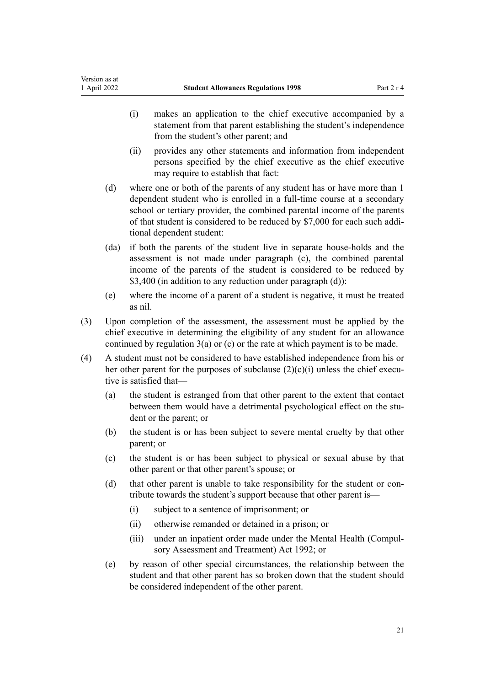- (i) makes an application to the chief executive accompanied by a statement from that parent establishing the student's independence from the student's other parent; and
- (ii) provides any other statements and information from independent persons specified by the chief executive as the chief executive may require to establish that fact:
- (d) where one or both of the parents of any student has or have more than 1 dependent student who is enrolled in a full-time course at a secondary school or tertiary provider, the combined parental income of the parents of that student is considered to be reduced by \$7,000 for each such addi‐ tional dependent student:
- (da) if both the parents of the student live in separate house-holds and the assessment is not made under paragraph (c), the combined parental income of the parents of the student is considered to be reduced by \$3,400 (in addition to any reduction under paragraph (d)):
- (e) where the income of a parent of a student is negative, it must be treated as nil.
- (3) Upon completion of the assessment, the assessment must be applied by the chief executive in determining the eligibility of any student for an allowance continued by [regulation 3\(a\) or \(c\)](#page-19-0) or the rate at which payment is to be made.
- (4) A student must not be considered to have established independence from his or her other parent for the purposes of subclause  $(2)(c)(i)$  unless the chief executive is satisfied that—
	- (a) the student is estranged from that other parent to the extent that contact between them would have a detrimental psychological effect on the student or the parent; or
	- (b) the student is or has been subject to severe mental cruelty by that other parent; or
	- (c) the student is or has been subject to physical or sexual abuse by that other parent or that other parent's spouse; or
	- (d) that other parent is unable to take responsibility for the student or contribute towards the student's support because that other parent is—
		- (i) subject to a sentence of imprisonment; or
		- (ii) otherwise remanded or detained in a prison; or
		- (iii) under an inpatient order made under the Mental Health (Compul[sory Assessment and Treatment\) Act 1992;](http://legislation.govt.nz/pdflink.aspx?id=DLM262175) or
	- (e) by reason of other special circumstances, the relationship between the student and that other parent has so broken down that the student should be considered independent of the other parent.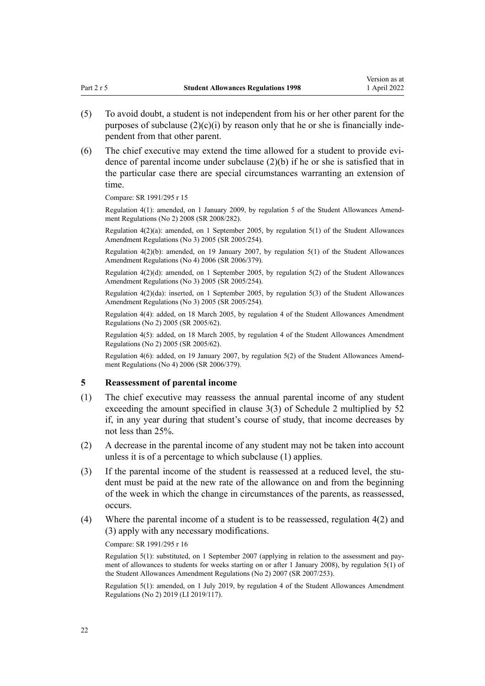- <span id="page-21-0"></span>(5) To avoid doubt, a student is not independent from his or her other parent for the purposes of subclause  $(2)(c)(i)$  by reason only that he or she is financially independent from that other parent.
- (6) The chief executive may extend the time allowed for a student to provide evidence of parental income under subclause (2)(b) if he or she is satisfied that in the particular case there are special circumstances warranting an extension of time.

Compare: SR 1991/295 r 15

Regulation 4(1): amended, on 1 January 2009, by [regulation 5](http://legislation.govt.nz/pdflink.aspx?id=DLM1486413) of the Student Allowances Amend‐ ment Regulations (No 2) 2008 (SR 2008/282).

Regulation  $4(2)(a)$ : amended, on 1 September 2005, by regulation  $5(1)$  of the Student Allowances Amendment Regulations (No 3) 2005 (SR 2005/254).

Regulation  $4(2)(b)$ : amended, on 19 January 2007, by regulation  $5(1)$  of the Student Allowances Amendment Regulations (No 4) 2006 (SR 2006/379).

Regulation 4(2)(d): amended, on 1 September 2005, by [regulation 5\(2\)](http://legislation.govt.nz/pdflink.aspx?id=DLM347849) of the Student Allowances Amendment Regulations (No 3) 2005 (SR 2005/254).

Regulation 4(2)(da): inserted, on 1 September 2005, by [regulation 5\(3\)](http://legislation.govt.nz/pdflink.aspx?id=DLM347849) of the Student Allowances Amendment Regulations (No 3) 2005 (SR 2005/254).

Regulation 4(4): added, on 18 March 2005, by [regulation 4](http://legislation.govt.nz/pdflink.aspx?id=DLM319039) of the Student Allowances Amendment Regulations (No 2) 2005 (SR 2005/62).

Regulation 4(5): added, on 18 March 2005, by [regulation 4](http://legislation.govt.nz/pdflink.aspx?id=DLM319039) of the Student Allowances Amendment Regulations (No 2) 2005 (SR 2005/62).

Regulation 4(6): added, on 19 January 2007, by [regulation 5\(2\)](http://legislation.govt.nz/pdflink.aspx?id=DLM421623) of the Student Allowances Amend‐ ment Regulations (No 4) 2006 (SR 2006/379).

### **5 Reassessment of parental income**

- (1) The chief executive may reassess the annual parental income of any student exceeding the amount specified in [clause 3\(3\)](#page-58-0) of Schedule 2 multiplied by 52 if, in any year during that student's course of study, that income decreases by not less than 25%.
- (2) A decrease in the parental income of any student may not be taken into account unless it is of a percentage to which subclause (1) applies.
- (3) If the parental income of the student is reassessed at a reduced level, the student must be paid at the new rate of the allowance on and from the beginning of the week in which the change in circumstances of the parents, as reassessed, occurs.
- (4) Where the parental income of a student is to be reassessed, [regulation 4\(2\) and](#page-19-0) [\(3\)](#page-19-0) apply with any necessary modifications.

Compare: SR 1991/295 r 16

Regulation 5(1): substituted, on 1 September 2007 (applying in relation to the assessment and payment of allowances to students for weeks starting on or after 1 January 2008), by [regulation 5\(1\)](http://legislation.govt.nz/pdflink.aspx?id=DLM972188) of the Student Allowances Amendment Regulations (No 2) 2007 (SR 2007/253).

Regulation 5(1): amended, on 1 July 2019, by [regulation 4](http://legislation.govt.nz/pdflink.aspx?id=LMS200733) of the Student Allowances Amendment Regulations (No 2) 2019 (LI 2019/117).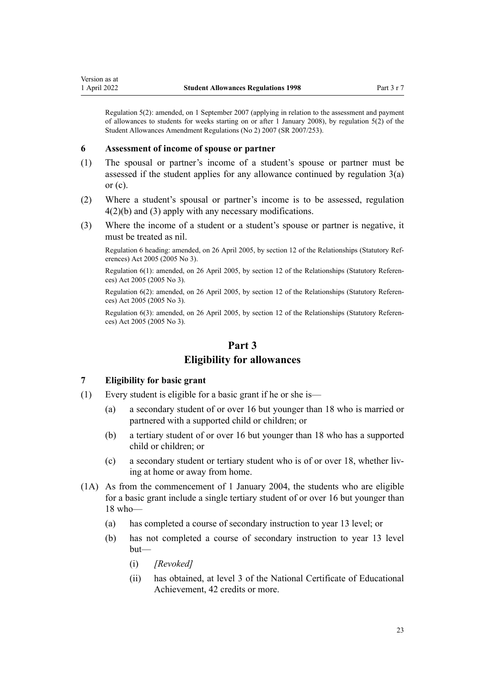<span id="page-22-0"></span>Regulation 5(2): amended, on 1 September 2007 (applying in relation to the assessment and payment of allowances to students for weeks starting on or after 1 January 2008), by [regulation 5\(2\)](http://legislation.govt.nz/pdflink.aspx?id=DLM972188) of the Student Allowances Amendment Regulations (No 2) 2007 (SR 2007/253).

#### **6 Assessment of income of spouse or partner**

- (1) The spousal or partner's income of a student's spouse or partner must be assessed if the student applies for any allowance continued by regulation  $3(a)$ or  $(c)$ .
- (2) Where a student's spousal or partner's income is to be assessed, [regulation](#page-19-0) [4\(2\)\(b\) and \(3\)](#page-19-0) apply with any necessary modifications.
- (3) Where the income of a student or a student's spouse or partner is negative, it must be treated as nil.

Regulation 6 heading: amended, on 26 April 2005, by [section 12](http://legislation.govt.nz/pdflink.aspx?id=DLM334004) of the Relationships (Statutory Ref‐ erences) Act 2005 (2005 No 3).

Regulation 6(1): amended, on 26 April 2005, by [section 12](http://legislation.govt.nz/pdflink.aspx?id=DLM334004) of the Relationships (Statutory Referen‐ ces) Act 2005 (2005 No 3).

Regulation 6(2): amended, on 26 April 2005, by [section 12](http://legislation.govt.nz/pdflink.aspx?id=DLM334004) of the Relationships (Statutory Referen‐ ces) Act 2005 (2005 No 3).

Regulation 6(3): amended, on 26 April 2005, by [section 12](http://legislation.govt.nz/pdflink.aspx?id=DLM334004) of the Relationships (Statutory Referen‐ ces) Act 2005 (2005 No 3).

### **Part 3**

### **Eligibility for allowances**

### **7 Eligibility for basic grant**

- (1) Every student is eligible for a basic grant if he or she is—
	- (a) a secondary student of or over 16 but younger than 18 who is married or partnered with a supported child or children; or
	- (b) a tertiary student of or over 16 but younger than 18 who has a supported child or children; or
	- (c) a secondary student or tertiary student who is of or over 18, whether liv‐ ing at home or away from home.
- (1A) As from the commencement of 1 January 2004, the students who are eligible for a basic grant include a single tertiary student of or over 16 but younger than 18 who—
	- (a) has completed a course of secondary instruction to year 13 level; or
	- (b) has not completed a course of secondary instruction to year 13 level but—
		- (i) *[Revoked]*
		- (ii) has obtained, at level 3 of the National Certificate of Educational Achievement, 42 credits or more.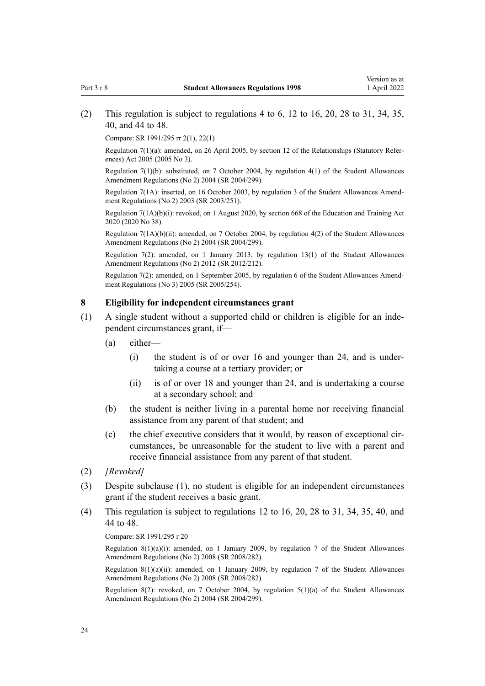### <span id="page-23-0"></span>(2) This regulation is subject to [regulations 4 to 6,](#page-19-0) [12 to 16,](#page-26-0) [20,](#page-33-0) [28 to 31,](#page-40-0) [34](#page-43-0), [35](#page-43-0), [40,](#page-45-0) and [44 to 48.](#page-48-0)

Compare: SR 1991/295 rr 2(1), 22(1)

Regulation 7(1)(a): amended, on 26 April 2005, by [section 12](http://legislation.govt.nz/pdflink.aspx?id=DLM334004) of the Relationships (Statutory Refer‐ ences) Act 2005 (2005 No 3).

Regulation 7(1)(b): substituted, on 7 October 2004, by [regulation 4\(1\)](http://legislation.govt.nz/pdflink.aspx?id=DLM286431) of the Student Allowances Amendment Regulations (No 2) 2004 (SR 2004/299).

Regulation 7(1A): inserted, on 16 October 2003, by [regulation 3](http://legislation.govt.nz/pdflink.aspx?id=DLM211973) of the Student Allowances Amend‐ ment Regulations (No 2) 2003 (SR 2003/251).

Regulation  $7(1A)(b)(i)$ : revoked, on 1 August 2020, by [section 668](http://legislation.govt.nz/pdflink.aspx?id=LMS367713) of the Education and Training Act 2020 (2020 No 38).

Regulation 7(1A)(b)(ii): amended, on 7 October 2004, by [regulation 4\(2\)](http://legislation.govt.nz/pdflink.aspx?id=DLM286431) of the Student Allowances Amendment Regulations (No 2) 2004 (SR 2004/299).

Regulation 7(2): amended, on 1 January 2013, by [regulation 13\(1\)](http://legislation.govt.nz/pdflink.aspx?id=DLM4633931) of the Student Allowances Amendment Regulations (No 2) 2012 (SR 2012/212).

Regulation 7(2): amended, on 1 September 2005, by [regulation 6](http://legislation.govt.nz/pdflink.aspx?id=DLM347850) of the Student Allowances Amend‐ ment Regulations (No 3) 2005 (SR 2005/254).

### **8 Eligibility for independent circumstances grant**

- (1) A single student without a supported child or children is eligible for an inde‐ pendent circumstances grant, if—
	- (a) either—
		- (i) the student is of or over 16 and younger than 24, and is under‐ taking a course at a tertiary provider; or
		- (ii) is of or over 18 and younger than 24, and is undertaking a course at a secondary school; and
	- (b) the student is neither living in a parental home nor receiving financial assistance from any parent of that student; and
	- (c) the chief executive considers that it would, by reason of exceptional cir‐ cumstances, be unreasonable for the student to live with a parent and receive financial assistance from any parent of that student.
- (2) *[Revoked]*
- (3) Despite subclause (1), no student is eligible for an independent circumstances grant if the student receives a basic grant.
- (4) This regulation is subject to [regulations 12 to 16](#page-26-0), [20](#page-33-0), [28 to 31,](#page-40-0) [34](#page-43-0), [35](#page-43-0), [40](#page-45-0), and [44 to 48.](#page-48-0)

#### Compare: SR 1991/295 r 20

Regulation  $8(1)(a)(i)$ : amended, on 1 January 2009, by [regulation 7](http://legislation.govt.nz/pdflink.aspx?id=DLM1486414) of the Student Allowances Amendment Regulations (No 2) 2008 (SR 2008/282).

Regulation  $8(1)(a)(ii)$ : amended, on 1 January 2009, by [regulation 7](http://legislation.govt.nz/pdflink.aspx?id=DLM1486414) of the Student Allowances Amendment Regulations (No 2) 2008 (SR 2008/282).

Regulation 8(2): revoked, on 7 October 2004, by [regulation 5\(1\)\(a\)](http://legislation.govt.nz/pdflink.aspx?id=DLM286432) of the Student Allowances Amendment Regulations (No 2) 2004 (SR 2004/299).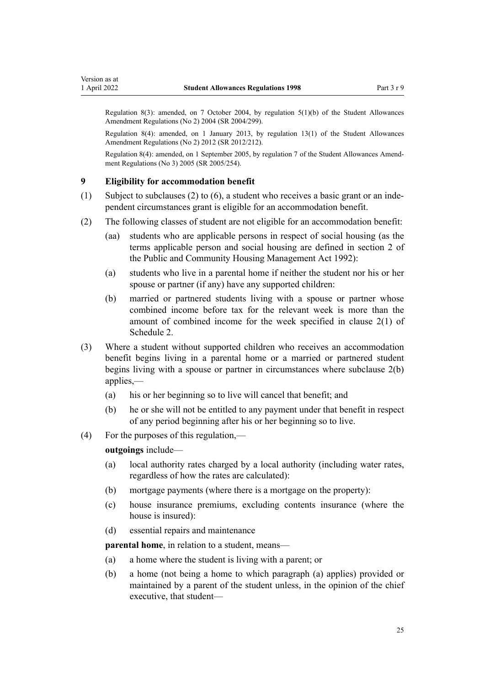<span id="page-24-0"></span>Regulation 8(3): amended, on 7 October 2004, by [regulation 5\(1\)\(b\)](http://legislation.govt.nz/pdflink.aspx?id=DLM286432) of the Student Allowances Amendment Regulations (No 2) 2004 (SR 2004/299).

Regulation 8(4): amended, on 1 January 2013, by [regulation 13\(1\)](http://legislation.govt.nz/pdflink.aspx?id=DLM4633931) of the Student Allowances Amendment Regulations (No 2) 2012 (SR 2012/212).

Regulation 8(4): amended, on 1 September 2005, by [regulation 7](http://legislation.govt.nz/pdflink.aspx?id=DLM347851) of the Student Allowances Amend‐ ment Regulations (No 3) 2005 (SR 2005/254).

### **9 Eligibility for accommodation benefit**

- (1) Subject to subclauses (2) to (6), a student who receives a basic grant or an independent circumstances grant is eligible for an accommodation benefit.
- (2) The following classes of student are not eligible for an accommodation benefit:
	- (aa) students who are applicable persons in respect of social housing (as the terms applicable person and social housing are defined in [section 2](http://legislation.govt.nz/pdflink.aspx?id=DLM269435) of the Public and Community Housing Management Act 1992):
	- (a) students who live in a parental home if neither the student nor his or her spouse or partner (if any) have any supported children:
	- (b) married or partnered students living with a spouse or partner whose combined income before tax for the relevant week is more than the amount of combined income for the week specified in [clause 2\(1\)](#page-57-0) of Schedule 2.
- (3) Where a student without supported children who receives an accommodation benefit begins living in a parental home or a married or partnered student begins living with a spouse or partner in circumstances where subclause 2(b) applies,—
	- (a) his or her beginning so to live will cancel that benefit; and
	- (b) he or she will not be entitled to any payment under that benefit in respect of any period beginning after his or her beginning so to live.
- (4) For the purposes of this regulation,—

**outgoings** include—

- (a) local authority rates charged by a local authority (including water rates, regardless of how the rates are calculated):
- (b) mortgage payments (where there is a mortgage on the property):
- (c) house insurance premiums, excluding contents insurance (where the house is insured):
- (d) essential repairs and maintenance

**parental home**, in relation to a student, means—

- (a) a home where the student is living with a parent; or
- (b) a home (not being a home to which paragraph (a) applies) provided or maintained by a parent of the student unless, in the opinion of the chief executive, that student—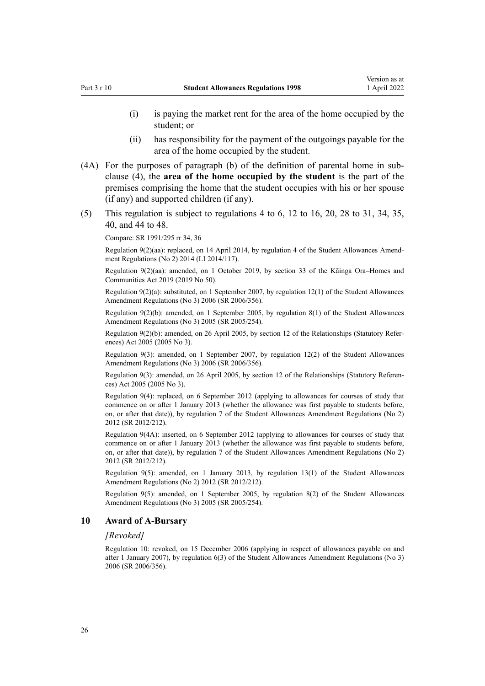- <span id="page-25-0"></span>(i) is paying the market rent for the area of the home occupied by the student; or
- (ii) has responsibility for the payment of the outgoings payable for the area of the home occupied by the student.
- (4A) For the purposes of paragraph (b) of the definition of parental home in sub‐ clause (4), the **area of the home occupied by the student** is the part of the premises comprising the home that the student occupies with his or her spouse (if any) and supported children (if any).
- (5) This regulation is subject to [regulations 4 to 6,](#page-19-0) [12 to 16,](#page-26-0) [20,](#page-33-0) [28 to 31,](#page-40-0) [34](#page-43-0), [35](#page-43-0), [40,](#page-45-0) and [44 to 48.](#page-48-0)

Compare: SR 1991/295 rr 34, 36

Regulation 9(2)(aa): replaced, on 14 April 2014, by [regulation 4](http://legislation.govt.nz/pdflink.aspx?id=DLM5994107) of the Student Allowances Amend‐ ment Regulations (No 2) 2014 (LI 2014/117).

Regulation 9(2)(aa): amended, on 1 October 2019, by [section 33](http://legislation.govt.nz/pdflink.aspx?id=LMS191136) of the Kāinga Ora–Homes and Communities Act 2019 (2019 No 50).

Regulation  $9(2)(a)$ : substituted, on 1 September 2007, by [regulation 12\(1\)](http://legislation.govt.nz/pdflink.aspx?id=DLM418359) of the Student Allowances Amendment Regulations (No 3) 2006 (SR 2006/356).

Regulation 9(2)(b): amended, on 1 September 2005, by [regulation 8\(1\)](http://legislation.govt.nz/pdflink.aspx?id=DLM347852) of the Student Allowances Amendment Regulations (No 3) 2005 (SR 2005/254).

Regulation 9(2)(b): amended, on 26 April 2005, by [section 12](http://legislation.govt.nz/pdflink.aspx?id=DLM334004) of the Relationships (Statutory Refer‐ ences) Act 2005 (2005 No 3).

Regulation 9(3): amended, on 1 September 2007, by [regulation 12\(2\)](http://legislation.govt.nz/pdflink.aspx?id=DLM418359) of the Student Allowances Amendment Regulations (No 3) 2006 (SR 2006/356).

Regulation 9(3): amended, on 26 April 2005, by [section 12](http://legislation.govt.nz/pdflink.aspx?id=DLM334004) of the Relationships (Statutory Referen‐ ces) Act 2005 (2005 No 3).

Regulation 9(4): replaced, on 6 September 2012 (applying to allowances for courses of study that commence on or after 1 January 2013 (whether the allowance was first payable to students before, on, or after that date)), by [regulation 7](http://legislation.govt.nz/pdflink.aspx?id=DLM4633921) of the Student Allowances Amendment Regulations (No 2) 2012 (SR 2012/212).

Regulation 9(4A): inserted, on 6 September 2012 (applying to allowances for courses of study that commence on or after 1 January 2013 (whether the allowance was first payable to students before, on, or after that date)), by [regulation 7](http://legislation.govt.nz/pdflink.aspx?id=DLM4633921) of the Student Allowances Amendment Regulations (No 2) 2012 (SR 2012/212).

Regulation 9(5): amended, on 1 January 2013, by [regulation 13\(1\)](http://legislation.govt.nz/pdflink.aspx?id=DLM4633931) of the Student Allowances Amendment Regulations (No 2) 2012 (SR 2012/212).

Regulation 9(5): amended, on 1 September 2005, by [regulation 8\(2\)](http://legislation.govt.nz/pdflink.aspx?id=DLM347852) of the Student Allowances Amendment Regulations (No 3) 2005 (SR 2005/254).

### **10 Award of A-Bursary**

#### *[Revoked]*

Regulation 10: revoked, on 15 December 2006 (applying in respect of allowances payable on and after 1 January 2007), by [regulation 6\(3\)](http://legislation.govt.nz/pdflink.aspx?id=DLM418344) of the Student Allowances Amendment Regulations (No 3) 2006 (SR 2006/356).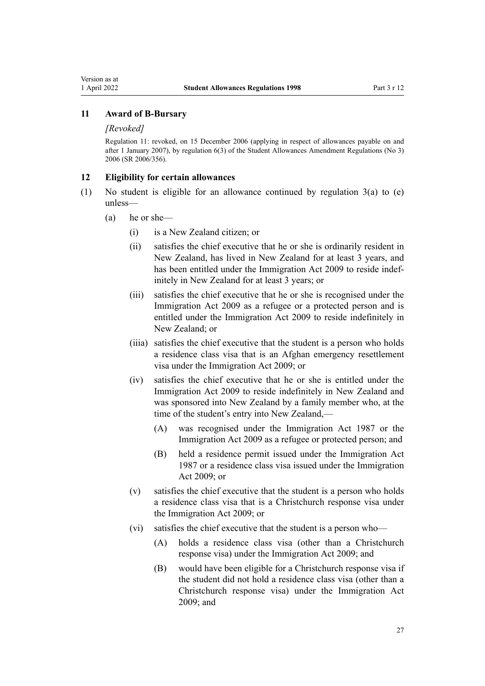### <span id="page-26-0"></span>**11 Award of B-Bursary**

#### *[Revoked]*

Regulation 11: revoked, on 15 December 2006 (applying in respect of allowances payable on and after 1 January 2007), by [regulation 6\(3\)](http://legislation.govt.nz/pdflink.aspx?id=DLM418344) of the Student Allowances Amendment Regulations (No 3) 2006 (SR 2006/356).

### **12 Eligibility for certain allowances**

- (1) No student is eligible for an allowance continued by regulation  $3(a)$  to (e) unless—
	- (a) he or she—
		- (i) is a New Zealand citizen; or
		- (ii) satisfies the chief executive that he or she is ordinarily resident in New Zealand, has lived in New Zealand for at least 3 years, and has been entitled under the [Immigration Act 2009](http://legislation.govt.nz/pdflink.aspx?id=DLM1440300) to reside indefinitely in New Zealand for at least 3 years; or
		- (iii) satisfies the chief executive that he or she is recognised under the [Immigration Act 2009](http://legislation.govt.nz/pdflink.aspx?id=DLM1440300) as a refugee or a protected person and is entitled under the Immigration Act 2009 to reside indefinitely in New Zealand; or
		- (iiia) satisfies the chief executive that the student is a person who holds a residence class visa that is an Afghan emergency resettlement visa under the [Immigration Act 2009](http://legislation.govt.nz/pdflink.aspx?id=DLM1440300); or
		- (iv) satisfies the chief executive that he or she is entitled under the [Immigration Act 2009](http://legislation.govt.nz/pdflink.aspx?id=DLM1440300) to reside indefinitely in New Zealand and was sponsored into New Zealand by a family member who, at the time of the student's entry into New Zealand,—
			- (A) was recognised under the [Immigration Act 1987](http://legislation.govt.nz/pdflink.aspx?id=DLM108017) or the [Immigration Act 2009](http://legislation.govt.nz/pdflink.aspx?id=DLM1440300) as a refugee or protected person; and
			- (B) held a residence permit issued under the [Immigration Act](http://legislation.govt.nz/pdflink.aspx?id=DLM108017) [1987](http://legislation.govt.nz/pdflink.aspx?id=DLM108017) or a residence class visa issued under the [Immigration](http://legislation.govt.nz/pdflink.aspx?id=DLM1440300) [Act 2009;](http://legislation.govt.nz/pdflink.aspx?id=DLM1440300) or
		- (v) satisfies the chief executive that the student is a person who holds a residence class visa that is a Christchurch response visa under the [Immigration Act 2009;](http://legislation.govt.nz/pdflink.aspx?id=DLM1440300) or
		- (vi) satisfies the chief executive that the student is a person who—
			- (A) holds a residence class visa (other than a Christchurch response visa) under the [Immigration Act 2009](http://legislation.govt.nz/pdflink.aspx?id=DLM1440300); and
			- (B) would have been eligible for a Christchurch response visa if the student did not hold a residence class visa (other than a Christchurch response visa) under the [Immigration Act](http://legislation.govt.nz/pdflink.aspx?id=DLM1440300) [2009](http://legislation.govt.nz/pdflink.aspx?id=DLM1440300); and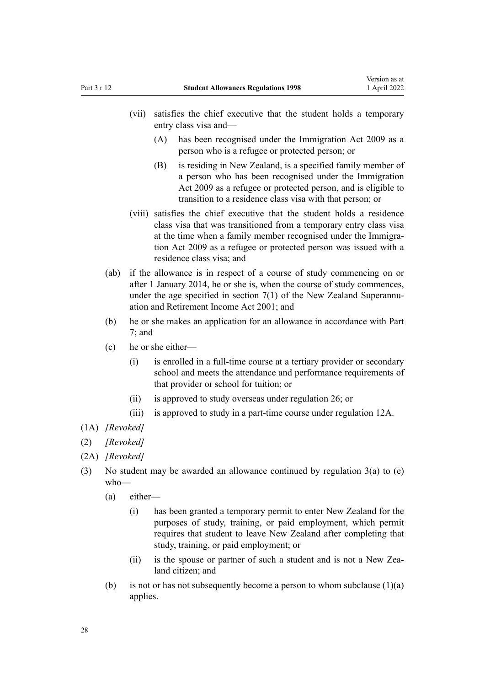- (vii) satisfies the chief executive that the student holds a temporary entry class visa and—
	- (A) has been recognised under the [Immigration Act 2009](http://legislation.govt.nz/pdflink.aspx?id=DLM1440300) as a person who is a refugee or protected person; or
	- (B) is residing in New Zealand, is a specified family member of a person who has been recognised under the [Immigration](http://legislation.govt.nz/pdflink.aspx?id=DLM1440300) [Act 2009](http://legislation.govt.nz/pdflink.aspx?id=DLM1440300) as a refugee or protected person, and is eligible to transition to a residence class visa with that person; or
- (viii) satisfies the chief executive that the student holds a residence class visa that was transitioned from a temporary entry class visa at the time when a family member recognised under the Immigra[tion Act 2009](http://legislation.govt.nz/pdflink.aspx?id=DLM1440300) as a refugee or protected person was issued with a residence class visa; and
- (ab) if the allowance is in respect of a course of study commencing on or after 1 January 2014, he or she is, when the course of study commences, under the age specified in section  $7(1)$  of the New Zealand Superannuation and Retirement Income Act 2001; and
- (b) he or she makes an application for an allowance in accordance with [Part](#page-45-0) [7;](#page-45-0) and
- (c) he or she either—
	- (i) is enrolled in a full-time course at a tertiary provider or secondary school and meets the attendance and performance requirements of that provider or school for tuition; or
	- (ii) is approved to study overseas under [regulation 26;](#page-39-0) or
	- (iii) is approved to study in a part-time course under [regulation 12A](#page-29-0).
- (1A) *[Revoked]*
- (2) *[Revoked]*
- (2A) *[Revoked]*
- (3) No student may be awarded an allowance continued by [regulation 3\(a\) to \(e\)](#page-19-0) who—
	- (a) either—
		- (i) has been granted a temporary permit to enter New Zealand for the purposes of study, training, or paid employment, which permit requires that student to leave New Zealand after completing that study, training, or paid employment; or
		- (ii) is the spouse or partner of such a student and is not a New Zealand citizen; and
	- (b) is not or has not subsequently become a person to whom subclause  $(1)(a)$ applies.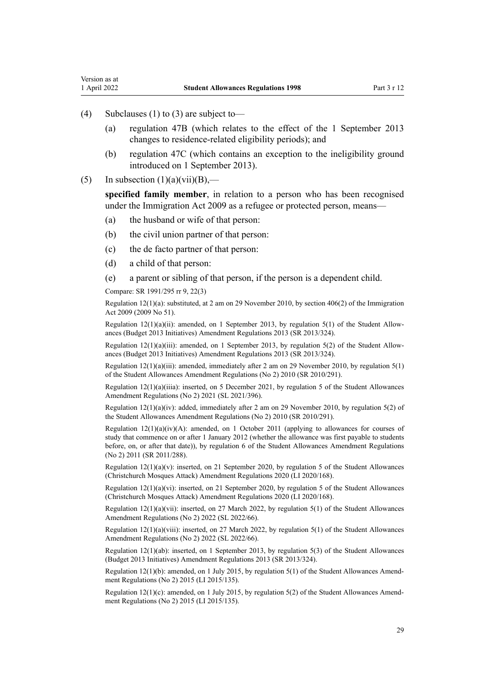Version as at

- (4) Subclauses (1) to (3) are subject to—
	- (a) [regulation 47B](#page-50-0) (which relates to the effect of the 1 September 2013 changes to residence-related eligibility periods); and
	- (b) [regulation 47C](#page-51-0) (which contains an exception to the ineligibility ground introduced on 1 September 2013).
- (5) In subsection  $(1)(a)(vii)(B)$ ,—

**specified family member**, in relation to a person who has been recognised under the [Immigration Act 2009](http://legislation.govt.nz/pdflink.aspx?id=DLM1440300) as a refugee or protected person, means—

- (a) the husband or wife of that person:
- (b) the civil union partner of that person:
- (c) the de facto partner of that person:
- (d) a child of that person:
- (e) a parent or sibling of that person, if the person is a dependent child.

Compare: SR 1991/295 rr 9, 22(3)

Regulation 12(1)(a): substituted, at 2 am on 29 November 2010, by [section 406\(2\)](http://legislation.govt.nz/pdflink.aspx?id=DLM1441347) of the Immigration Act 2009 (2009 No 51).

Regulation  $12(1)(a)(ii)$ : amended, on 1 September 2013, by [regulation 5\(1\)](http://legislation.govt.nz/pdflink.aspx?id=DLM5499210) of the Student Allowances (Budget 2013 Initiatives) Amendment Regulations 2013 (SR 2013/324).

Regulation  $12(1)(a)(iii)$ : amended, on 1 September 2013, by [regulation 5\(2\)](http://legislation.govt.nz/pdflink.aspx?id=DLM5499210) of the Student Allowances (Budget 2013 Initiatives) Amendment Regulations 2013 (SR 2013/324).

Regulation  $12(1)(a)(iii)$ : amended, immediately after 2 am on 29 November 2010, by regulation  $5(1)$ of the Student Allowances Amendment Regulations (No 2) 2010 (SR 2010/291).

Regulation 12(1)(a)(iiia): inserted, on 5 December 2021, by [regulation 5](http://legislation.govt.nz/pdflink.aspx?id=LMS598827) of the Student Allowances Amendment Regulations (No 2) 2021 (SL 2021/396).

Regulation 12(1)(a)(iv): added, immediately after 2 am on 29 November 2010, by [regulation 5\(2\)](http://legislation.govt.nz/pdflink.aspx?id=DLM3184408) of the Student Allowances Amendment Regulations (No 2) 2010 (SR 2010/291).

Regulation  $12(1)(a)(iv)(A)$ : amended, on 1 October 2011 (applying to allowances for courses of study that commence on or after 1 January 2012 (whether the allowance was first payable to students before, on, or after that date)), by [regulation 6](http://legislation.govt.nz/pdflink.aspx?id=DLM3946728) of the Student Allowances Amendment Regulations (No 2) 2011 (SR 2011/288).

Regulation 12(1)(a)(v): inserted, on 21 September 2020, by [regulation 5](http://legislation.govt.nz/pdflink.aspx?id=LMS370869) of the Student Allowances (Christchurch Mosques Attack) Amendment Regulations 2020 (LI 2020/168).

Regulation 12(1)(a)(vi): inserted, on 21 September 2020, by [regulation 5](http://legislation.govt.nz/pdflink.aspx?id=LMS370869) of the Student Allowances (Christchurch Mosques Attack) Amendment Regulations 2020 (LI 2020/168).

Regulation  $12(1)(a)(vii)$ : inserted, on 27 March 2022, by [regulation 5\(1\)](http://legislation.govt.nz/pdflink.aspx?id=LMS655597) of the Student Allowances Amendment Regulations (No 2) 2022 (SL 2022/66).

Regulation  $12(1)(a)(viii)$ : inserted, on 27 March 2022, by regulation  $5(1)$  of the Student Allowances Amendment Regulations (No 2) 2022 (SL 2022/66).

Regulation 12(1)(ab): inserted, on 1 September 2013, by [regulation 5\(3\)](http://legislation.govt.nz/pdflink.aspx?id=DLM5499210) of the Student Allowances (Budget 2013 Initiatives) Amendment Regulations 2013 (SR 2013/324).

Regulation 12(1)(b): amended, on 1 July 2015, by regulation  $5(1)$  of the Student Allowances Amendment Regulations (No 2) 2015 (LI 2015/135).

Regulation  $12(1)(c)$ : amended, on 1 July 2015, by [regulation 5\(2\)](http://legislation.govt.nz/pdflink.aspx?id=DLM6486039) of the Student Allowances Amendment Regulations (No 2) 2015 (LI 2015/135).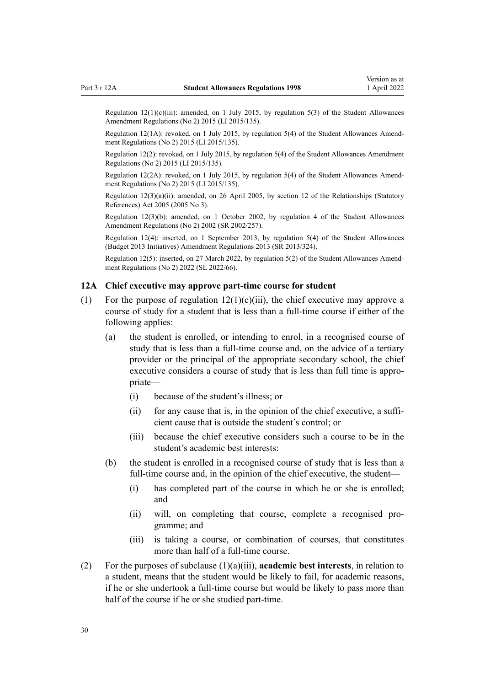<span id="page-29-0"></span>Regulation  $12(1)(c)(iii)$ : amended, on 1 July 2015, by [regulation 5\(3\)](http://legislation.govt.nz/pdflink.aspx?id=DLM6486039) of the Student Allowances Amendment Regulations (No 2) 2015 (LI 2015/135).

Regulation 12(1A): revoked, on 1 July 2015, by [regulation 5\(4\)](http://legislation.govt.nz/pdflink.aspx?id=DLM6486039) of the Student Allowances Amendment Regulations (No 2) 2015 (LI 2015/135).

Regulation 12(2): revoked, on 1 July 2015, by [regulation 5\(4\)](http://legislation.govt.nz/pdflink.aspx?id=DLM6486039) of the Student Allowances Amendment Regulations (No 2) 2015 (LI 2015/135).

Regulation 12(2A): revoked, on 1 July 2015, by [regulation 5\(4\)](http://legislation.govt.nz/pdflink.aspx?id=DLM6486039) of the Student Allowances Amend‐ ment Regulations (No 2) 2015 (LI 2015/135).

Regulation 12(3)(a)(ii): amended, on 26 April 2005, by [section 12](http://legislation.govt.nz/pdflink.aspx?id=DLM334004) of the Relationships (Statutory References) Act 2005 (2005 No 3).

Regulation 12(3)(b): amended, on 1 October 2002, by [regulation 4](http://legislation.govt.nz/pdflink.aspx?id=DLM142946) of the Student Allowances Amendment Regulations (No 2) 2002 (SR 2002/257).

Regulation 12(4): inserted, on 1 September 2013, by [regulation 5\(4\)](http://legislation.govt.nz/pdflink.aspx?id=DLM5499210) of the Student Allowances (Budget 2013 Initiatives) Amendment Regulations 2013 (SR 2013/324).

Regulation 12(5): inserted, on 27 March 2022, by [regulation 5\(2\)](http://legislation.govt.nz/pdflink.aspx?id=LMS655597) of the Student Allowances Amend‐ ment Regulations (No 2) 2022 (SL 2022/66).

### **12A Chief executive may approve part-time course for student**

- (1) For the purpose of regulation  $12(1)(c)(iii)$ , the chief executive may approve a course of study for a student that is less than a full-time course if either of the following applies:
	- (a) the student is enrolled, or intending to enrol, in a recognised course of study that is less than a full-time course and, on the advice of a tertiary provider or the principal of the appropriate secondary school, the chief executive considers a course of study that is less than full time is appropriate—
		- (i) because of the student's illness; or
		- (ii) for any cause that is, in the opinion of the chief executive, a sufficient cause that is outside the student's control; or
		- (iii) because the chief executive considers such a course to be in the student's academic best interests:
	- (b) the student is enrolled in a recognised course of study that is less than a full-time course and, in the opinion of the chief executive, the student—
		- (i) has completed part of the course in which he or she is enrolled; and
		- (ii) will, on completing that course, complete a recognised pro‐ gramme; and
		- (iii) is taking a course, or combination of courses, that constitutes more than half of a full-time course.
- (2) For the purposes of subclause (1)(a)(iii), **academic best interests**, in relation to a student, means that the student would be likely to fail, for academic reasons, if he or she undertook a full-time course but would be likely to pass more than half of the course if he or she studied part-time.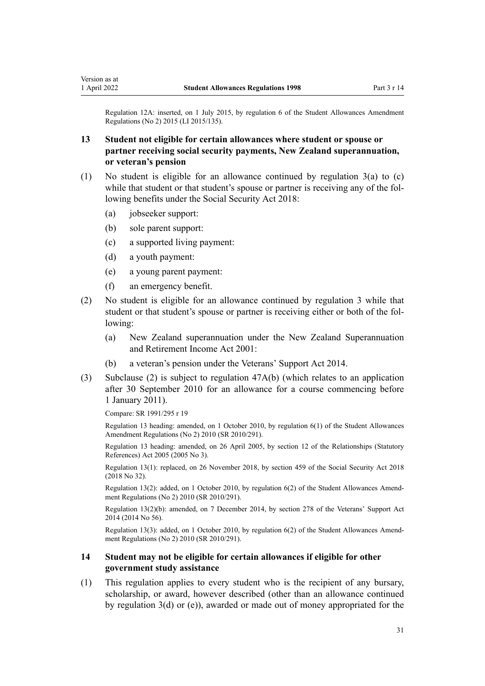<span id="page-30-0"></span>Regulation 12A: inserted, on 1 July 2015, by [regulation 6](http://legislation.govt.nz/pdflink.aspx?id=DLM6486040) of the Student Allowances Amendment Regulations (No 2) 2015 (LI 2015/135).

### **13 Student not eligible for certain allowances where student or spouse or partner receiving social security payments, New Zealand superannuation, or veteran's pension**

- (1) No student is eligible for an allowance continued by [regulation 3\(a\) to \(c\)](#page-19-0) while that student or that student's spouse or partner is receiving any of the following benefits under the [Social Security Act 2018:](http://legislation.govt.nz/pdflink.aspx?id=DLM6783102)
	- (a) jobseeker support:
	- (b) sole parent support:
	- (c) a supported living payment:
	- (d) a youth payment:
	- (e) a young parent payment:
	- (f) an emergency benefit.
- (2) No student is eligible for an allowance continued by [regulation 3](#page-19-0) while that student or that student's spouse or partner is receiving either or both of the fol‐ lowing:
	- (a) New Zealand superannuation under the [New Zealand Superannuation](http://legislation.govt.nz/pdflink.aspx?id=DLM113923) [and Retirement Income Act 2001](http://legislation.govt.nz/pdflink.aspx?id=DLM113923):
	- (b) a veteran's pension under the [Veterans' Support Act 2014](http://legislation.govt.nz/pdflink.aspx?id=DLM5537772).
- (3) Subclause (2) is subject to [regulation 47A\(b\)](#page-50-0) (which relates to an application after 30 September 2010 for an allowance for a course commencing before 1 January 2011).

Compare: SR 1991/295 r 19

Regulation 13 heading: amended, on 1 October 2010, by [regulation 6\(1\)](http://legislation.govt.nz/pdflink.aspx?id=DLM3184409) of the Student Allowances Amendment Regulations (No 2) 2010 (SR 2010/291).

Regulation 13 heading: amended, on 26 April 2005, by [section 12](http://legislation.govt.nz/pdflink.aspx?id=DLM334004) of the Relationships (Statutory References) Act 2005 (2005 No 3).

Regulation 13(1): replaced, on 26 November 2018, by [section 459](http://legislation.govt.nz/pdflink.aspx?id=DLM6784038) of the Social Security Act 2018 (2018 No 32).

Regulation 13(2): added, on 1 October 2010, by [regulation 6\(2\)](http://legislation.govt.nz/pdflink.aspx?id=DLM3184409) of the Student Allowances Amendment Regulations (No 2) 2010 (SR 2010/291).

Regulation 13(2)(b): amended, on 7 December 2014, by [section 278](http://legislation.govt.nz/pdflink.aspx?id=DLM5546587) of the Veterans' Support Act 2014 (2014 No 56).

Regulation 13(3): added, on 1 October 2010, by [regulation 6\(2\)](http://legislation.govt.nz/pdflink.aspx?id=DLM3184409) of the Student Allowances Amend‐ ment Regulations (No 2) 2010 (SR 2010/291).

### **14 Student may not be eligible for certain allowances if eligible for other government study assistance**

(1) This regulation applies to every student who is the recipient of any bursary, scholarship, or award, however described (other than an allowance continued by [regulation 3\(d\) or \(e\)\)](#page-19-0), awarded or made out of money appropriated for the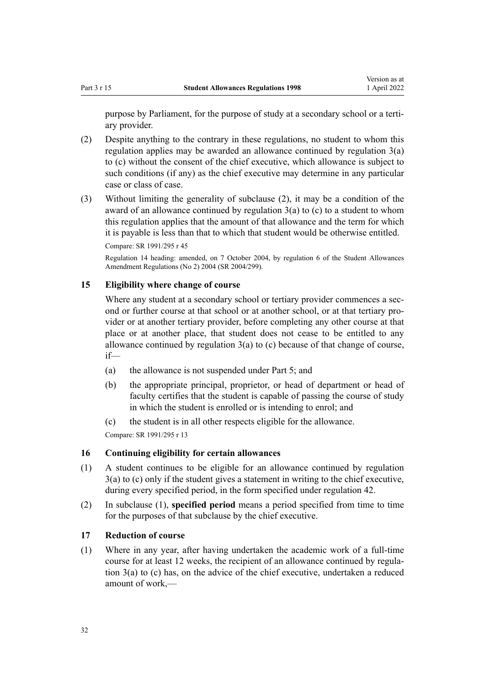<span id="page-31-0"></span>purpose by Parliament, for the purpose of study at a secondary school or a tertiary provider.

- (2) Despite anything to the contrary in these regulations, no student to whom this regulation applies may be awarded an allowance continued by regulation  $3(a)$ [to \(c\)](#page-19-0) without the consent of the chief executive, which allowance is subject to such conditions (if any) as the chief executive may determine in any particular case or class of case.
- (3) Without limiting the generality of subclause (2), it may be a condition of the award of an allowance continued by regulation  $3(a)$  to (c) to a student to whom this regulation applies that the amount of that allowance and the term for which it is payable is less than that to which that student would be otherwise entitled.

Compare: SR 1991/295 r 45

Regulation 14 heading: amended, on 7 October 2004, by [regulation 6](http://legislation.govt.nz/pdflink.aspx?id=DLM286433) of the Student Allowances Amendment Regulations (No 2) 2004 (SR 2004/299).

### **15 Eligibility where change of course**

Where any student at a secondary school or tertiary provider commences a second or further course at that school or at another school, or at that tertiary pro‐ vider or at another tertiary provider, before completing any other course at that place or at another place, that student does not cease to be entitled to any allowance continued by regulation  $3(a)$  to (c) because of that change of course, if—

- (a) the allowance is not suspended under [Part 5;](#page-39-0) and
- (b) the appropriate principal, proprietor, or head of department or head of faculty certifies that the student is capable of passing the course of study in which the student is enrolled or is intending to enrol; and
- (c) the student is in all other respects eligible for the allowance.

Compare: SR 1991/295 r 13

### **16 Continuing eligibility for certain allowances**

- (1) A student continues to be eligible for an allowance continued by [regulation](#page-19-0) [3\(a\) to \(c\)](#page-19-0) only if the student gives a statement in writing to the chief executive, during every specified period, in the form specified under [regulation 42](#page-47-0).
- (2) In subclause (1), **specified period** means a period specified from time to time for the purposes of that subclause by the chief executive.

### **17 Reduction of course**

(1) Where in any year, after having undertaken the academic work of a full-time course for at least 12 weeks, the recipient of an allowance continued by regula[tion 3\(a\) to \(c\)](#page-19-0) has, on the advice of the chief executive, undertaken a reduced amount of work,—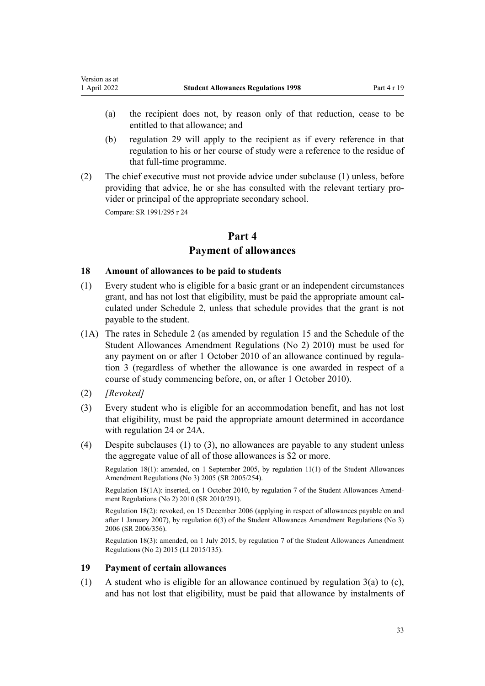- <span id="page-32-0"></span>(a) the recipient does not, by reason only of that reduction, cease to be entitled to that allowance; and
- (b) [regulation 29](#page-40-0) will apply to the recipient as if every reference in that regulation to his or her course of study were a reference to the residue of that full-time programme.
- (2) The chief executive must not provide advice under subclause (1) unless, before providing that advice, he or she has consulted with the relevant tertiary provider or principal of the appropriate secondary school.

Compare: SR 1991/295 r 24

### **Part 4 Payment of allowances**

### **18 Amount of allowances to be paid to students**

- (1) Every student who is eligible for a basic grant or an independent circumstances grant, and has not lost that eligibility, must be paid the appropriate amount calculated under [Schedule 2,](#page-57-0) unless that schedule provides that the grant is not payable to the student.
- (1A) The rates in [Schedule 2](#page-57-0) (as amended by [regulation 15](http://legislation.govt.nz/pdflink.aspx?id=DLM3184420) and the [Schedule](http://legislation.govt.nz/pdflink.aspx?id=DLM3184422) of the Student Allowances Amendment Regulations (No 2) 2010) must be used for any payment on or after 1 October 2010 of an allowance continued by regula[tion 3](#page-19-0) (regardless of whether the allowance is one awarded in respect of a course of study commencing before, on, or after 1 October 2010).
- (2) *[Revoked]*
- (3) Every student who is eligible for an accommodation benefit, and has not lost that eligibility, must be paid the appropriate amount determined in accordance with [regulation 24](#page-37-0) or [24A.](#page-38-0)
- (4) Despite subclauses (1) to (3), no allowances are payable to any student unless the aggregate value of all of those allowances is \$2 or more.

Regulation 18(1): amended, on 1 September 2005, by [regulation 11\(1\)](http://legislation.govt.nz/pdflink.aspx?id=DLM347855) of the Student Allowances Amendment Regulations (No 3) 2005 (SR 2005/254).

Regulation 18(1A): inserted, on 1 October 2010, by [regulation 7](http://legislation.govt.nz/pdflink.aspx?id=DLM3184410) of the Student Allowances Amend‐ ment Regulations (No 2) 2010 (SR 2010/291).

Regulation 18(2): revoked, on 15 December 2006 (applying in respect of allowances payable on and after 1 January 2007), by [regulation 6\(3\)](http://legislation.govt.nz/pdflink.aspx?id=DLM418344) of the Student Allowances Amendment Regulations (No 3) 2006 (SR 2006/356).

Regulation 18(3): amended, on 1 July 2015, by [regulation 7](http://legislation.govt.nz/pdflink.aspx?id=DLM6486043) of the Student Allowances Amendment Regulations (No 2) 2015 (LI 2015/135).

### **19 Payment of certain allowances**

(1) A student who is eligible for an allowance continued by [regulation 3\(a\) to \(c\)](#page-19-0), and has not lost that eligibility, must be paid that allowance by instalments of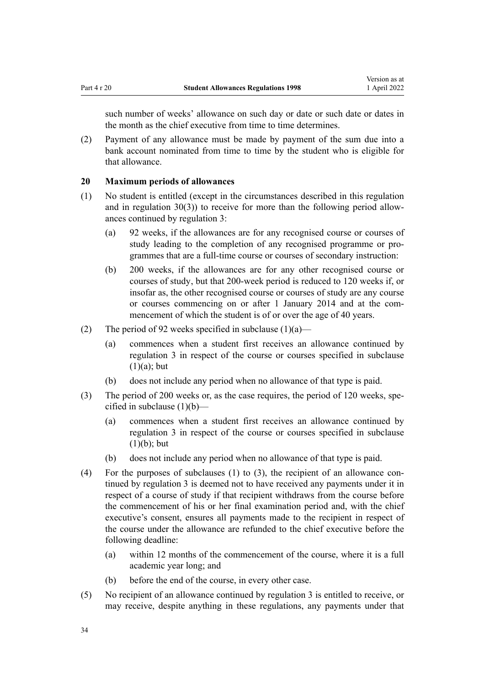<span id="page-33-0"></span>such number of weeks' allowance on such day or date or such date or dates in the month as the chief executive from time to time determines.

(2) Payment of any allowance must be made by payment of the sum due into a bank account nominated from time to time by the student who is eligible for that allowance.

### **20 Maximum periods of allowances**

- (1) No student is entitled (except in the circumstances described in this regulation and in regulation  $30(3)$ ) to receive for more than the following period allowances continued by [regulation 3](#page-19-0):
	- (a) 92 weeks, if the allowances are for any recognised course or courses of study leading to the completion of any recognised programme or pro‐ grammes that are a full-time course or courses of secondary instruction:
	- (b) 200 weeks, if the allowances are for any other recognised course or courses of study, but that 200-week period is reduced to 120 weeks if, or insofar as, the other recognised course or courses of study are any course or courses commencing on or after 1 January 2014 and at the commencement of which the student is of or over the age of 40 years.
- (2) The period of 92 weeks specified in subclause  $(1)(a)$ 
	- (a) commences when a student first receives an allowance continued by [regulation 3](#page-19-0) in respect of the course or courses specified in subclause  $(1)(a)$ ; but
	- (b) does not include any period when no allowance of that type is paid.
- (3) The period of 200 weeks or, as the case requires, the period of 120 weeks, spe‐ cified in subclause (1)(b)—
	- (a) commences when a student first receives an allowance continued by [regulation 3](#page-19-0) in respect of the course or courses specified in subclause  $(1)(b)$ ; but
	- (b) does not include any period when no allowance of that type is paid.
- (4) For the purposes of subclauses  $(1)$  to  $(3)$ , the recipient of an allowance continued by [regulation 3](#page-19-0) is deemed not to have received any payments under it in respect of a course of study if that recipient withdraws from the course before the commencement of his or her final examination period and, with the chief executive's consent, ensures all payments made to the recipient in respect of the course under the allowance are refunded to the chief executive before the following deadline:
	- (a) within 12 months of the commencement of the course, where it is a full academic year long; and
	- (b) before the end of the course, in every other case.
- (5) No recipient of an allowance continued by [regulation 3](#page-19-0) is entitled to receive, or may receive, despite anything in these regulations, any payments under that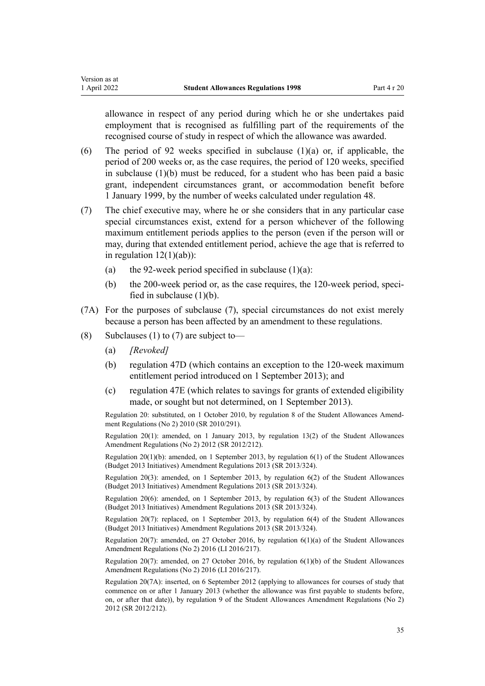allowance in respect of any period during which he or she undertakes paid employment that is recognised as fulfilling part of the requirements of the recognised course of study in respect of which the allowance was awarded.

- (6) The period of 92 weeks specified in subclause  $(1)(a)$  or, if applicable, the period of 200 weeks or, as the case requires, the period of 120 weeks, specified in subclause (1)(b) must be reduced, for a student who has been paid a basic grant, independent circumstances grant, or accommodation benefit before 1 January 1999, by the number of weeks calculated under [regulation 48](#page-52-0).
- (7) The chief executive may, where he or she considers that in any particular case special circumstances exist, extend for a person whichever of the following maximum entitlement periods applies to the person (even if the person will or may, during that extended entitlement period, achieve the age that is referred to in regulation  $12(1)(ab)$ :
	- (a) the 92-week period specified in subclause  $(1)(a)$ :
	- (b) the 200-week period or, as the case requires, the 120-week period, specified in subclause  $(1)(b)$ .
- (7A) For the purposes of subclause (7), special circumstances do not exist merely because a person has been affected by an amendment to these regulations.
- (8) Subclauses (1) to (7) are subject to-
	- (a) *[Revoked]*
	- (b) [regulation 47D](#page-51-0) (which contains an exception to the 120-week maximum entitlement period introduced on 1 September 2013); and
	- (c) [regulation 47E](#page-52-0) (which relates to savings for grants of extended eligibility made, or sought but not determined, on 1 September 2013).

Regulation 20: substituted, on 1 October 2010, by [regulation 8](http://legislation.govt.nz/pdflink.aspx?id=DLM3184411) of the Student Allowances Amend‐ ment Regulations (No 2) 2010 (SR 2010/291).

Regulation 20(1): amended, on 1 January 2013, by [regulation 13\(2\)](http://legislation.govt.nz/pdflink.aspx?id=DLM4633931) of the Student Allowances Amendment Regulations (No 2) 2012 (SR 2012/212).

Regulation 20(1)(b): amended, on 1 September 2013, by [regulation 6\(1\)](http://legislation.govt.nz/pdflink.aspx?id=DLM5499211) of the Student Allowances (Budget 2013 Initiatives) Amendment Regulations 2013 (SR 2013/324).

Regulation 20(3): amended, on 1 September 2013, by [regulation 6\(2\)](http://legislation.govt.nz/pdflink.aspx?id=DLM5499211) of the Student Allowances (Budget 2013 Initiatives) Amendment Regulations 2013 (SR 2013/324).

Regulation 20(6): amended, on 1 September 2013, by [regulation 6\(3\)](http://legislation.govt.nz/pdflink.aspx?id=DLM5499211) of the Student Allowances (Budget 2013 Initiatives) Amendment Regulations 2013 (SR 2013/324).

Regulation 20(7): replaced, on 1 September 2013, by [regulation 6\(4\)](http://legislation.govt.nz/pdflink.aspx?id=DLM5499211) of the Student Allowances (Budget 2013 Initiatives) Amendment Regulations 2013 (SR 2013/324).

Regulation 20(7): amended, on 27 October 2016, by [regulation 6\(1\)\(a\)](http://legislation.govt.nz/pdflink.aspx?id=DLM6966238) of the Student Allowances Amendment Regulations (No 2) 2016 (LI 2016/217).

Regulation 20(7): amended, on 27 October 2016, by [regulation 6\(1\)\(b\)](http://legislation.govt.nz/pdflink.aspx?id=DLM6966238) of the Student Allowances Amendment Regulations (No 2) 2016 (LI 2016/217).

Regulation 20(7A): inserted, on 6 September 2012 (applying to allowances for courses of study that commence on or after 1 January 2013 (whether the allowance was first payable to students before, on, or after that date)), by [regulation 9](http://legislation.govt.nz/pdflink.aspx?id=DLM4633927) of the Student Allowances Amendment Regulations (No 2) 2012 (SR 2012/212).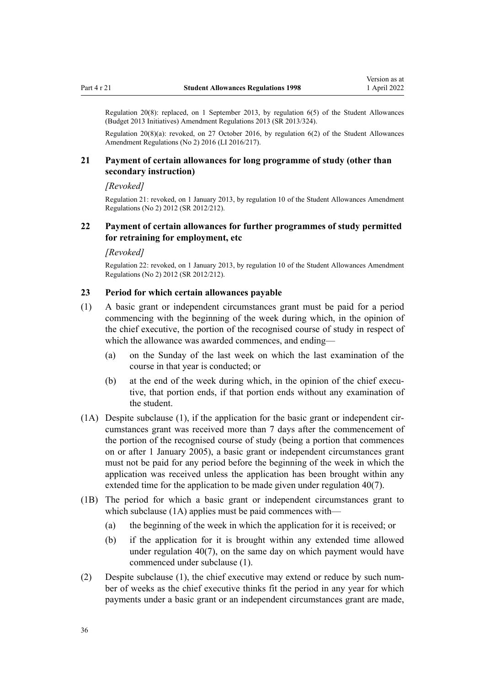<span id="page-35-0"></span>Regulation 20(8): replaced, on 1 September 2013, by [regulation 6\(5\)](http://legislation.govt.nz/pdflink.aspx?id=DLM5499211) of the Student Allowances (Budget 2013 Initiatives) Amendment Regulations 2013 (SR 2013/324).

Regulation 20(8)(a): revoked, on 27 October 2016, by [regulation 6\(2\)](http://legislation.govt.nz/pdflink.aspx?id=DLM6966238) of the Student Allowances Amendment Regulations (No 2) 2016 (LI 2016/217).

### **21 Payment of certain allowances for long programme of study (other than secondary instruction)**

#### *[Revoked]*

Regulation 21: revoked, on 1 January 2013, by [regulation 10](http://legislation.govt.nz/pdflink.aspx?id=DLM4633928) of the Student Allowances Amendment Regulations (No 2) 2012 (SR 2012/212).

### **22 Payment of certain allowances for further programmes of study permitted for retraining for employment, etc**

#### *[Revoked]*

Regulation 22: revoked, on 1 January 2013, by [regulation 10](http://legislation.govt.nz/pdflink.aspx?id=DLM4633928) of the Student Allowances Amendment Regulations (No 2) 2012 (SR 2012/212).

### **23 Period for which certain allowances payable**

- (1) A basic grant or independent circumstances grant must be paid for a period commencing with the beginning of the week during which, in the opinion of the chief executive, the portion of the recognised course of study in respect of which the allowance was awarded commences, and ending—
	- (a) on the Sunday of the last week on which the last examination of the course in that year is conducted; or
	- (b) at the end of the week during which, in the opinion of the chief executive, that portion ends, if that portion ends without any examination of the student.
- $(1A)$  Despite subclause  $(1)$ , if the application for the basic grant or independent circumstances grant was received more than 7 days after the commencement of the portion of the recognised course of study (being a portion that commences on or after 1 January 2005), a basic grant or independent circumstances grant must not be paid for any period before the beginning of the week in which the application was received unless the application has been brought within any extended time for the application to be made given under [regulation 40\(7\)](#page-45-0).
- (1B) The period for which a basic grant or independent circumstances grant to which subclause (1A) applies must be paid commences with—
	- (a) the beginning of the week in which the application for it is received; or
	- (b) if the application for it is brought within any extended time allowed under [regulation 40\(7\)](#page-45-0), on the same day on which payment would have commenced under subclause (1).
- (2) Despite subclause (1), the chief executive may extend or reduce by such num‐ ber of weeks as the chief executive thinks fit the period in any year for which payments under a basic grant or an independent circumstances grant are made,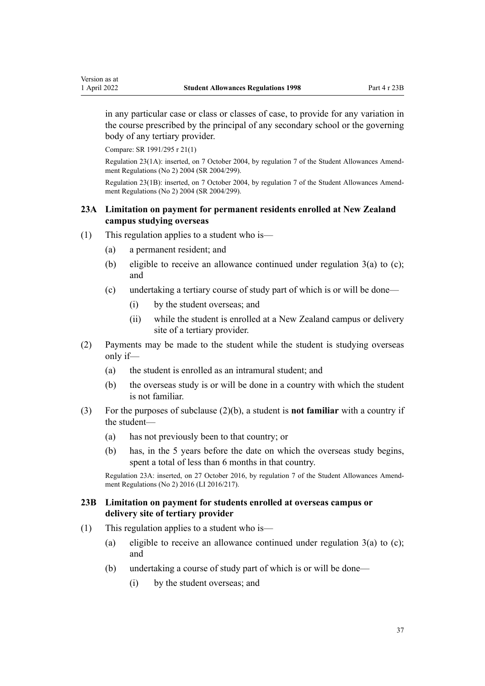<span id="page-36-0"></span>in any particular case or class or classes of case, to provide for any variation in the course prescribed by the principal of any secondary school or the governing body of any tertiary provider.

Compare: SR 1991/295 r 21(1)

Regulation 23(1A): inserted, on 7 October 2004, by [regulation 7](http://legislation.govt.nz/pdflink.aspx?id=DLM286434) of the Student Allowances Amend‐ ment Regulations (No 2) 2004 (SR 2004/299).

Regulation 23(1B): inserted, on 7 October 2004, by [regulation 7](http://legislation.govt.nz/pdflink.aspx?id=DLM286434) of the Student Allowances Amend‐ ment Regulations (No 2) 2004 (SR 2004/299).

### **23A Limitation on payment for permanent residents enrolled at New Zealand campus studying overseas**

- (1) This regulation applies to a student who is—
	- (a) a permanent resident; and
	- (b) eligible to receive an allowance continued under [regulation 3\(a\) to \(c\);](#page-19-0) and
	- (c) undertaking a tertiary course of study part of which is or will be done—
		- (i) by the student overseas; and
		- (ii) while the student is enrolled at a New Zealand campus or delivery site of a tertiary provider.
- (2) Payments may be made to the student while the student is studying overseas only if—
	- (a) the student is enrolled as an intramural student; and
	- (b) the overseas study is or will be done in a country with which the student is not familiar.
- (3) For the purposes of subclause (2)(b), a student is **not familiar** with a country if the student—
	- (a) has not previously been to that country; or
	- (b) has, in the 5 years before the date on which the overseas study begins, spent a total of less than 6 months in that country.

Regulation 23A: inserted, on 27 October 2016, by [regulation 7](http://legislation.govt.nz/pdflink.aspx?id=DLM6966239) of the Student Allowances Amend‐ ment Regulations (No 2) 2016 (LI 2016/217).

### **23B Limitation on payment for students enrolled at overseas campus or delivery site of tertiary provider**

- (1) This regulation applies to a student who is—
	- (a) eligible to receive an allowance continued under regulation  $3(a)$  to (c); and
	- (b) undertaking a course of study part of which is or will be done—
		- (i) by the student overseas; and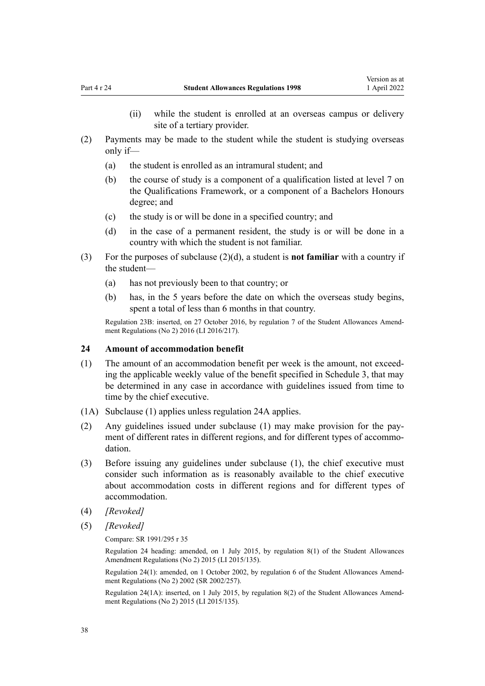- (ii) while the student is enrolled at an overseas campus or delivery site of a tertiary provider.
- <span id="page-37-0"></span>(2) Payments may be made to the student while the student is studying overseas only if—
	- (a) the student is enrolled as an intramural student; and
	- (b) the course of study is a component of a qualification listed at level 7 on the Qualifications Framework, or a component of a Bachelors Honours degree; and
	- (c) the study is or will be done in a specified country; and
	- (d) in the case of a permanent resident, the study is or will be done in a country with which the student is not familiar.
- (3) For the purposes of subclause (2)(d), a student is **not familiar** with a country if the student—
	- (a) has not previously been to that country; or
	- (b) has, in the 5 years before the date on which the overseas study begins, spent a total of less than 6 months in that country.

Regulation 23B: inserted, on 27 October 2016, by [regulation 7](http://legislation.govt.nz/pdflink.aspx?id=DLM6966239) of the Student Allowances Amendment Regulations (No 2) 2016 (LI 2016/217).

### **24 Amount of accommodation benefit**

- (1) The amount of an accommodation benefit per week is the amount, not exceed‐ ing the applicable weekly value of the benefit specified in [Schedule 3](#page-60-0), that may be determined in any case in accordance with guidelines issued from time to time by the chief executive.
- (1A) Subclause (1) applies unless [regulation 24A](#page-38-0) applies.
- (2) Any guidelines issued under subclause (1) may make provision for the pay‐ ment of different rates in different regions, and for different types of accommodation.
- (3) Before issuing any guidelines under subclause (1), the chief executive must consider such information as is reasonably available to the chief executive about accommodation costs in different regions and for different types of accommodation.
- (4) *[Revoked]*
- (5) *[Revoked]*

Compare: SR 1991/295 r 35

Regulation 24 heading: amended, on 1 July 2015, by [regulation 8\(1\)](http://legislation.govt.nz/pdflink.aspx?id=DLM6486044) of the Student Allowances Amendment Regulations (No 2) 2015 (LI 2015/135).

Regulation 24(1): amended, on 1 October 2002, by [regulation 6](http://legislation.govt.nz/pdflink.aspx?id=DLM142948) of the Student Allowances Amend‐ ment Regulations (No 2) 2002 (SR 2002/257).

Regulation 24(1A): inserted, on 1 July 2015, by [regulation 8\(2\)](http://legislation.govt.nz/pdflink.aspx?id=DLM6486044) of the Student Allowances Amendment Regulations (No 2) 2015 (LI 2015/135).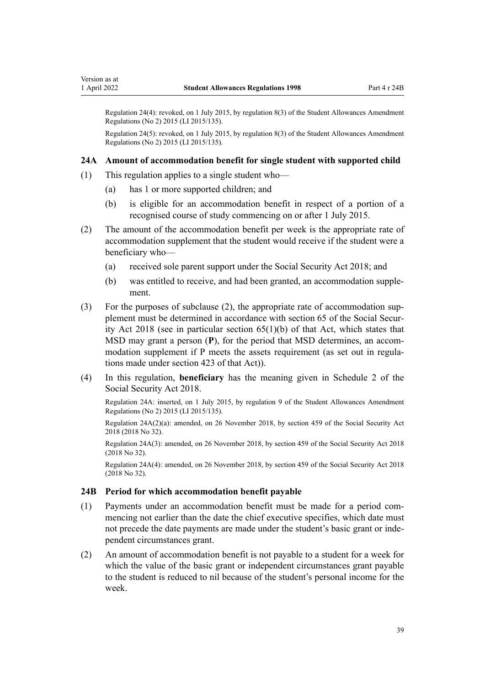<span id="page-38-0"></span>Regulation 24(4): revoked, on 1 July 2015, by [regulation 8\(3\)](http://legislation.govt.nz/pdflink.aspx?id=DLM6486044) of the Student Allowances Amendment Regulations (No 2) 2015 (LI 2015/135).

Regulation 24(5): revoked, on 1 July 2015, by [regulation 8\(3\)](http://legislation.govt.nz/pdflink.aspx?id=DLM6486044) of the Student Allowances Amendment Regulations (No 2) 2015 (LI 2015/135).

### **24A Amount of accommodation benefit for single student with supported child**

- (1) This regulation applies to a single student who—
	- (a) has 1 or more supported children; and
	- (b) is eligible for an accommodation benefit in respect of a portion of a recognised course of study commencing on or after 1 July 2015.
- (2) The amount of the accommodation benefit per week is the appropriate rate of accommodation supplement that the student would receive if the student were a beneficiary who—
	- (a) received sole parent support under the [Social Security Act 2018;](http://legislation.govt.nz/pdflink.aspx?id=DLM6783102) and
	- (b) was entitled to receive, and had been granted, an accommodation supple‐ ment.
- (3) For the purposes of subclause (2), the appropriate rate of accommodation sup‐ plement must be determined in accordance with [section 65](http://legislation.govt.nz/pdflink.aspx?id=DLM6783242) of the Social Security Act 2018 (see in particular section 65(1)(b) of that Act, which states that MSD may grant a person (P), for the period that MSD determines, an accommodation supplement if P meets the assets requirement (as set out in regulations made under [section 423](http://legislation.govt.nz/pdflink.aspx?id=DLM6783993) of that Act)).
- (4) In this regulation, **beneficiary** has the meaning given in [Schedule 2](http://legislation.govt.nz/pdflink.aspx?id=DLM6784375) of the Social Security Act 2018.

Regulation 24A: inserted, on 1 July 2015, by [regulation 9](http://legislation.govt.nz/pdflink.aspx?id=DLM6486045) of the Student Allowances Amendment Regulations (No 2) 2015 (LI 2015/135).

Regulation 24A(2)(a): amended, on 26 November 2018, by [section 459](http://legislation.govt.nz/pdflink.aspx?id=DLM6784038) of the Social Security Act 2018 (2018 No 32).

Regulation 24A(3): amended, on 26 November 2018, by [section 459](http://legislation.govt.nz/pdflink.aspx?id=DLM6784038) of the Social Security Act 2018 (2018 No 32).

Regulation 24A(4): amended, on 26 November 2018, by [section 459](http://legislation.govt.nz/pdflink.aspx?id=DLM6784038) of the Social Security Act 2018 (2018 No 32).

#### **24B Period for which accommodation benefit payable**

- (1) Payments under an accommodation benefit must be made for a period com‐ mencing not earlier than the date the chief executive specifies, which date must not precede the date payments are made under the student's basic grant or independent circumstances grant.
- (2) An amount of accommodation benefit is not payable to a student for a week for which the value of the basic grant or independent circumstances grant payable to the student is reduced to nil because of the student's personal income for the week.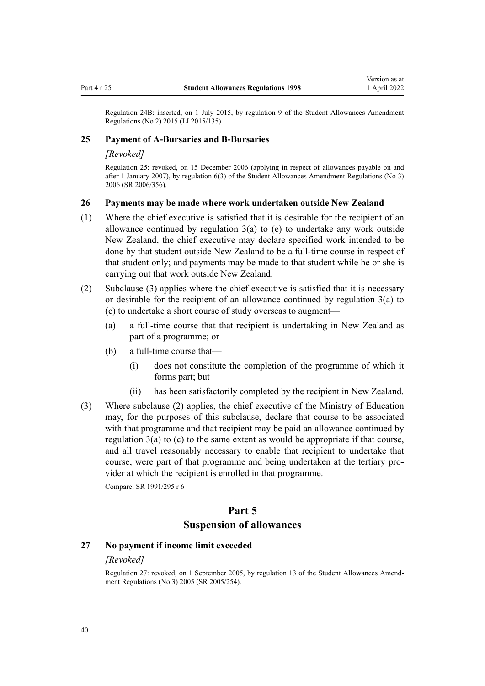<span id="page-39-0"></span>Regulation 24B: inserted, on 1 July 2015, by [regulation 9](http://legislation.govt.nz/pdflink.aspx?id=DLM6486045) of the Student Allowances Amendment Regulations (No 2) 2015 (LI 2015/135).

### **25 Payment of A-Bursaries and B-Bursaries**

#### *[Revoked]*

Regulation 25: revoked, on 15 December 2006 (applying in respect of allowances payable on and after 1 January 2007), by [regulation 6\(3\)](http://legislation.govt.nz/pdflink.aspx?id=DLM418344) of the Student Allowances Amendment Regulations (No 3) 2006 (SR 2006/356).

### **26 Payments may be made where work undertaken outside New Zealand**

- (1) Where the chief executive is satisfied that it is desirable for the recipient of an allowance continued by regulation  $3(a)$  to (e) to undertake any work outside New Zealand, the chief executive may declare specified work intended to be done by that student outside New Zealand to be a full-time course in respect of that student only; and payments may be made to that student while he or she is carrying out that work outside New Zealand.
- (2) Subclause (3) applies where the chief executive is satisfied that it is necessary or desirable for the recipient of an allowance continued by [regulation 3\(a\) to](#page-19-0) [\(c\)](#page-19-0) to undertake a short course of study overseas to augment—
	- (a) a full-time course that that recipient is undertaking in New Zealand as part of a programme; or
	- (b) a full-time course that—
		- (i) does not constitute the completion of the programme of which it forms part; but
		- (ii) has been satisfactorily completed by the recipient in New Zealand.
- (3) Where subclause (2) applies, the chief executive of the Ministry of Education may, for the purposes of this subclause, declare that course to be associated with that programme and that recipient may be paid an allowance continued by [regulation 3\(a\) to \(c\)](#page-19-0) to the same extent as would be appropriate if that course, and all travel reasonably necessary to enable that recipient to undertake that course, were part of that programme and being undertaken at the tertiary provider at which the recipient is enrolled in that programme.

Compare: SR 1991/295 r 6

### **Part 5 Suspension of allowances**

### **27 No payment if income limit exceeded**

#### *[Revoked]*

Regulation 27: revoked, on 1 September 2005, by [regulation 13](http://legislation.govt.nz/pdflink.aspx?id=DLM347857) of the Student Allowances Amend‐ ment Regulations (No 3) 2005 (SR 2005/254).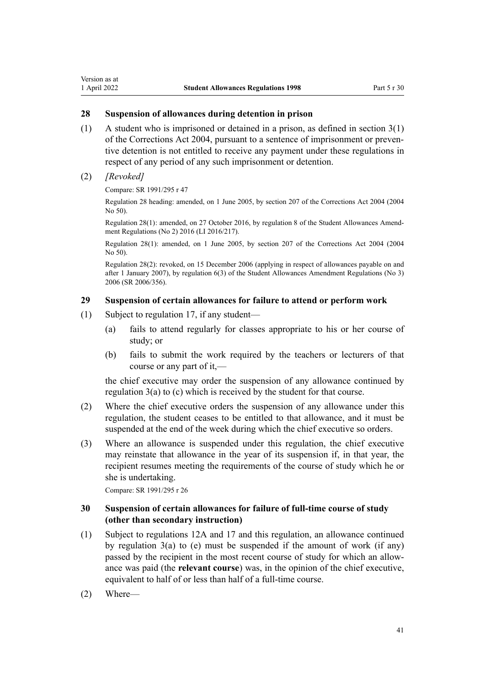### <span id="page-40-0"></span>**28 Suspension of allowances during detention in prison**

- (1) A student who is imprisoned or detained in a prison, as defined in [section 3\(1\)](http://legislation.govt.nz/pdflink.aspx?id=DLM294857) of the Corrections Act 2004, pursuant to a sentence of imprisonment or preven‐ tive detention is not entitled to receive any payment under these regulations in respect of any period of any such imprisonment or detention.
- (2) *[Revoked]*

Compare: SR 1991/295 r 47

Regulation 28 heading: amended, on 1 June 2005, by [section 207](http://legislation.govt.nz/pdflink.aspx?id=DLM297137) of the Corrections Act 2004 (2004 No 50).

Regulation 28(1): amended, on 27 October 2016, by [regulation 8](http://legislation.govt.nz/pdflink.aspx?id=DLM6966244) of the Student Allowances Amend‐ ment Regulations (No 2) 2016 (LI 2016/217).

Regulation 28(1): amended, on 1 June 2005, by [section 207](http://legislation.govt.nz/pdflink.aspx?id=DLM297137) of the Corrections Act 2004 (2004 No 50).

Regulation 28(2): revoked, on 15 December 2006 (applying in respect of allowances payable on and after 1 January 2007), by [regulation 6\(3\)](http://legislation.govt.nz/pdflink.aspx?id=DLM418344) of the Student Allowances Amendment Regulations (No 3) 2006 (SR 2006/356).

### **29 Suspension of certain allowances for failure to attend or perform work**

- (1) Subject to [regulation 17](#page-31-0), if any student—
	- (a) fails to attend regularly for classes appropriate to his or her course of study; or
	- (b) fails to submit the work required by the teachers or lecturers of that course or any part of it,—

the chief executive may order the suspension of any allowance continued by [regulation 3\(a\) to \(c\)](#page-19-0) which is received by the student for that course.

- (2) Where the chief executive orders the suspension of any allowance under this regulation, the student ceases to be entitled to that allowance, and it must be suspended at the end of the week during which the chief executive so orders.
- (3) Where an allowance is suspended under this regulation, the chief executive may reinstate that allowance in the year of its suspension if, in that year, the recipient resumes meeting the requirements of the course of study which he or she is undertaking.

Compare: SR 1991/295 r 26

### **30 Suspension of certain allowances for failure of full-time course of study (other than secondary instruction)**

- (1) Subject to [regulations 12A](#page-29-0) and [17](#page-31-0) and this regulation, an allowance continued by [regulation 3\(a\) to \(e\)](#page-19-0) must be suspended if the amount of work (if any) passed by the recipient in the most recent course of study for which an allow‐ ance was paid (the **relevant course**) was, in the opinion of the chief executive, equivalent to half of or less than half of a full-time course.
- (2) Where—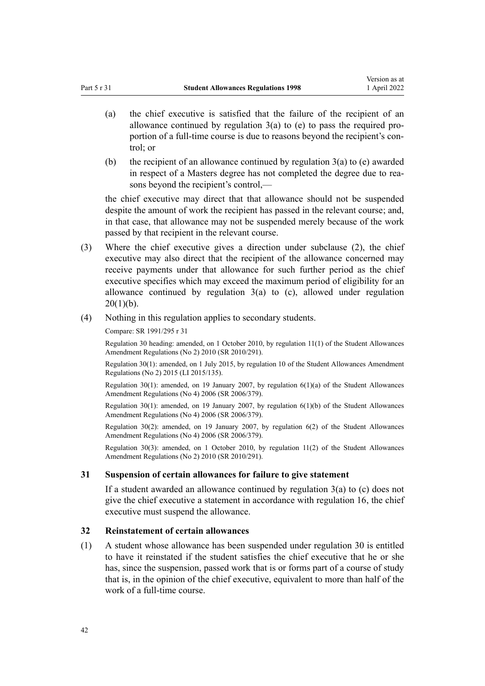- <span id="page-41-0"></span>(a) the chief executive is satisfied that the failure of the recipient of an allowance continued by regulation  $3(a)$  to (e) to pass the required proportion of a full-time course is due to reasons beyond the recipient's control; or
- (b) the recipient of an allowance continued by regulation  $3(a)$  to (e) awarded in respect of a Masters degree has not completed the degree due to reasons beyond the recipient's control,—

the chief executive may direct that that allowance should not be suspended despite the amount of work the recipient has passed in the relevant course; and, in that case, that allowance may not be suspended merely because of the work passed by that recipient in the relevant course.

- (3) Where the chief executive gives a direction under subclause (2), the chief executive may also direct that the recipient of the allowance concerned may receive payments under that allowance for such further period as the chief executive specifies which may exceed the maximum period of eligibility for an allowance continued by [regulation](#page-33-0)  $3(a)$  to (c), allowed under regulation  $20(1)(b)$ .
- (4) Nothing in this regulation applies to secondary students.

Compare: SR 1991/295 r 31

Regulation 30 heading: amended, on 1 October 2010, by [regulation 11\(1\)](http://legislation.govt.nz/pdflink.aspx?id=DLM3184415) of the Student Allowances Amendment Regulations (No 2) 2010 (SR 2010/291).

Regulation 30(1): amended, on 1 July 2015, by [regulation 10](http://legislation.govt.nz/pdflink.aspx?id=DLM6486049) of the Student Allowances Amendment Regulations (No 2) 2015 (LI 2015/135).

Regulation 30(1): amended, on 19 January 2007, by regulation  $6(1)(a)$  of the Student Allowances Amendment Regulations (No 4) 2006 (SR 2006/379).

Regulation 30(1): amended, on 19 January 2007, by [regulation 6\(1\)\(b\)](http://legislation.govt.nz/pdflink.aspx?id=DLM421624) of the Student Allowances Amendment Regulations (No 4) 2006 (SR 2006/379).

Regulation 30(2): amended, on 19 January 2007, by [regulation 6\(2\)](http://legislation.govt.nz/pdflink.aspx?id=DLM421624) of the Student Allowances Amendment Regulations (No 4) 2006 (SR 2006/379).

Regulation 30(3): amended, on 1 October 2010, by [regulation 11\(2\)](http://legislation.govt.nz/pdflink.aspx?id=DLM3184415) of the Student Allowances Amendment Regulations (No 2) 2010 (SR 2010/291).

### **31 Suspension of certain allowances for failure to give statement**

If a student awarded an allowance continued by [regulation 3\(a\) to \(c\)](#page-19-0) does not give the chief executive a statement in accordance with [regulation 16,](#page-31-0) the chief executive must suspend the allowance.

### **32 Reinstatement of certain allowances**

(1) A student whose allowance has been suspended under [regulation 30](#page-40-0) is entitled to have it reinstated if the student satisfies the chief executive that he or she has, since the suspension, passed work that is or forms part of a course of study that is, in the opinion of the chief executive, equivalent to more than half of the work of a full-time course.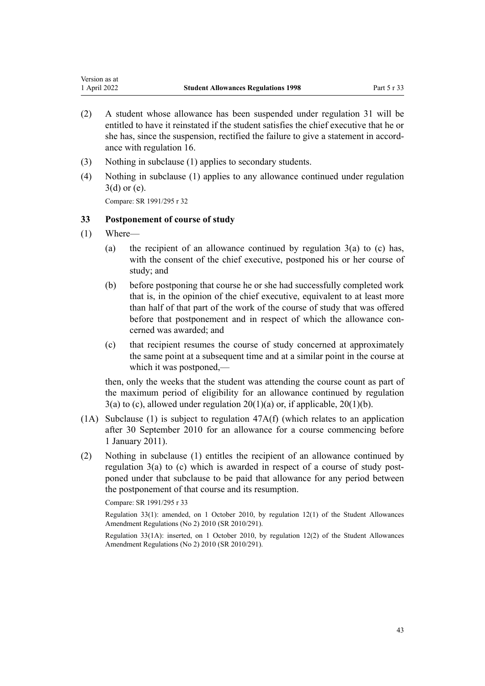- <span id="page-42-0"></span>(2) A student whose allowance has been suspended under [regulation 31](#page-41-0) will be entitled to have it reinstated if the student satisfies the chief executive that he or she has, since the suspension, rectified the failure to give a statement in accordance with [regulation 16](#page-31-0).
- (3) Nothing in subclause (1) applies to secondary students.
- (4) Nothing in subclause (1) applies to any allowance continued under [regulation](#page-19-0) [3\(d\) or \(e\)](#page-19-0).

Compare: SR 1991/295 r 32

### **33 Postponement of course of study**

- (1) Where—
	- (a) the recipient of an allowance continued by regulation  $3(a)$  to (c) has, with the consent of the chief executive, postponed his or her course of study; and
	- (b) before postponing that course he or she had successfully completed work that is, in the opinion of the chief executive, equivalent to at least more than half of that part of the work of the course of study that was offered before that postponement and in respect of which the allowance concerned was awarded; and
	- (c) that recipient resumes the course of study concerned at approximately the same point at a subsequent time and at a similar point in the course at which it was postponed,—

then, only the weeks that the student was attending the course count as part of the maximum period of eligibility for an allowance continued by [regulation](#page-19-0)  $3(a)$  to (c), allowed under regulation  $20(1)(a)$  or, if applicable,  $20(1)(b)$ .

- (1A) Subclause (1) is subject to [regulation 47A\(f\)](#page-50-0) (which relates to an application after 30 September 2010 for an allowance for a course commencing before 1 January 2011).
- (2) Nothing in subclause (1) entitles the recipient of an allowance continued by regulation  $3(a)$  to (c) which is awarded in respect of a course of study postponed under that subclause to be paid that allowance for any period between the postponement of that course and its resumption.

Compare: SR 1991/295 r 33

Regulation 33(1): amended, on 1 October 2010, by [regulation 12\(1\)](http://legislation.govt.nz/pdflink.aspx?id=DLM3184416) of the Student Allowances Amendment Regulations (No 2) 2010 (SR 2010/291).

Regulation 33(1A): inserted, on 1 October 2010, by [regulation 12\(2\)](http://legislation.govt.nz/pdflink.aspx?id=DLM3184416) of the Student Allowances Amendment Regulations (No 2) 2010 (SR 2010/291).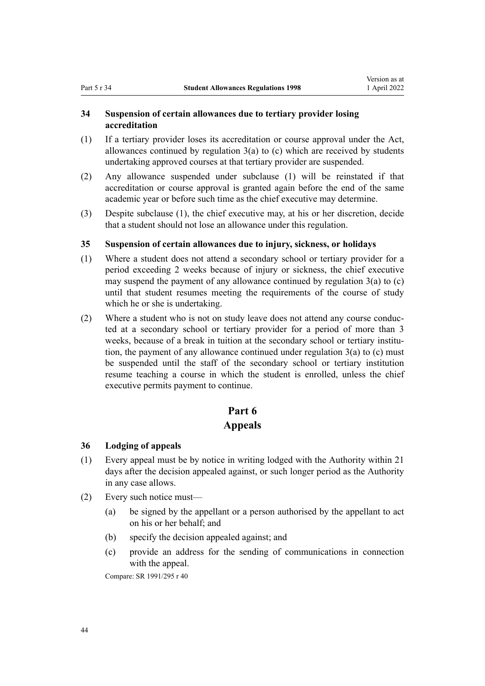### <span id="page-43-0"></span>**34 Suspension of certain allowances due to tertiary provider losing accreditation**

- (1) If a tertiary provider loses its accreditation or course approval under the Act, allowances continued by [regulation 3\(a\) to \(c\)](#page-19-0) which are received by students undertaking approved courses at that tertiary provider are suspended.
- (2) Any allowance suspended under subclause (1) will be reinstated if that accreditation or course approval is granted again before the end of the same academic year or before such time as the chief executive may determine.
- (3) Despite subclause (1), the chief executive may, at his or her discretion, decide that a student should not lose an allowance under this regulation.

### **35 Suspension of certain allowances due to injury, sickness, or holidays**

- (1) Where a student does not attend a secondary school or tertiary provider for a period exceeding 2 weeks because of injury or sickness, the chief executive may suspend the payment of any allowance continued by [regulation 3\(a\) to \(c\)](#page-19-0) until that student resumes meeting the requirements of the course of study which he or she is undertaking.
- (2) Where a student who is not on study leave does not attend any course conduc‐ ted at a secondary school or tertiary provider for a period of more than 3 weeks, because of a break in tuition at the secondary school or tertiary institution, the payment of any allowance continued under [regulation 3\(a\) to \(c\)](#page-19-0) must be suspended until the staff of the secondary school or tertiary institution resume teaching a course in which the student is enrolled, unless the chief executive permits payment to continue.

### **Part 6**

### **Appeals**

### **36 Lodging of appeals**

- (1) Every appeal must be by notice in writing lodged with the Authority within 21 days after the decision appealed against, or such longer period as the Authority in any case allows.
- (2) Every such notice must—
	- (a) be signed by the appellant or a person authorised by the appellant to act on his or her behalf; and
	- (b) specify the decision appealed against; and
	- (c) provide an address for the sending of communications in connection with the appeal.

Compare: SR 1991/295 r 40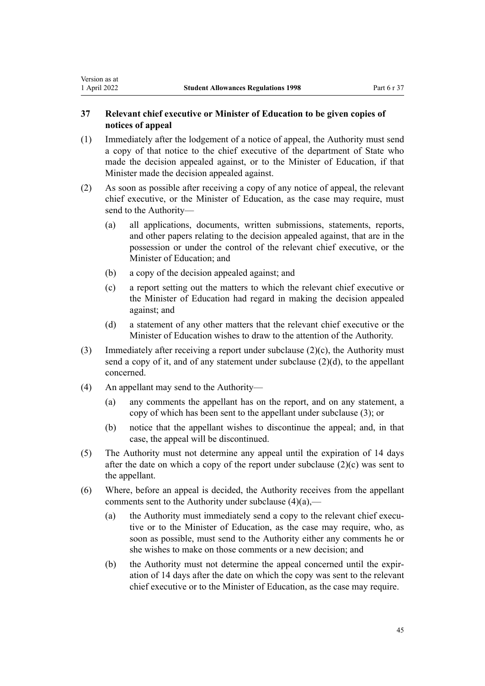### **37 Relevant chief executive or Minister of Education to be given copies of notices of appeal**

- (1) Immediately after the lodgement of a notice of appeal, the Authority must send a copy of that notice to the chief executive of the department of State who made the decision appealed against, or to the Minister of Education, if that Minister made the decision appealed against.
- (2) As soon as possible after receiving a copy of any notice of appeal, the relevant chief executive, or the Minister of Education, as the case may require, must send to the Authority—
	- (a) all applications, documents, written submissions, statements, reports, and other papers relating to the decision appealed against, that are in the possession or under the control of the relevant chief executive, or the Minister of Education; and
	- (b) a copy of the decision appealed against; and
	- (c) a report setting out the matters to which the relevant chief executive or the Minister of Education had regard in making the decision appealed against; and
	- (d) a statement of any other matters that the relevant chief executive or the Minister of Education wishes to draw to the attention of the Authority.
- (3) Immediately after receiving a report under subclause (2)(c), the Authority must send a copy of it, and of any statement under subclause (2)(d), to the appellant concerned.
- (4) An appellant may send to the Authority—

<span id="page-44-0"></span>Version as at<br>1 April 2022

- (a) any comments the appellant has on the report, and on any statement, a copy of which has been sent to the appellant under subclause (3); or
- (b) notice that the appellant wishes to discontinue the appeal; and, in that case, the appeal will be discontinued.
- (5) The Authority must not determine any appeal until the expiration of 14 days after the date on which a copy of the report under subclause  $(2)(c)$  was sent to the appellant.
- (6) Where, before an appeal is decided, the Authority receives from the appellant comments sent to the Authority under subclause  $(4)(a)$ ,
	- (a) the Authority must immediately send a copy to the relevant chief executive or to the Minister of Education, as the case may require, who, as soon as possible, must send to the Authority either any comments he or she wishes to make on those comments or a new decision; and
	- (b) the Authority must not determine the appeal concerned until the expir‐ ation of 14 days after the date on which the copy was sent to the relevant chief executive or to the Minister of Education, as the case may require.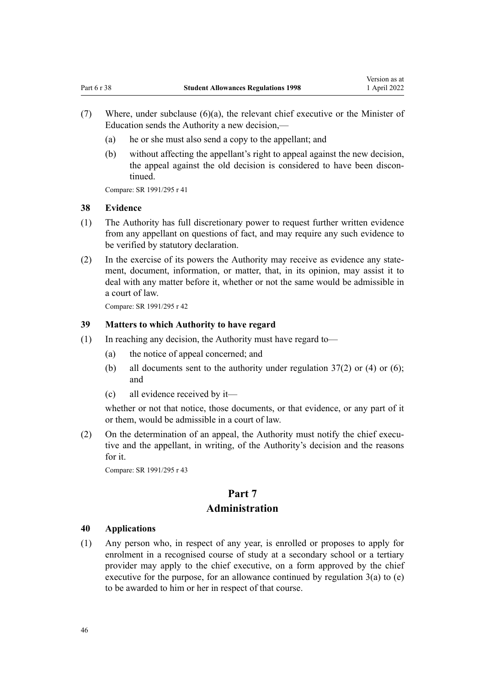- <span id="page-45-0"></span>(7) Where, under subclause (6)(a), the relevant chief executive or the Minister of Education sends the Authority a new decision,—
	- (a) he or she must also send a copy to the appellant; and
	- (b) without affecting the appellant's right to appeal against the new decision, the appeal against the old decision is considered to have been discontinued.

Compare: SR 1991/295 r 41

#### **38 Evidence**

- (1) The Authority has full discretionary power to request further written evidence from any appellant on questions of fact, and may require any such evidence to be verified by statutory declaration.
- (2) In the exercise of its powers the Authority may receive as evidence any state‐ ment, document, information, or matter, that, in its opinion, may assist it to deal with any matter before it, whether or not the same would be admissible in a court of law.

Compare: SR 1991/295 r 42

### **39 Matters to which Authority to have regard**

- (1) In reaching any decision, the Authority must have regard to—
	- (a) the notice of appeal concerned; and
	- (b) all documents sent to the authority under [regulation 37\(2\) or \(4\) or \(6\);](#page-44-0) and
	- (c) all evidence received by it—

whether or not that notice, those documents, or that evidence, or any part of it or them, would be admissible in a court of law.

(2) On the determination of an appeal, the Authority must notify the chief executive and the appellant, in writing, of the Authority's decision and the reasons for it.

Compare: SR 1991/295 r 43

### **Part 7 Administration**

#### **40 Applications**

(1) Any person who, in respect of any year, is enrolled or proposes to apply for enrolment in a recognised course of study at a secondary school or a tertiary provider may apply to the chief executive, on a form approved by the chief executive for the purpose, for an allowance continued by regulation  $3(a)$  to  $(e)$ to be awarded to him or her in respect of that course.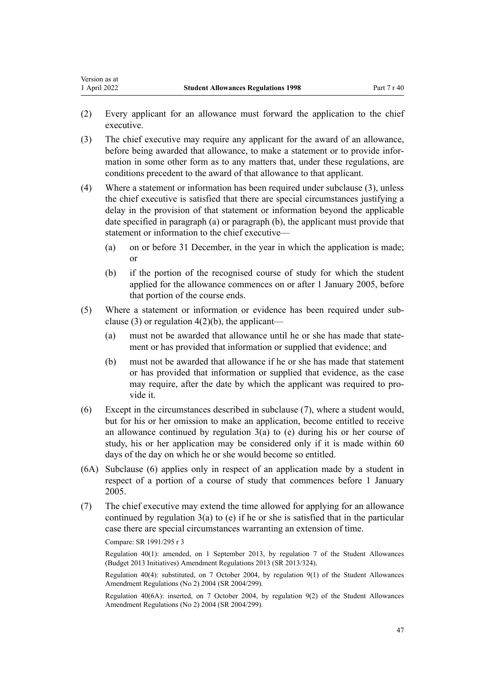- (2) Every applicant for an allowance must forward the application to the chief executive.
- (3) The chief executive may require any applicant for the award of an allowance, before being awarded that allowance, to make a statement or to provide information in some other form as to any matters that, under these regulations, are conditions precedent to the award of that allowance to that applicant.
- (4) Where a statement or information has been required under subclause (3), unless the chief executive is satisfied that there are special circumstances justifying a delay in the provision of that statement or information beyond the applicable date specified in paragraph (a) or paragraph (b), the applicant must provide that statement or information to the chief executive—
	- (a) on or before 31 December, in the year in which the application is made; or
	- (b) if the portion of the recognised course of study for which the student applied for the allowance commences on or after 1 January 2005, before that portion of the course ends.
- (5) Where a statement or information or evidence has been required under sub‐ clause (3) or regulation  $4(2)(b)$ , the applicant—
	- (a) must not be awarded that allowance until he or she has made that statement or has provided that information or supplied that evidence; and
	- (b) must not be awarded that allowance if he or she has made that statement or has provided that information or supplied that evidence, as the case may require, after the date by which the applicant was required to pro‐ vide it.
- (6) Except in the circumstances described in subclause (7), where a student would, but for his or her omission to make an application, become entitled to receive an allowance continued by regulation  $3(a)$  to (e) during his or her course of study, his or her application may be considered only if it is made within 60 days of the day on which he or she would become so entitled.
- (6A) Subclause (6) applies only in respect of an application made by a student in respect of a portion of a course of study that commences before 1 January 2005.
- (7) The chief executive may extend the time allowed for applying for an allowance continued by regulation  $3(a)$  to (e) if he or she is satisfied that in the particular case there are special circumstances warranting an extension of time.

Regulation 40(1): amended, on 1 September 2013, by [regulation 7](http://legislation.govt.nz/pdflink.aspx?id=DLM5499212) of the Student Allowances (Budget 2013 Initiatives) Amendment Regulations 2013 (SR 2013/324).

Regulation 40(4): substituted, on 7 October 2004, by [regulation 9\(1\)](http://legislation.govt.nz/pdflink.aspx?id=DLM286436) of the Student Allowances Amendment Regulations (No 2) 2004 (SR 2004/299).

Regulation 40(6A): inserted, on 7 October 2004, by [regulation 9\(2\)](http://legislation.govt.nz/pdflink.aspx?id=DLM286436) of the Student Allowances Amendment Regulations (No 2) 2004 (SR 2004/299).

Compare: SR 1991/295 r 3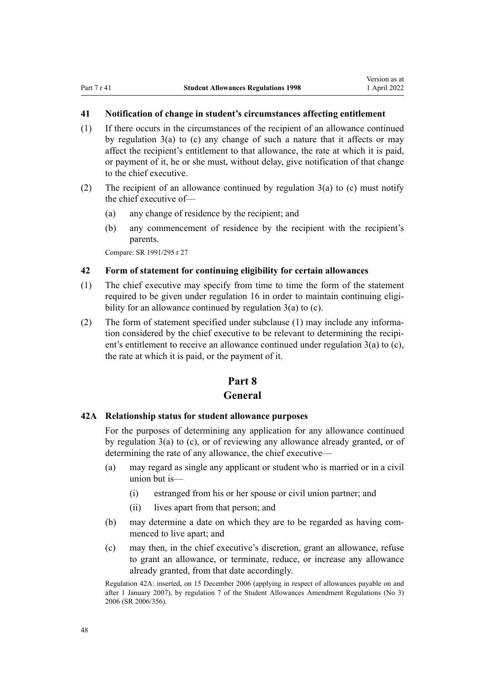### <span id="page-47-0"></span>**41 Notification of change in student's circumstances affecting entitlement**

- (1) If there occurs in the circumstances of the recipient of an allowance continued by [regulation 3\(a\) to \(c\)](#page-19-0) any change of such a nature that it affects or may affect the recipient's entitlement to that allowance, the rate at which it is paid, or payment of it, he or she must, without delay, give notification of that change to the chief executive.
- (2) The recipient of an allowance continued by regulation  $3(a)$  to (c) must notify the chief executive of—
	- (a) any change of residence by the recipient; and
	- (b) any commencement of residence by the recipient with the recipient's parents.

Compare: SR 1991/295 r 27

### **42 Form of statement for continuing eligibility for certain allowances**

- (1) The chief executive may specify from time to time the form of the statement required to be given under [regulation 16](#page-31-0) in order to maintain continuing eligibility for an allowance continued by [regulation 3\(a\) to \(c\).](#page-19-0)
- (2) The form of statement specified under subclause (1) may include any information considered by the chief executive to be relevant to determining the recipient's entitlement to receive an allowance continued under regulation  $3(a)$  to (c), the rate at which it is paid, or the payment of it.

### **Part 8 General**

### **42A Relationship status for student allowance purposes**

For the purposes of determining any application for any allowance continued by [regulation 3\(a\) to \(c\)](#page-19-0), or of reviewing any allowance already granted, or of determining the rate of any allowance, the chief executive—

- (a) may regard as single any applicant or student who is married or in a civil union but is—
	- (i) estranged from his or her spouse or civil union partner; and
	- (ii) lives apart from that person; and
- (b) may determine a date on which they are to be regarded as having commenced to live apart; and
- (c) may then, in the chief executive's discretion, grant an allowance, refuse to grant an allowance, or terminate, reduce, or increase any allowance already granted, from that date accordingly.

Regulation 42A: inserted, on 15 December 2006 (applying in respect of allowances payable on and after 1 January 2007), by [regulation 7](http://legislation.govt.nz/pdflink.aspx?id=DLM418345) of the Student Allowances Amendment Regulations (No 3) 2006 (SR 2006/356).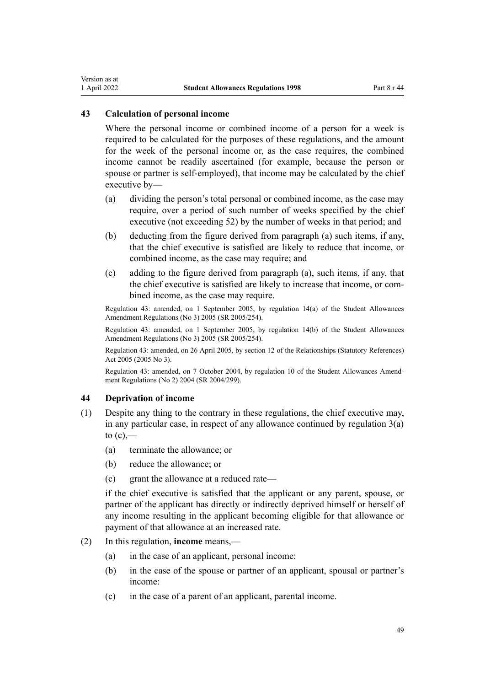### <span id="page-48-0"></span>**43 Calculation of personal income**

Where the personal income or combined income of a person for a week is required to be calculated for the purposes of these regulations, and the amount for the week of the personal income or, as the case requires, the combined income cannot be readily ascertained (for example, because the person or spouse or partner is self-employed), that income may be calculated by the chief executive by—

- (a) dividing the person's total personal or combined income, as the case may require, over a period of such number of weeks specified by the chief executive (not exceeding 52) by the number of weeks in that period; and
- (b) deducting from the figure derived from paragraph (a) such items, if any, that the chief executive is satisfied are likely to reduce that income, or combined income, as the case may require; and
- (c) adding to the figure derived from paragraph (a), such items, if any, that the chief executive is satisfied are likely to increase that income, or com‐ bined income, as the case may require.

Regulation 43: amended, on 1 September 2005, by [regulation 14\(a\)](http://legislation.govt.nz/pdflink.aspx?id=DLM347858) of the Student Allowances Amendment Regulations (No 3) 2005 (SR 2005/254).

Regulation 43: amended, on 1 September 2005, by [regulation 14\(b\)](http://legislation.govt.nz/pdflink.aspx?id=DLM347858) of the Student Allowances Amendment Regulations (No 3) 2005 (SR 2005/254).

Regulation 43: amended, on 26 April 2005, by [section 12](http://legislation.govt.nz/pdflink.aspx?id=DLM334004) of the Relationships (Statutory References) Act 2005 (2005 No 3).

Regulation 43: amended, on 7 October 2004, by [regulation 10](http://legislation.govt.nz/pdflink.aspx?id=DLM286437) of the Student Allowances Amend‐ ment Regulations (No 2) 2004 (SR 2004/299).

### **44 Deprivation of income**

- (1) Despite any thing to the contrary in these regulations, the chief executive may, in any particular case, in respect of any allowance continued by regulation  $3(a)$ to  $(c)$ ,—
	- (a) terminate the allowance; or
	- (b) reduce the allowance; or
	- (c) grant the allowance at a reduced rate—

if the chief executive is satisfied that the applicant or any parent, spouse, or partner of the applicant has directly or indirectly deprived himself or herself of any income resulting in the applicant becoming eligible for that allowance or payment of that allowance at an increased rate.

- (2) In this regulation, **income** means,—
	- (a) in the case of an applicant, personal income:
	- (b) in the case of the spouse or partner of an applicant, spousal or partner's income:
	- (c) in the case of a parent of an applicant, parental income.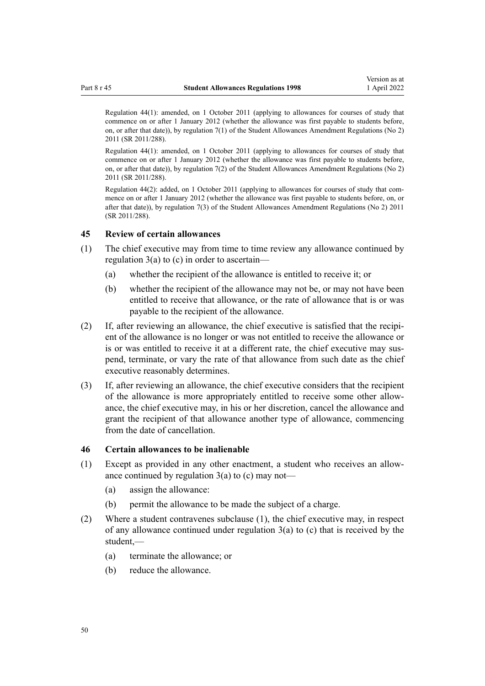<span id="page-49-0"></span>Regulation 44(1): amended, on 1 October 2011 (applying to allowances for courses of study that commence on or after 1 January 2012 (whether the allowance was first payable to students before, on, or after that date)), by [regulation 7\(1\)](http://legislation.govt.nz/pdflink.aspx?id=DLM3946733) of the Student Allowances Amendment Regulations (No 2) 2011 (SR 2011/288).

Regulation 44(1): amended, on 1 October 2011 (applying to allowances for courses of study that commence on or after 1 January 2012 (whether the allowance was first payable to students before, on, or after that date)), by [regulation 7\(2\)](http://legislation.govt.nz/pdflink.aspx?id=DLM3946733) of the Student Allowances Amendment Regulations (No 2) 2011 (SR 2011/288).

Regulation 44(2): added, on 1 October 2011 (applying to allowances for courses of study that com‐ mence on or after 1 January 2012 (whether the allowance was first payable to students before, on, or after that date)), by [regulation 7\(3\)](http://legislation.govt.nz/pdflink.aspx?id=DLM3946733) of the Student Allowances Amendment Regulations (No 2) 2011 (SR 2011/288).

#### **45 Review of certain allowances**

- (1) The chief executive may from time to time review any allowance continued by [regulation 3\(a\) to \(c\)](#page-19-0) in order to ascertain—
	- (a) whether the recipient of the allowance is entitled to receive it; or
	- (b) whether the recipient of the allowance may not be, or may not have been entitled to receive that allowance, or the rate of allowance that is or was payable to the recipient of the allowance.
- $(2)$  If, after reviewing an allowance, the chief executive is satisfied that the recipient of the allowance is no longer or was not entitled to receive the allowance or is or was entitled to receive it at a different rate, the chief executive may suspend, terminate, or vary the rate of that allowance from such date as the chief executive reasonably determines.
- (3) If, after reviewing an allowance, the chief executive considers that the recipient of the allowance is more appropriately entitled to receive some other allow‐ ance, the chief executive may, in his or her discretion, cancel the allowance and grant the recipient of that allowance another type of allowance, commencing from the date of cancellation.

### **46 Certain allowances to be inalienable**

- (1) Except as provided in any other enactment, a student who receives an allow‐ ance continued by regulation  $3(a)$  to (c) may not—
	- (a) assign the allowance:
	- (b) permit the allowance to be made the subject of a charge.
- (2) Where a student contravenes subclause (1), the chief executive may, in respect of any allowance continued under [regulation 3\(a\) to \(c\)](#page-19-0) that is received by the student,—
	- (a) terminate the allowance; or
	- (b) reduce the allowance.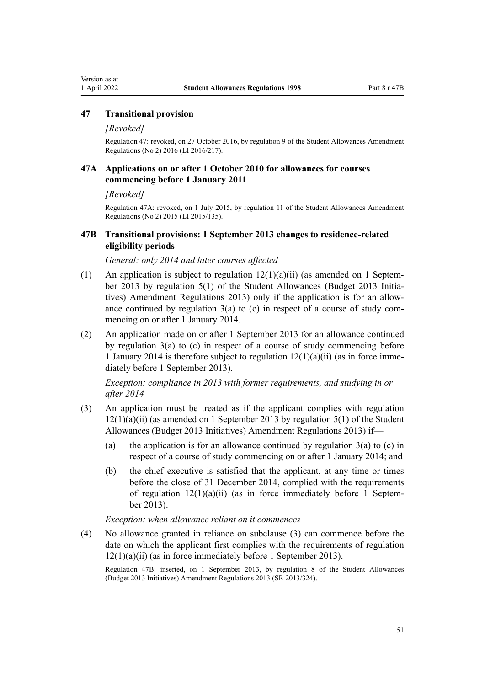### <span id="page-50-0"></span>**47 Transitional provision**

### *[Revoked]*

Regulation 47: revoked, on 27 October 2016, by [regulation 9](http://legislation.govt.nz/pdflink.aspx?id=DLM6966245) of the Student Allowances Amendment Regulations (No 2) 2016 (LI 2016/217).

### **47A Applications on or after 1 October 2010 for allowances for courses commencing before 1 January 2011**

*[Revoked]*

Regulation 47A: revoked, on 1 July 2015, by [regulation 11](http://legislation.govt.nz/pdflink.aspx?id=DLM6486050) of the Student Allowances Amendment Regulations (No 2) 2015 (LI 2015/135).

### **47B Transitional provisions: 1 September 2013 changes to residence-related eligibility periods**

*General: only 2014 and later courses affected*

- (1) An application is subject to regulation  $12(1)(a)(ii)$  (as amended on 1 September 2013 by [regulation 5\(1\)](http://legislation.govt.nz/pdflink.aspx?id=DLM5499210) of the Student Allowances (Budget 2013 Initiatives) Amendment Regulations 2013) only if the application is for an allow‐ ance continued by regulation  $3(a)$  to (c) in respect of a course of study commencing on or after 1 January 2014.
- (2) An application made on or after 1 September 2013 for an allowance continued by [regulation 3\(a\) to \(c\)](#page-19-0) in respect of a course of study commencing before 1 January 2014 is therefore subject to regulation  $12(1)(a)(ii)$  (as in force immediately before 1 September 2013).

*Exception: compliance in 2013 with former requirements, and studying in or after 2014*

- (3) An application must be treated as if the applicant complies with [regulation](#page-26-0)  $12(1)(a)(ii)$  (as amended on 1 September 2013 by [regulation 5\(1\)](http://legislation.govt.nz/pdflink.aspx?id=DLM5499210) of the Student Allowances (Budget 2013 Initiatives) Amendment Regulations 2013) if—
	- (a) the application is for an allowance continued by regulation  $3(a)$  to (c) in respect of a course of study commencing on or after 1 January 2014; and
	- (b) the chief executive is satisfied that the applicant, at any time or times before the close of 31 December 2014, complied with the requirements of regulation  $12(1)(a)(ii)$  (as in force immediately before 1 September 2013).

*Exception: when allowance reliant on it commences*

(4) No allowance granted in reliance on subclause (3) can commence before the date on which the applicant first complies with the requirements of [regulation](#page-26-0) [12\(1\)\(a\)\(ii\)](#page-26-0) (as in force immediately before 1 September 2013).

Regulation 47B: inserted, on 1 September 2013, by [regulation 8](http://legislation.govt.nz/pdflink.aspx?id=DLM5499213) of the Student Allowances (Budget 2013 Initiatives) Amendment Regulations 2013 (SR 2013/324).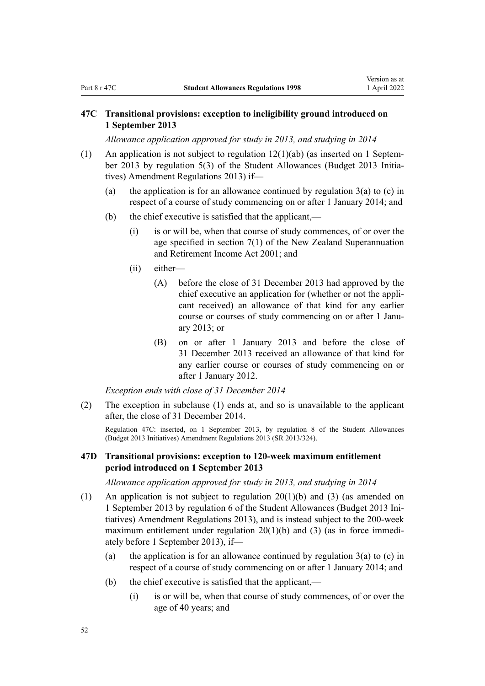### <span id="page-51-0"></span>**47C Transitional provisions: exception to ineligibility ground introduced on 1 September 2013**

*Allowance application approved for study in 2013, and studying in 2014*

- (1) An application is not subject to regulation  $12(1)(ab)$  (as inserted on 1 September 2013 by [regulation 5\(3\)](http://legislation.govt.nz/pdflink.aspx?id=DLM5499210) of the Student Allowances (Budget 2013 Initiatives) Amendment Regulations 2013) if—
	- (a) the application is for an allowance continued by regulation  $3(a)$  to (c) in respect of a course of study commencing on or after 1 January 2014; and
	- (b) the chief executive is satisfied that the applicant,—
		- (i) is or will be, when that course of study commences, of or over the age specified in [section 7\(1\)](http://legislation.govt.nz/pdflink.aspx?id=DLM113987) of the New Zealand Superannuation and Retirement Income Act 2001; and
		- (ii) either—
			- (A) before the close of 31 December 2013 had approved by the chief executive an application for (whether or not the appli‐ cant received) an allowance of that kind for any earlier course or courses of study commencing on or after 1 Janu‐ ary 2013; or
			- (B) on or after 1 January 2013 and before the close of 31 December 2013 received an allowance of that kind for any earlier course or courses of study commencing on or after 1 January 2012.

*Exception ends with close of 31 December 2014*

(2) The exception in subclause (1) ends at, and so is unavailable to the applicant after, the close of 31 December 2014.

Regulation 47C: inserted, on 1 September 2013, by [regulation 8](http://legislation.govt.nz/pdflink.aspx?id=DLM5499213) of the Student Allowances (Budget 2013 Initiatives) Amendment Regulations 2013 (SR 2013/324).

### **47D Transitional provisions: exception to 120-week maximum entitlement period introduced on 1 September 2013**

*Allowance application approved for study in 2013, and studying in 2014*

- (1) An application is not subject to [regulation 20\(1\)\(b\) and \(3\)](#page-33-0) (as amended on 1 September 2013 by [regulation 6](http://legislation.govt.nz/pdflink.aspx?id=DLM5499211) of the Student Allowances (Budget 2013 Ini‐ tiatives) Amendment Regulations 2013), and is instead subject to the 200-week maximum entitlement under regulation  $20(1)(b)$  and (3) (as in force immediately before 1 September 2013), if—
	- (a) the application is for an allowance continued by regulation  $3(a)$  to (c) in respect of a course of study commencing on or after 1 January 2014; and
	- (b) the chief executive is satisfied that the applicant,—
		- (i) is or will be, when that course of study commences, of or over the age of 40 years; and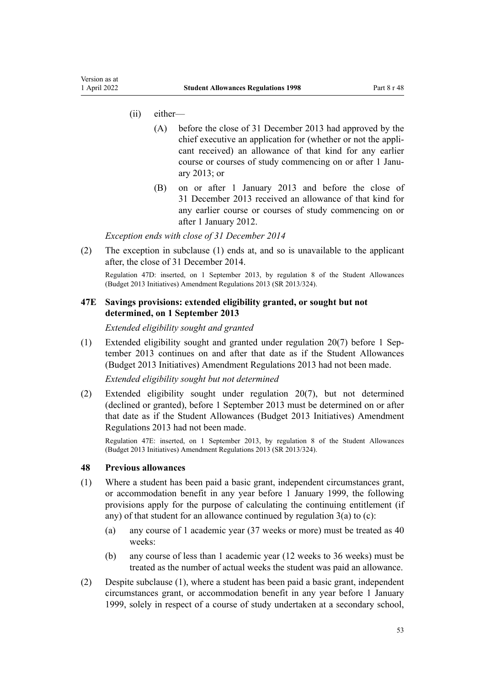- <span id="page-52-0"></span>(ii) either—
	- (A) before the close of 31 December 2013 had approved by the chief executive an application for (whether or not the appli‐ cant received) an allowance of that kind for any earlier course or courses of study commencing on or after 1 January 2013; or
	- (B) on or after 1 January 2013 and before the close of 31 December 2013 received an allowance of that kind for any earlier course or courses of study commencing on or after 1 January 2012.

*Exception ends with close of 31 December 2014*

(2) The exception in subclause (1) ends at, and so is unavailable to the applicant after, the close of 31 December 2014.

Regulation 47D: inserted, on 1 September 2013, by [regulation 8](http://legislation.govt.nz/pdflink.aspx?id=DLM5499213) of the Student Allowances (Budget 2013 Initiatives) Amendment Regulations 2013 (SR 2013/324).

### **47E Savings provisions: extended eligibility granted, or sought but not determined, on 1 September 2013**

*Extended eligibility sought and granted*

(1) Extended eligibility sought and granted under [regulation 20\(7\)](#page-33-0) before 1 Sep‐ tember 2013 continues on and after that date as if the [Student Allowances](http://legislation.govt.nz/pdflink.aspx?id=DLM5499200) [\(Budget 2013 Initiatives\) Amendment Regulations 2013](http://legislation.govt.nz/pdflink.aspx?id=DLM5499200) had not been made.

*Extended eligibility sought but not determined*

(2) Extended eligibility sought under [regulation 20\(7\)](#page-33-0), but not determined (declined or granted), before 1 September 2013 must be determined on or after that date as if the [Student Allowances \(Budget 2013 Initiatives\) Amendment](http://legislation.govt.nz/pdflink.aspx?id=DLM5499200) [Regulations 2013](http://legislation.govt.nz/pdflink.aspx?id=DLM5499200) had not been made.

Regulation 47E: inserted, on 1 September 2013, by [regulation 8](http://legislation.govt.nz/pdflink.aspx?id=DLM5499213) of the Student Allowances (Budget 2013 Initiatives) Amendment Regulations 2013 (SR 2013/324).

### **48 Previous allowances**

- (1) Where a student has been paid a basic grant, independent circumstances grant, or accommodation benefit in any year before 1 January 1999, the following provisions apply for the purpose of calculating the continuing entitlement (if any) of that student for an allowance continued by regulation  $3(a)$  to (c):
	- (a) any course of 1 academic year (37 weeks or more) must be treated as 40 weeks:
	- (b) any course of less than 1 academic year (12 weeks to 36 weeks) must be treated as the number of actual weeks the student was paid an allowance.
- (2) Despite subclause (1), where a student has been paid a basic grant, independent circumstances grant, or accommodation benefit in any year before 1 January 1999, solely in respect of a course of study undertaken at a secondary school,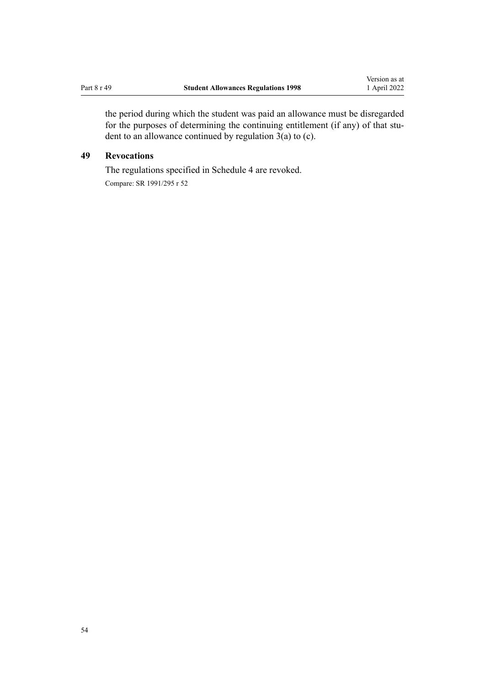<span id="page-53-0"></span>the period during which the student was paid an allowance must be disregarded for the purposes of determining the continuing entitlement (if any) of that student to an allowance continued by [regulation 3\(a\) to \(c\).](#page-19-0)

### **49 Revocations**

The regulations specified in [Schedule 4](#page-62-0) are revoked. Compare: SR 1991/295 r 52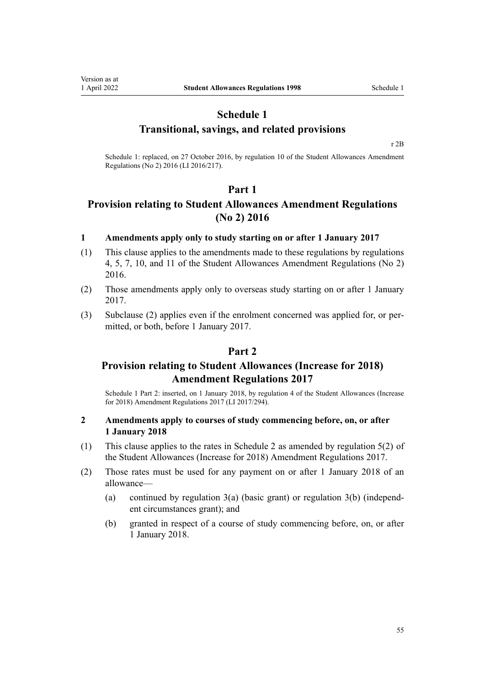<span id="page-54-0"></span>Version as at<br>1 April 2022

### **Schedule 1 Transitional, savings, and related provisions**

[r 2B](#page-18-0)

Schedule 1: replaced, on 27 October 2016, by [regulation 10](http://legislation.govt.nz/pdflink.aspx?id=DLM6966214) of the Student Allowances Amendment Regulations (No 2) 2016 (LI 2016/217).

### **Part 1**

### **Provision relating to Student Allowances Amendment Regulations (No 2) 2016**

### **1 Amendments apply only to study starting on or after 1 January 2017**

- (1) This clause applies to the amendments made to these regulations by [regulations](http://legislation.govt.nz/pdflink.aspx?id=DLM6966229) [4,](http://legislation.govt.nz/pdflink.aspx?id=DLM6966229) [5](http://legislation.govt.nz/pdflink.aspx?id=DLM6966236), [7](http://legislation.govt.nz/pdflink.aspx?id=DLM6966239), [10](http://legislation.govt.nz/pdflink.aspx?id=DLM6966214), and [11](http://legislation.govt.nz/pdflink.aspx?id=DLM6966216) of the Student Allowances Amendment Regulations (No 2) 2016.
- (2) Those amendments apply only to overseas study starting on or after 1 January 2017.
- (3) Subclause (2) applies even if the enrolment concerned was applied for, or per‐ mitted, or both, before 1 January 2017.

### **Part 2**

### **Provision relating to Student Allowances (Increase for 2018) Amendment Regulations 2017**

Schedule 1 Part 2: inserted, on 1 January 2018, by [regulation 4](http://legislation.govt.nz/pdflink.aspx?id=DLM7496013) of the Student Allowances (Increase for 2018) Amendment Regulations 2017 (LI 2017/294).

### **2 Amendments apply to courses of study commencing before, on, or after 1 January 2018**

- (1) This clause applies to the rates in [Schedule 2](#page-57-0) as amended by [regulation 5\(2\)](http://legislation.govt.nz/pdflink.aspx?id=DLM7496002) of the Student Allowances (Increase for 2018) Amendment Regulations 2017.
- (2) Those rates must be used for any payment on or after 1 January 2018 of an allowance—
	- (a) continued by regulation  $3(a)$  (basic grant) or regulation  $3(b)$  (independent circumstances grant); and
	- (b) granted in respect of a course of study commencing before, on, or after 1 January 2018.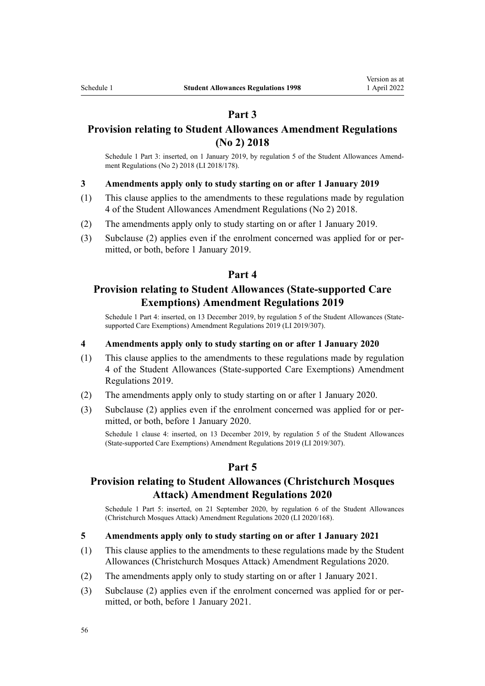### **Part 3**

### **Provision relating to Student Allowances Amendment Regulations (No 2) 2018**

Schedule 1 Part 3: inserted, on 1 January 2019, by [regulation 5](http://legislation.govt.nz/pdflink.aspx?id=LMS83860) of the Student Allowances Amendment Regulations (No 2) 2018 (LI 2018/178).

### **3 Amendments apply only to study starting on or after 1 January 2019**

- (1) This clause applies to the amendments to these regulations made by [regulation](http://legislation.govt.nz/pdflink.aspx?id=LMS83859) [4](http://legislation.govt.nz/pdflink.aspx?id=LMS83859) of the Student Allowances Amendment Regulations (No 2) 2018.
- (2) The amendments apply only to study starting on or after 1 January 2019.
- (3) Subclause (2) applies even if the enrolment concerned was applied for or per‐ mitted, or both, before 1 January 2019.

### **Part 4**

### **Provision relating to Student Allowances (State-supported Care Exemptions) Amendment Regulations 2019**

Schedule 1 Part 4: inserted, on 13 December 2019, by [regulation 5](http://legislation.govt.nz/pdflink.aspx?id=LMS285563) of the Student Allowances (Statesupported Care Exemptions) Amendment Regulations 2019 (LI 2019/307).

### **4 Amendments apply only to study starting on or after 1 January 2020**

- (1) This clause applies to the amendments to these regulations made by [regulation](http://legislation.govt.nz/pdflink.aspx?id=LMS285562) [4](http://legislation.govt.nz/pdflink.aspx?id=LMS285562) of the Student Allowances (State-supported Care Exemptions) Amendment Regulations 2019.
- (2) The amendments apply only to study starting on or after 1 January 2020.
- (3) Subclause (2) applies even if the enrolment concerned was applied for or per‐ mitted, or both, before 1 January 2020.

Schedule 1 clause 4: inserted, on 13 December 2019, by [regulation 5](http://legislation.govt.nz/pdflink.aspx?id=LMS285563) of the Student Allowances (State-supported Care Exemptions) Amendment Regulations 2019 (LI 2019/307).

### **Part 5**

### **Provision relating to Student Allowances (Christchurch Mosques Attack) Amendment Regulations 2020**

Schedule 1 Part 5: inserted, on 21 September 2020, by [regulation 6](http://legislation.govt.nz/pdflink.aspx?id=LMS370870) of the Student Allowances (Christchurch Mosques Attack) Amendment Regulations 2020 (LI 2020/168).

### **5 Amendments apply only to study starting on or after 1 January 2021**

- (1) This clause applies to the amendments to these regulations made by the [Student](http://legislation.govt.nz/pdflink.aspx?id=LMS370853) [Allowances \(Christchurch Mosques Attack\) Amendment Regulations 2020.](http://legislation.govt.nz/pdflink.aspx?id=LMS370853)
- (2) The amendments apply only to study starting on or after 1 January 2021.
- (3) Subclause (2) applies even if the enrolment concerned was applied for or per‐ mitted, or both, before 1 January 2021.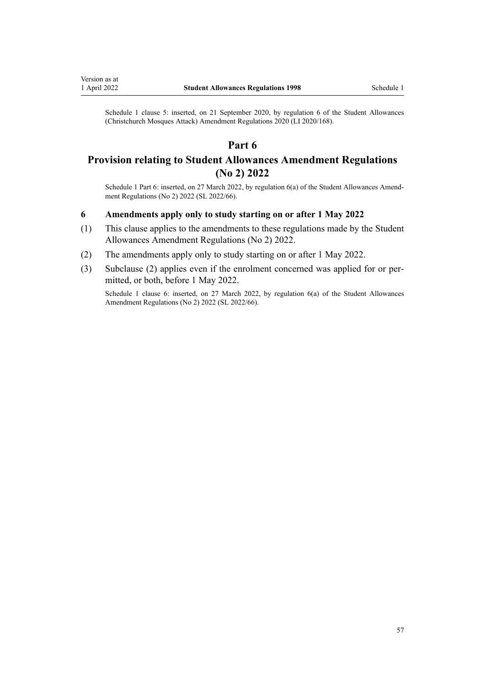Schedule 1 clause 5: inserted, on 21 September 2020, by [regulation 6](http://legislation.govt.nz/pdflink.aspx?id=LMS370870) of the Student Allowances (Christchurch Mosques Attack) Amendment Regulations 2020 (LI 2020/168).

### **Part 6**

### **Provision relating to Student Allowances Amendment Regulations (No 2) 2022**

Schedule 1 Part 6: inserted, on 27 March 2022, by [regulation 6\(a\)](http://legislation.govt.nz/pdflink.aspx?id=LMS655598) of the Student Allowances Amendment Regulations (No 2) 2022 (SL 2022/66).

### **6 Amendments apply only to study starting on or after 1 May 2022**

- (1) This clause applies to the amendments to these regulations made by the [Student](http://legislation.govt.nz/pdflink.aspx?id=LMS655587) [Allowances Amendment Regulations \(No 2\) 2022](http://legislation.govt.nz/pdflink.aspx?id=LMS655587).
- (2) The amendments apply only to study starting on or after 1 May 2022.
- (3) Subclause (2) applies even if the enrolment concerned was applied for or per‐ mitted, or both, before 1 May 2022.

Schedule 1 clause 6: inserted, on 27 March 2022, by [regulation 6\(a\)](http://legislation.govt.nz/pdflink.aspx?id=LMS655598) of the Student Allowances Amendment Regulations (No 2) 2022 (SL 2022/66).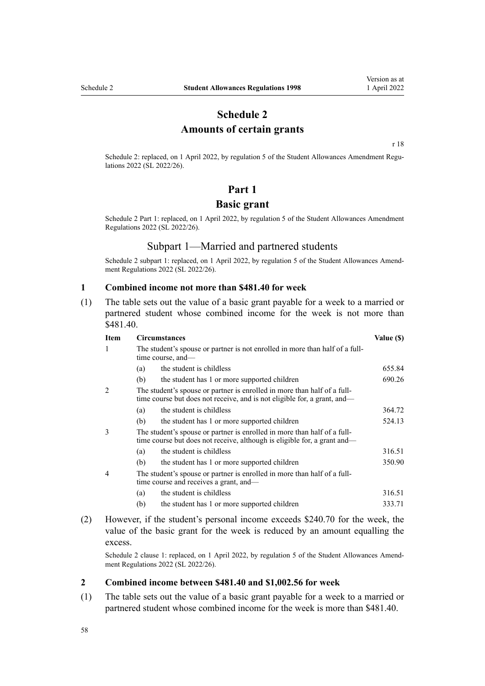### **Schedule 2 Amounts of certain grants**

[r 18](#page-32-0)

<span id="page-57-0"></span>Schedule 2: replaced, on 1 April 2022, by [regulation 5](http://legislation.govt.nz/pdflink.aspx?id=LMS645198) of the Student Allowances Amendment Regulations 2022 (SL 2022/26).

### **Part 1**

### **Basic grant**

Schedule 2 Part 1: replaced, on 1 April 2022, by [regulation 5](http://legislation.govt.nz/pdflink.aspx?id=LMS645198) of the Student Allowances Amendment Regulations 2022 (SL 2022/26).

### Subpart 1—Married and partnered students

Schedule 2 subpart 1: replaced, on 1 April 2022, by [regulation 5](http://legislation.govt.nz/pdflink.aspx?id=LMS645198) of the Student Allowances Amendment Regulations 2022 (SL 2022/26).

#### **1 Combined income not more than \$481.40 for week**

(1) The table sets out the value of a basic grant payable for a week to a married or partnered student whose combined income for the week is not more than \$481.40.

| <b>Item</b>                                                                   | <b>Circumstances</b>                                                                                                                                 |                                                                          | Value (\$) |
|-------------------------------------------------------------------------------|------------------------------------------------------------------------------------------------------------------------------------------------------|--------------------------------------------------------------------------|------------|
| 1                                                                             | The student's spouse or partner is not enrolled in more than half of a full-<br>time course, and—                                                    |                                                                          |            |
|                                                                               | (a)                                                                                                                                                  | the student is childless                                                 | 655.84     |
|                                                                               | (b)                                                                                                                                                  | the student has 1 or more supported children                             | 690.26     |
| The student's spouse or partner is enrolled in more than half of a full-<br>2 |                                                                                                                                                      | time course but does not receive, and is not eligible for, a grant, and— |            |
|                                                                               | (a)                                                                                                                                                  | the student is childless                                                 | 364.72     |
|                                                                               | (b)                                                                                                                                                  | the student has 1 or more supported children                             | 524.13     |
| $\mathcal{F}$                                                                 | The student's spouse or partner is enrolled in more than half of a full-<br>time course but does not receive, although is eligible for, a grant and— |                                                                          |            |
|                                                                               | (a)                                                                                                                                                  | the student is childless                                                 | 316.51     |
|                                                                               | (b)                                                                                                                                                  | the student has 1 or more supported children                             | 350.90     |
| 4                                                                             | The student's spouse or partner is enrolled in more than half of a full-<br>time course and receives a grant, and—                                   |                                                                          |            |
|                                                                               | (a)                                                                                                                                                  | the student is childless                                                 | 316.51     |
|                                                                               | (b)                                                                                                                                                  | the student has 1 or more supported children                             | 333.71     |

(2) However, if the student's personal income exceeds \$240.70 for the week, the value of the basic grant for the week is reduced by an amount equalling the excess.

Schedule 2 clause 1: replaced, on 1 April 2022, by [regulation 5](http://legislation.govt.nz/pdflink.aspx?id=LMS645198) of the Student Allowances Amendment Regulations 2022 (SL 2022/26).

### **2 Combined income between \$481.40 and \$1,002.56 for week**

(1) The table sets out the value of a basic grant payable for a week to a married or partnered student whose combined income for the week is more than \$481.40.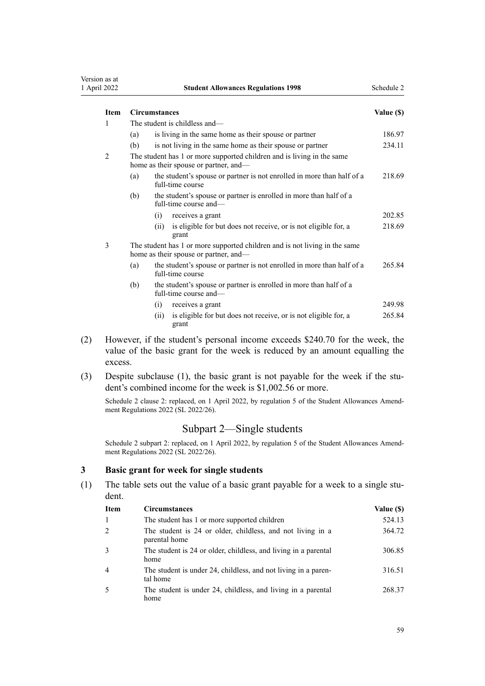<span id="page-58-0"></span>

| Version as at<br>1 April 2022              |                                                                                                                 | <b>Student Allowances Regulations 1998</b>                                                  | Schedule 2 |
|--------------------------------------------|-----------------------------------------------------------------------------------------------------------------|---------------------------------------------------------------------------------------------|------------|
| <b>Item</b>                                |                                                                                                                 | <b>Circumstances</b>                                                                        | Value (\$) |
| 1                                          | The student is childless and—                                                                                   |                                                                                             |            |
|                                            | (a)                                                                                                             | is living in the same home as their spouse or partner                                       | 186.97     |
|                                            | (b)                                                                                                             | is not living in the same home as their spouse or partner                                   | 234.11     |
| 2                                          | The student has 1 or more supported children and is living in the same<br>home as their spouse or partner, and- |                                                                                             |            |
|                                            | (a)                                                                                                             | the student's spouse or partner is not enrolled in more than half of a<br>full-time course  | 218.69     |
|                                            | (b)                                                                                                             | the student's spouse or partner is enrolled in more than half of a<br>full-time course and- |            |
|                                            |                                                                                                                 | (i)<br>receives a grant                                                                     | 202.85     |
|                                            |                                                                                                                 | is eligible for but does not receive, or is not eligible for, a<br>(ii)<br>grant            | 218.69     |
| 3<br>home as their spouse or partner, and- |                                                                                                                 | The student has 1 or more supported children and is not living in the same                  |            |
|                                            | (a)                                                                                                             | the student's spouse or partner is not enrolled in more than half of a<br>full-time course  | 265.84     |
|                                            | (b)                                                                                                             | the student's spouse or partner is enrolled in more than half of a<br>full-time course and- |            |
|                                            |                                                                                                                 | receives a grant<br>(i)                                                                     | 249.98     |

- (ii) is eligible for but does not receive, or is not eligible for, a grant 265.84
- (2) However, if the student's personal income exceeds \$240.70 for the week, the value of the basic grant for the week is reduced by an amount equalling the excess.
- (3) Despite subclause (1), the basic grant is not payable for the week if the student's combined income for the week is \$1,002.56 or more.

Schedule 2 clause 2: replaced, on 1 April 2022, by [regulation 5](http://legislation.govt.nz/pdflink.aspx?id=LMS645198) of the Student Allowances Amendment Regulations 2022 (SL 2022/26).

### Subpart 2—Single students

Schedule 2 subpart 2: replaced, on 1 April 2022, by [regulation 5](http://legislation.govt.nz/pdflink.aspx?id=LMS645198) of the Student Allowances Amendment Regulations 2022 (SL 2022/26).

### **3 Basic grant for week for single students**

(1) The table sets out the value of a basic grant payable for a week to a single student.

| <b>Item</b> | <b>Circumstances</b>                                                        | Value (\$) |
|-------------|-----------------------------------------------------------------------------|------------|
|             | The student has 1 or more supported children                                | 524.13     |
|             | The student is 24 or older, childless, and not living in a<br>parental home | 364.72     |
| 3           | The student is 24 or older, childless, and living in a parental<br>home     | 306.85     |
| 4           | The student is under 24, childless, and not living in a paren-<br>tal home  | 316.51     |
|             | The student is under 24, childless, and living in a parental<br>home        | 268.37     |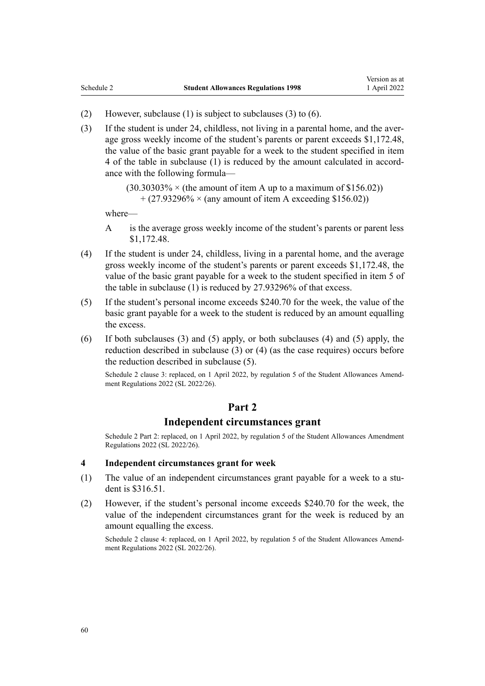- (2) However, subclause (1) is subject to subclauses (3) to (6).
- (3) If the student is under 24, childless, not living in a parental home, and the aver‐ age gross weekly income of the student's parents or parent exceeds \$1,172.48, the value of the basic grant payable for a week to the student specified in item 4 of the table in subclause (1) is reduced by the amount calculated in accord‐ ance with the following formula—

 $(30.30303\% \times (the amount of item A up to a maximum of $156.02))$  $+$  (27.93296%  $\times$  (any amount of item A exceeding \$156.02))

where—

- A is the average gross weekly income of the student's parents or parent less \$1,172.48.
- (4) If the student is under 24, childless, living in a parental home, and the average gross weekly income of the student's parents or parent exceeds \$1,172.48, the value of the basic grant payable for a week to the student specified in item 5 of the table in subclause (1) is reduced by 27.93296% of that excess.
- (5) If the student's personal income exceeds \$240.70 for the week, the value of the basic grant payable for a week to the student is reduced by an amount equalling the excess.
- (6) If both subclauses (3) and (5) apply, or both subclauses (4) and (5) apply, the reduction described in subclause (3) or (4) (as the case requires) occurs before the reduction described in subclause (5).

Schedule 2 clause 3: replaced, on 1 April 2022, by [regulation 5](http://legislation.govt.nz/pdflink.aspx?id=LMS645198) of the Student Allowances Amendment Regulations 2022 (SL 2022/26).

### **Part 2**

### **Independent circumstances grant**

Schedule 2 Part 2: replaced, on 1 April 2022, by [regulation 5](http://legislation.govt.nz/pdflink.aspx?id=LMS645198) of the Student Allowances Amendment Regulations 2022 (SL 2022/26).

### **4 Independent circumstances grant for week**

- (1) The value of an independent circumstances grant payable for a week to a student is \$316.51.
- (2) However, if the student's personal income exceeds \$240.70 for the week, the value of the independent circumstances grant for the week is reduced by an amount equalling the excess.

Schedule 2 clause 4: replaced, on 1 April 2022, by [regulation 5](http://legislation.govt.nz/pdflink.aspx?id=LMS645198) of the Student Allowances Amendment Regulations 2022 (SL 2022/26).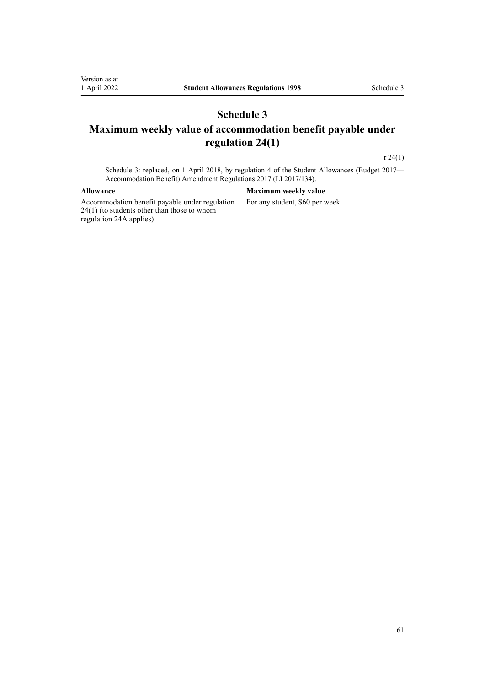### <span id="page-60-0"></span>**Schedule 3 Maximum weekly value of accommodation benefit payable under regulation 24(1)**

[r 24\(1\)](#page-37-0)

Schedule 3: replaced, on 1 April 2018, by [regulation 4](http://legislation.govt.nz/pdflink.aspx?id=DLM7296843) of the Student Allowances (Budget 2017— Accommodation Benefit) Amendment Regulations 2017 (LI 2017/134).

Accommodation benefit payable under [regulation](#page-37-0) [24\(1\)](#page-37-0) (to students other than those to whom [regulation 24A](#page-38-0) applies)

#### **Allowance Maximum weekly value**

For any student, \$60 per week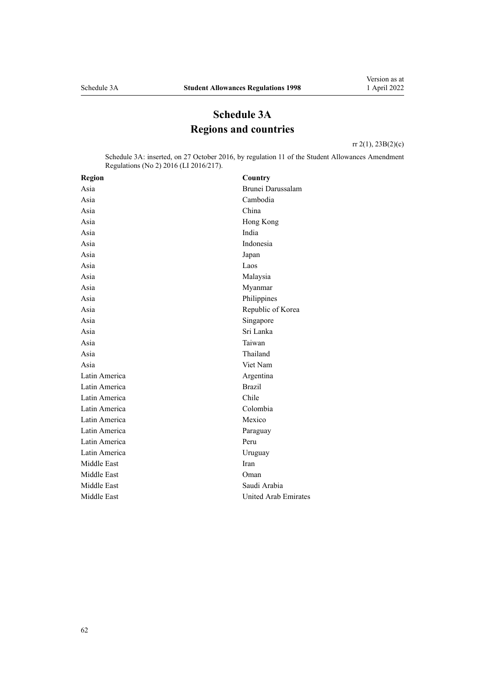## **Schedule 3A Regions and countries**

[rr 2\(1\)](#page-3-0), [23B\(2\)\(c\)](#page-36-0)

<span id="page-61-0"></span>Schedule 3A: inserted, on 27 October 2016, by [regulation 11](http://legislation.govt.nz/pdflink.aspx?id=DLM6966216) of the Student Allowances Amendment Regulations (No 2) 2016 (LI 2016/217).

| <b>Region</b> | Country              |
|---------------|----------------------|
| Asia          | Brunei Darussalam    |
| Asia          | Cambodia             |
| Asia          | China                |
| Asia          | Hong Kong            |
| Asia          | India                |
| Asia          | Indonesia            |
| Asia          | Japan                |
| Asia          | Laos                 |
| Asia          | Malaysia             |
| Asia          | Myanmar              |
| Asia          | Philippines          |
| Asia          | Republic of Korea    |
| Asia          | Singapore            |
| Asia          | Sri Lanka            |
| Asia          | Taiwan               |
| Asia          | Thailand             |
| Asia          | Viet Nam             |
| Latin America | Argentina            |
| Latin America | <b>Brazil</b>        |
| Latin America | Chile                |
| Latin America | Colombia             |
| Latin America | Mexico               |
| Latin America | Paraguay             |
| Latin America | Peru                 |
| Latin America | Uruguay              |
| Middle East   | Iran                 |
| Middle East   | Oman                 |
| Middle East   | Saudi Arabia         |
| Middle East   | United Arab Emirates |
|               |                      |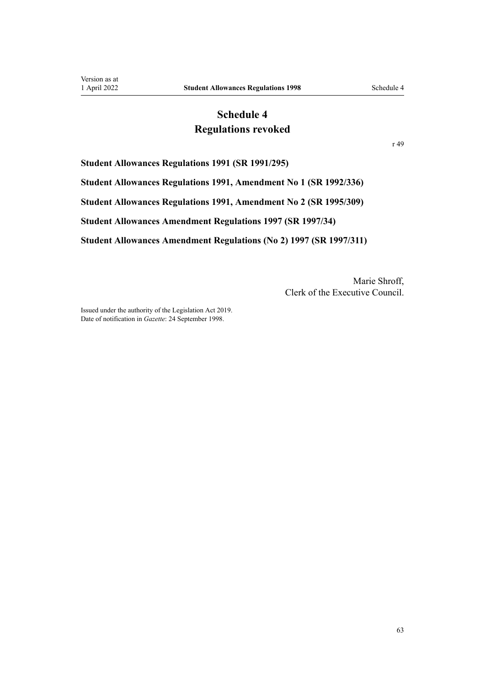### **Schedule 4 Regulations revoked**

[r 49](#page-53-0)

<span id="page-62-0"></span>**Student Allowances Regulations 1991 (SR 1991/295)**

**Student Allowances Regulations 1991, Amendment No 1 (SR 1992/336)**

**Student Allowances Regulations 1991, Amendment No 2 (SR 1995/309)**

**Student Allowances Amendment Regulations 1997 (SR 1997/34)**

**Student Allowances Amendment Regulations (No 2) 1997 (SR 1997/311)**

Marie Shroff, Clerk of the Executive Council.

Issued under the authority of the [Legislation Act 2019](http://legislation.govt.nz/pdflink.aspx?id=DLM7298104). Date of notification in *Gazette*: 24 September 1998.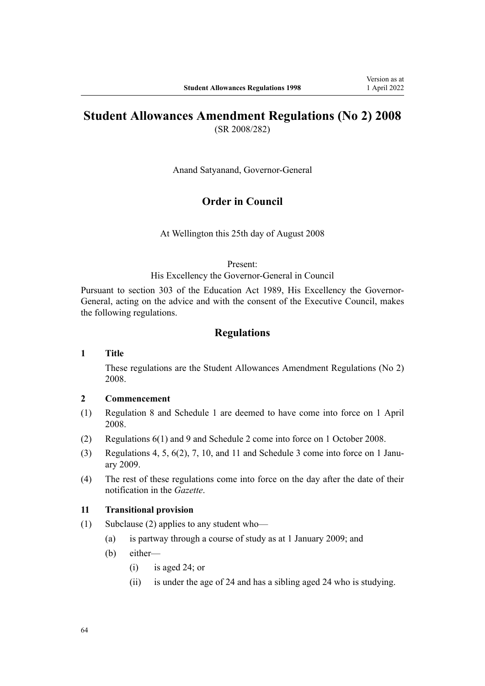# **Student Allowances Amendment Regulations (No 2) 2008**

(SR 2008/282)

Anand Satyanand, Governor-General

### **Order in Council**

At Wellington this 25th day of August 2008

### Present:

His Excellency the Governor-General in Council

Pursuant to section 303 of the Education Act 1989, His Excellency the Governor-General, acting on the advice and with the consent of the Executive Council, makes the following regulations.

### **Regulations**

### **1 Title**

These regulations are the [Student Allowances Amendment Regulations \(No 2\)](http://legislation.govt.nz/pdflink.aspx?id=DLM1486400) [2008](http://legislation.govt.nz/pdflink.aspx?id=DLM1486400).

### **2 Commencement**

- (1) Regulation 8 and Schedule 1 are deemed to have come into force on 1 April 2008.
- (2) Regulations 6(1) and 9 and Schedule 2 come into force on 1 October 2008.
- (3) Regulations 4, 5,  $6(2)$ , 7, 10, and 11 and Schedule 3 come into force on 1 January 2009.
- (4) The rest of these regulations come into force on the day after the date of their notification in the *Gazette*.

#### **11 Transitional provision**

- (1) Subclause (2) applies to any student who—
	- (a) is partway through a course of study as at 1 January 2009; and
	- (b) either—
		- (i) is aged 24; or
		- (ii) is under the age of 24 and has a sibling aged 24 who is studying.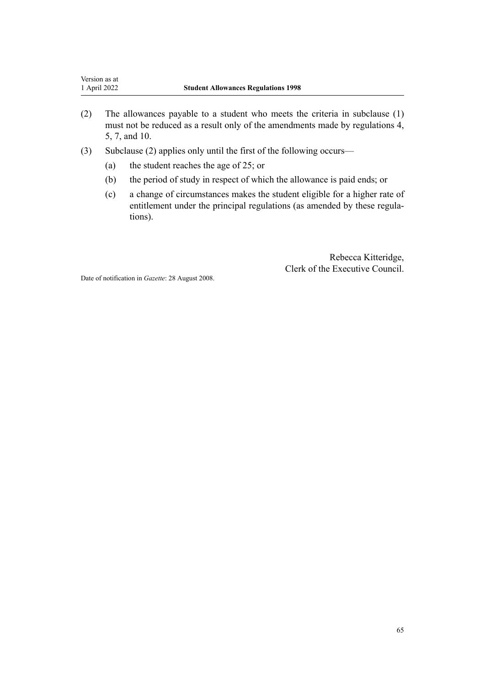- (2) The allowances payable to a student who meets the criteria in subclause (1) must not be reduced as a result only of the amendments made by regulations 4, 5, 7, and 10.
- (3) Subclause (2) applies only until the first of the following occurs—
	- (a) the student reaches the age of 25; or
	- (b) the period of study in respect of which the allowance is paid ends; or
	- (c) a change of circumstances makes the student eligible for a higher rate of entitlement under the principal regulations (as amended by these regulations).

Rebecca Kitteridge, Clerk of the Executive Council.

Date of notification in *Gazette*: 28 August 2008.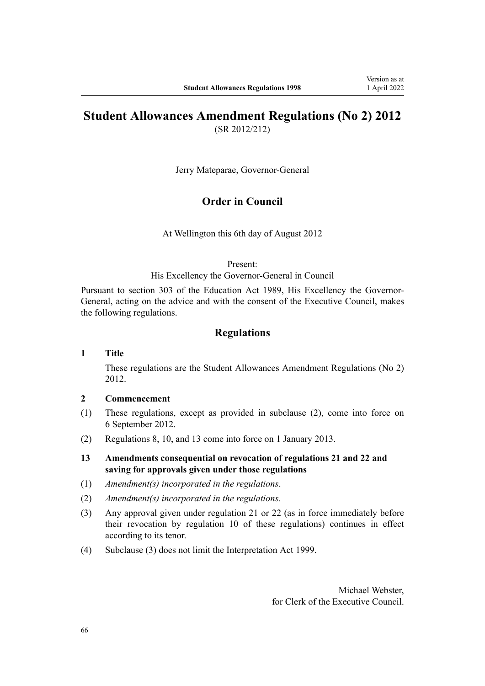# **Student Allowances Amendment Regulations (No 2) 2012**

(SR 2012/212)

Jerry Mateparae, Governor-General

### **Order in Council**

At Wellington this 6th day of August 2012

#### Present:

His Excellency the Governor-General in Council

Pursuant to section 303 of the Education Act 1989, His Excellency the Governor-General, acting on the advice and with the consent of the Executive Council, makes the following regulations.

### **Regulations**

### **1 Title**

These regulations are the [Student Allowances Amendment Regulations \(No 2\)](http://legislation.govt.nz/pdflink.aspx?id=DLM4633900) [2012](http://legislation.govt.nz/pdflink.aspx?id=DLM4633900).

### **2 Commencement**

- (1) These regulations, except as provided in subclause (2), come into force on 6 September 2012.
- (2) Regulations 8, 10, and 13 come into force on 1 January 2013.
- **13 Amendments consequential on revocation of regulations 21 and 22 and saving for approvals given under those regulations**
- (1) *Amendment(s) incorporated in the regulations*.
- (2) *Amendment(s) incorporated in the regulations*.
- (3) Any approval given under regulation 21 or 22 (as in force immediately before their revocation by regulation 10 of these regulations) continues in effect according to its tenor.
- (4) Subclause (3) does not limit the Interpretation Act 1999.

Michael Webster, for Clerk of the Executive Council.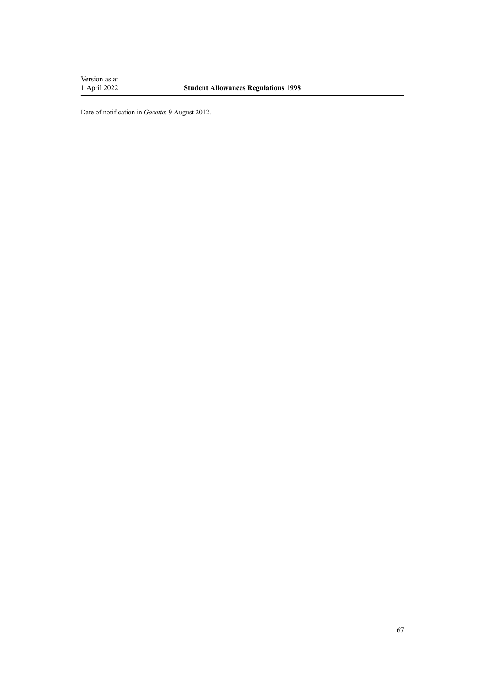Version as at<br>1 April 2022

Date of notification in *Gazette*: 9 August 2012.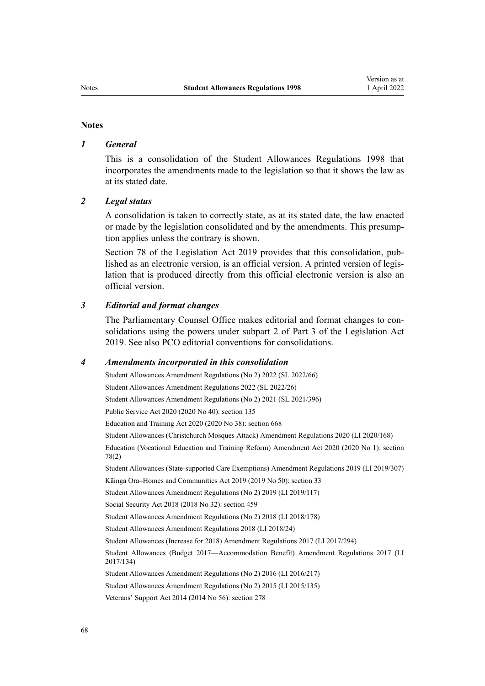#### **Notes**

### *1 General*

This is a consolidation of the Student Allowances Regulations 1998 that incorporates the amendments made to the legislation so that it shows the law as at its stated date.

### *2 Legal status*

A consolidation is taken to correctly state, as at its stated date, the law enacted or made by the legislation consolidated and by the amendments. This presump‐ tion applies unless the contrary is shown.

[Section 78](http://legislation.govt.nz/pdflink.aspx?id=DLM7298365) of the Legislation Act 2019 provides that this consolidation, published as an electronic version, is an official version. A printed version of legis‐ lation that is produced directly from this official electronic version is also an official version.

#### *3 Editorial and format changes*

The Parliamentary Counsel Office makes editorial and format changes to con‐ solidations using the powers under [subpart 2](http://legislation.govt.nz/pdflink.aspx?id=DLM7298371) of Part 3 of the Legislation Act 2019. See also [PCO editorial conventions for consolidations](http://www.pco.govt.nz/editorial-conventions/).

#### *4 Amendments incorporated in this consolidation*

[Student Allowances Amendment Regulations \(No 2\) 2022](http://legislation.govt.nz/pdflink.aspx?id=LMS655587) (SL 2022/66) [Student Allowances Amendment Regulations 2022](http://legislation.govt.nz/pdflink.aspx?id=LMS645191) (SL 2022/26) [Student Allowances Amendment Regulations \(No 2\) 2021](http://legislation.govt.nz/pdflink.aspx?id=LMS598818) (SL 2021/396) Public Service Act 2020 (2020 No 40): [section 135](http://legislation.govt.nz/pdflink.aspx?id=LMS176959) Education and Training Act 2020 (2020 No 38): [section 668](http://legislation.govt.nz/pdflink.aspx?id=LMS367713) [Student Allowances \(Christchurch Mosques Attack\) Amendment Regulations 2020](http://legislation.govt.nz/pdflink.aspx?id=LMS370853) (LI 2020/168) Education (Vocational Education and Training Reform) Amendment Act 2020 (2020 No 1): [section](http://legislation.govt.nz/pdflink.aspx?id=LMS245981) [78\(2\)](http://legislation.govt.nz/pdflink.aspx?id=LMS245981) [Student Allowances \(State-supported Care Exemptions\) Amendment Regulations 2019](http://legislation.govt.nz/pdflink.aspx?id=LMS285548) (LI 2019/307) Kāinga Ora–Homes and Communities Act 2019 (2019 No 50): [section 33](http://legislation.govt.nz/pdflink.aspx?id=LMS191136) [Student Allowances Amendment Regulations \(No 2\) 2019](http://legislation.govt.nz/pdflink.aspx?id=LMS200726) (LI 2019/117) Social Security Act 2018 (2018 No 32): [section 459](http://legislation.govt.nz/pdflink.aspx?id=DLM6784038) [Student Allowances Amendment Regulations \(No 2\) 2018](http://legislation.govt.nz/pdflink.aspx?id=LMS83841) (LI 2018/178) [Student Allowances Amendment Regulations 2018](http://legislation.govt.nz/pdflink.aspx?id=LMS12614) (LI 2018/24) [Student Allowances \(Increase for 2018\) Amendment Regulations 2017](http://legislation.govt.nz/pdflink.aspx?id=DLM7496042) (LI 2017/294) [Student Allowances \(Budget 2017—Accommodation Benefit\) Amendment Regulations 2017](http://legislation.govt.nz/pdflink.aspx?id=DLM7296850) (LI 2017/134) [Student Allowances Amendment Regulations \(No 2\) 2016](http://legislation.govt.nz/pdflink.aspx?id=DLM6966221) (LI 2016/217) [Student Allowances Amendment Regulations \(No 2\) 2015](http://legislation.govt.nz/pdflink.aspx?id=DLM6486026) (LI 2015/135) Veterans' Support Act 2014 (2014 No 56): [section 278](http://legislation.govt.nz/pdflink.aspx?id=DLM5546587)